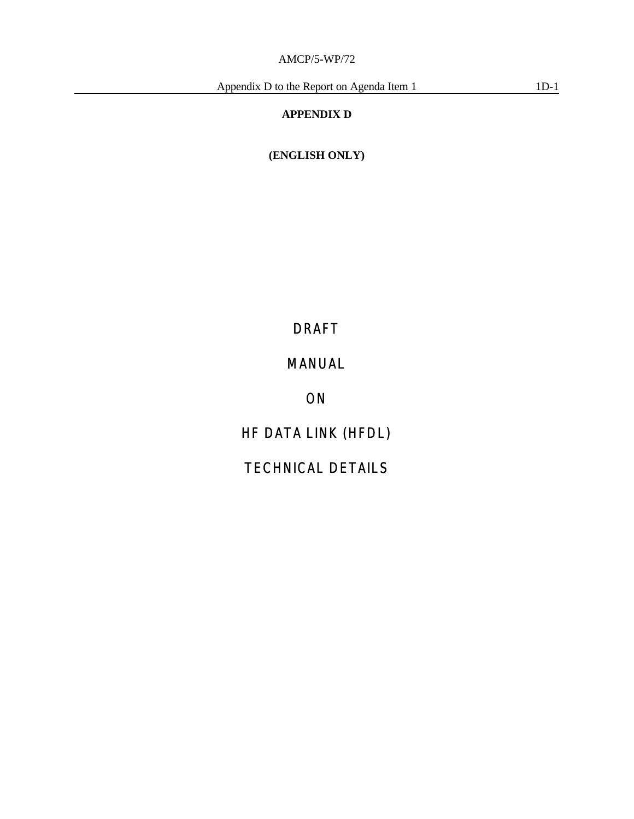# **APPENDIX D**

**(ENGLISH ONLY)**

# DRAFT

# *MANUAL*

*ON*

*HF DATA LINK (HFDL)*

# *TECHNICAL DETAILS*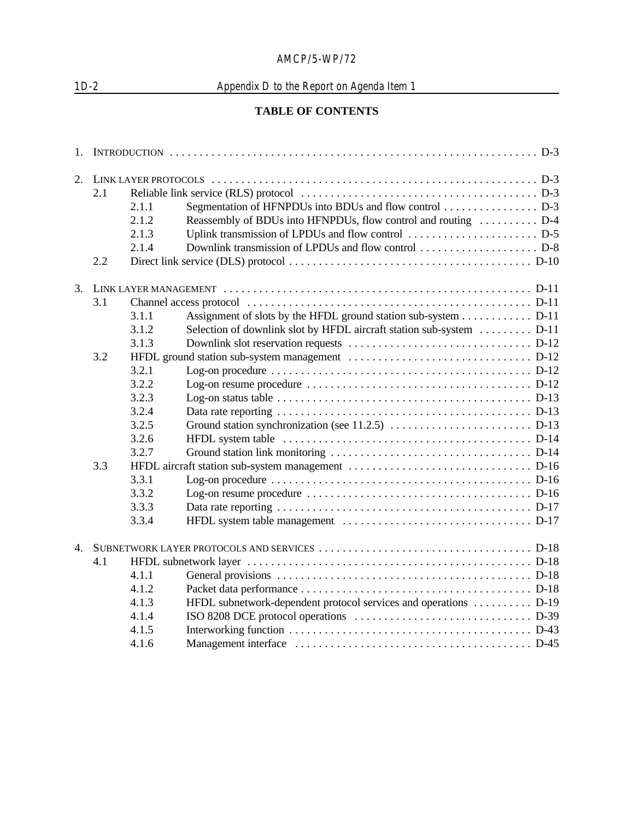# 1D-2 Appendix D to the Report on Agenda Item 1

# **TABLE OF CONTENTS**

| 1.             |     |       |                                                                                                                      |  |
|----------------|-----|-------|----------------------------------------------------------------------------------------------------------------------|--|
| 2.             |     |       |                                                                                                                      |  |
|                | 2.1 |       |                                                                                                                      |  |
|                |     | 2.1.1 | Segmentation of HFNPDUs into BDUs and flow control D-3                                                               |  |
|                |     | 2.1.2 | Reassembly of BDUs into HFNPDUs, flow control and routing  D-4                                                       |  |
|                |     | 2.1.3 |                                                                                                                      |  |
|                |     | 2.1.4 |                                                                                                                      |  |
|                | 2.2 |       |                                                                                                                      |  |
| 3.             |     |       |                                                                                                                      |  |
|                | 3.1 |       |                                                                                                                      |  |
|                |     | 3.1.1 | Assignment of slots by the HFDL ground station sub-system D-11                                                       |  |
|                |     | 3.1.2 | Selection of downlink slot by HFDL aircraft station sub-system  D-11                                                 |  |
|                |     | 3.1.3 |                                                                                                                      |  |
|                | 3.2 |       |                                                                                                                      |  |
|                |     | 3.2.1 | Log-on procedure $\ldots \ldots \ldots \ldots \ldots \ldots \ldots \ldots \ldots \ldots \ldots \ldots \ldots$ . D-12 |  |
|                |     | 3.2.2 |                                                                                                                      |  |
|                |     | 3.2.3 |                                                                                                                      |  |
|                |     | 3.2.4 |                                                                                                                      |  |
|                |     | 3.2.5 |                                                                                                                      |  |
|                |     | 3.2.6 |                                                                                                                      |  |
|                |     | 3.2.7 |                                                                                                                      |  |
|                | 3.3 |       |                                                                                                                      |  |
|                |     | 3.3.1 |                                                                                                                      |  |
|                |     | 3.3.2 |                                                                                                                      |  |
|                |     | 3.3.3 |                                                                                                                      |  |
|                |     | 3.3.4 |                                                                                                                      |  |
| $\overline{4}$ |     |       |                                                                                                                      |  |
|                | 4.1 |       |                                                                                                                      |  |
|                |     | 4.1.1 |                                                                                                                      |  |
|                |     | 4.1.2 |                                                                                                                      |  |
|                |     | 4.1.3 | HFDL subnetwork-dependent protocol services and operations  D-19                                                     |  |
|                |     | 4.1.4 |                                                                                                                      |  |
|                |     | 4.1.5 |                                                                                                                      |  |
|                |     | 4.1.6 |                                                                                                                      |  |
|                |     |       |                                                                                                                      |  |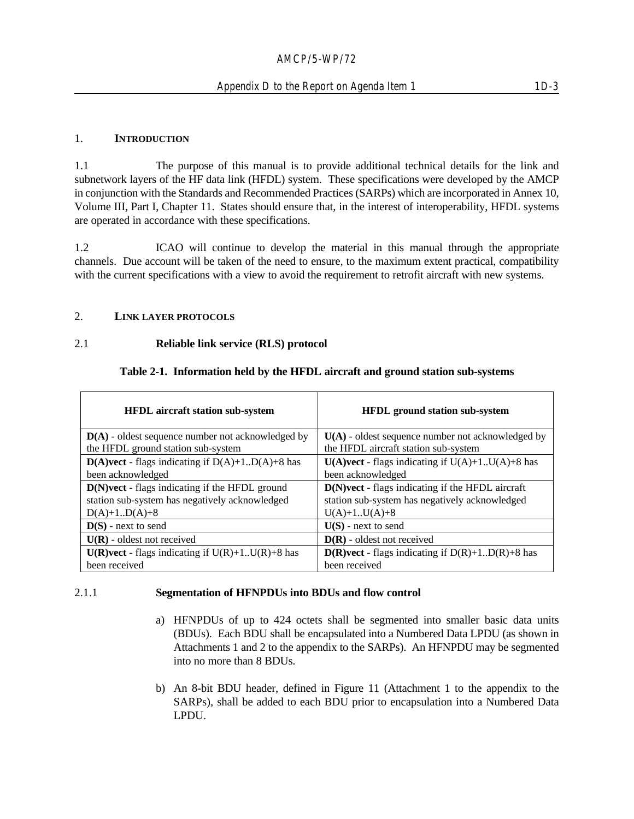#### 1. **INTRODUCTION**

1.1 The purpose of this manual is to provide additional technical details for the link and subnetwork layers of the HF data link (HFDL) system. These specifications were developed by the AMCP in conjunction with the Standards and Recommended Practices (SARPs) which are incorporated in Annex 10, Volume III, Part I, Chapter 11. States should ensure that, in the interest of interoperability, HFDL systems are operated in accordance with these specifications.

1.2 ICAO will continue to develop the material in this manual through the appropriate channels. Due account will be taken of the need to ensure, to the maximum extent practical, compatibility with the current specifications with a view to avoid the requirement to retrofit aircraft with new systems.

#### 2. **LINK LAYER PROTOCOLS**

#### 2.1 **Reliable link service (RLS) protocol**

#### **Table 2-1. Information held by the HFDL aircraft and ground station sub-systems**

| HFDL aircraft station sub-system                                                                 | <b>HFDL</b> ground station sub-system                                                              |
|--------------------------------------------------------------------------------------------------|----------------------------------------------------------------------------------------------------|
| $D(A)$ - oldest sequence number not acknowledged by                                              | $U(A)$ - oldest sequence number not acknowledged by                                                |
| the HFDL ground station sub-system                                                               | the HFDL aircraft station sub-system                                                               |
| $D(A)$ vect - flags indicating if $D(A)+1 \cdot D(A)+8$ has                                      | $U(A)$ vect - flags indicating if $U(A)+1$ $U(A)+8$ has                                            |
| been acknowledged                                                                                | been acknowledged                                                                                  |
| D(N)vect - flags indicating if the HFDL ground<br>station sub-system has negatively acknowledged | D(N)vect - flags indicating if the HFDL aircraft<br>station sub-system has negatively acknowledged |
| $D(A)+1.D(A)+8$                                                                                  | $U(A)+1.U(A)+8$                                                                                    |
| $D(S)$ - next to send                                                                            | $U(S)$ - next to send                                                                              |
| $U(R)$ - oldest not received                                                                     | $D(R)$ - oldest not received                                                                       |
| $U(R)$ vect - flags indicating if $U(R)+1$ $U(R)+8$ has                                          | $D(R)$ vect - flags indicating if $D(R)+1 \dots D(R)+8$ has                                        |
| been received                                                                                    | been received                                                                                      |

#### 2.1.1 **Segmentation of HFNPDUs into BDUs and flow control**

- a) HFNPDUs of up to 424 octets shall be segmented into smaller basic data units (BDUs). Each BDU shall be encapsulated into a Numbered Data LPDU (as shown in Attachments 1 and 2 to the appendix to the SARPs). An HFNPDU may be segmented into no more than 8 BDUs.
- b) An 8-bit BDU header, defined in Figure 11 (Attachment 1 to the appendix to the SARPs), shall be added to each BDU prior to encapsulation into a Numbered Data LPDU.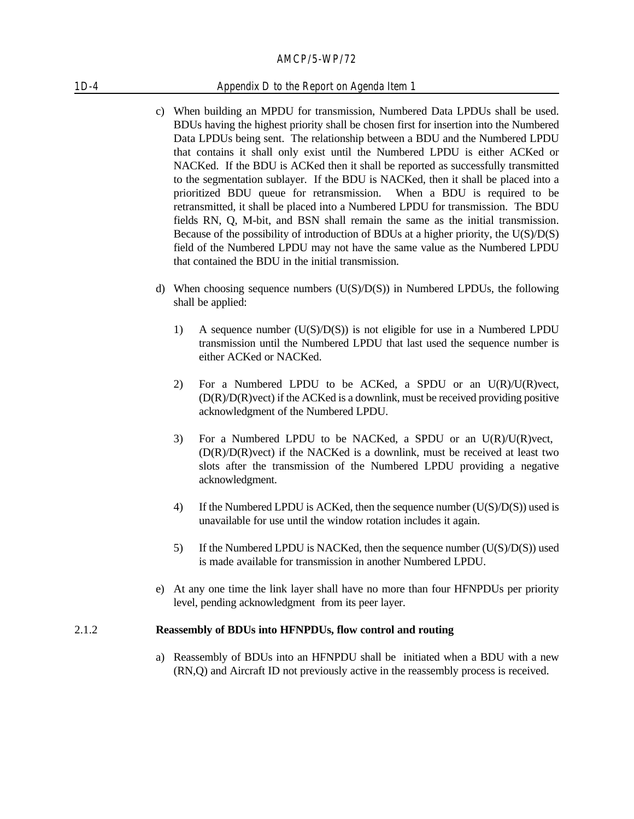#### 1D-4 Appendix D to the Report on Agenda Item 1

- c) When building an MPDU for transmission, Numbered Data LPDUs shall be used. BDUs having the highest priority shall be chosen first for insertion into the Numbered Data LPDUs being sent. The relationship between a BDU and the Numbered LPDU that contains it shall only exist until the Numbered LPDU is either ACKed or NACKed. If the BDU is ACKed then it shall be reported as successfully transmitted to the segmentation sublayer. If the BDU is NACKed, then it shall be placed into a prioritized BDU queue for retransmission. When a BDU is required to be retransmitted, it shall be placed into a Numbered LPDU for transmission. The BDU fields RN, Q, M-bit, and BSN shall remain the same as the initial transmission. Because of the possibility of introduction of BDUs at a higher priority, the U(S)/D(S) field of the Numbered LPDU may not have the same value as the Numbered LPDU that contained the BDU in the initial transmission.
- d) When choosing sequence numbers  $(U(S)/D(S))$  in Numbered LPDUs, the following shall be applied:
	- 1) A sequence number (U(S)/D(S)) is not eligible for use in a Numbered LPDU transmission until the Numbered LPDU that last used the sequence number is either ACKed or NACKed.
	- 2) For a Numbered LPDU to be ACKed, a SPDU or an  $U(R)/U(R)$  vect, (D(R)/D(R)vect) if the ACKed is a downlink, must be received providing positive acknowledgment of the Numbered LPDU.
	- 3) For a Numbered LPDU to be NACKed, a SPDU or an U(R)/U(R)vect,  $(D(R)/D(R)$  if the NACKed is a downlink, must be received at least two slots after the transmission of the Numbered LPDU providing a negative acknowledgment.
	- 4) If the Numbered LPDU is ACKed, then the sequence number  $(U(S)/D(S))$  used is unavailable for use until the window rotation includes it again.
	- 5) If the Numbered LPDU is NACKed, then the sequence number  $(U(S)/D(S))$  used is made available for transmission in another Numbered LPDU.
- e) At any one time the link layer shall have no more than four HFNPDUs per priority level, pending acknowledgment from its peer layer.

#### 2.1.2 **Reassembly of BDUs into HFNPDUs, flow control and routing**

a) Reassembly of BDUs into an HFNPDU shall be initiated when a BDU with a new (RN,Q) and Aircraft ID not previously active in the reassembly process is received.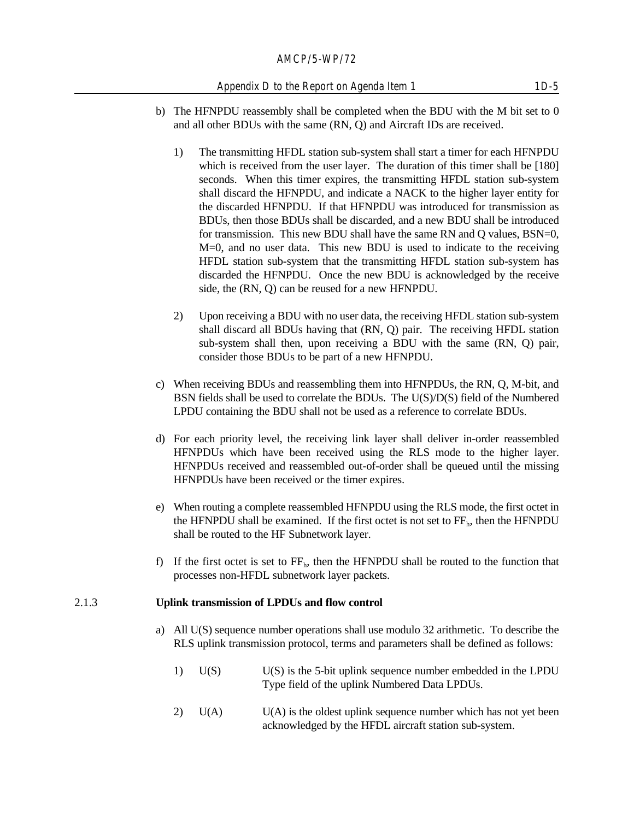#### Appendix D to the Report on Agenda Item 1 1D-5

- b) The HFNPDU reassembly shall be completed when the BDU with the M bit set to 0 and all other BDUs with the same (RN, Q) and Aircraft IDs are received.
	- 1) The transmitting HFDL station sub-system shall start a timer for each HFNPDU which is received from the user layer. The duration of this timer shall be [180] seconds. When this timer expires, the transmitting HFDL station sub-system shall discard the HFNPDU, and indicate a NACK to the higher layer entity for the discarded HFNPDU. If that HFNPDU was introduced for transmission as BDUs, then those BDUs shall be discarded, and a new BDU shall be introduced for transmission. This new BDU shall have the same RN and Q values, BSN=0, M=0, and no user data. This new BDU is used to indicate to the receiving HFDL station sub-system that the transmitting HFDL station sub-system has discarded the HFNPDU. Once the new BDU is acknowledged by the receive side, the (RN, Q) can be reused for a new HFNPDU.
	- 2) Upon receiving a BDU with no user data, the receiving HFDL station sub-system shall discard all BDUs having that (RN, Q) pair. The receiving HFDL station sub-system shall then, upon receiving a BDU with the same (RN, Q) pair, consider those BDUs to be part of a new HFNPDU.
- c) When receiving BDUs and reassembling them into HFNPDUs, the RN, Q, M-bit, and BSN fields shall be used to correlate the BDUs. The U(S)/D(S) field of the Numbered LPDU containing the BDU shall not be used as a reference to correlate BDUs.
- d) For each priority level, the receiving link layer shall deliver in-order reassembled HFNPDUs which have been received using the RLS mode to the higher layer. HFNPDUs received and reassembled out-of-order shall be queued until the missing HFNPDUs have been received or the timer expires.
- e) When routing a complete reassembled HFNPDU using the RLS mode, the first octet in the HFNPDU shall be examined. If the first octet is not set to  $FF_h$ , then the HFNPDU shall be routed to the HF Subnetwork layer.
- f) If the first octet is set to  $FF_h$ , then the HFNPDU shall be routed to the function that processes non-HFDL subnetwork layer packets.

#### 2.1.3 **Uplink transmission of LPDUs and flow control**

- a) All U(S) sequence number operations shall use modulo 32 arithmetic. To describe the RLS uplink transmission protocol, terms and parameters shall be defined as follows:
	- 1) U(S) U(S) is the 5-bit uplink sequence number embedded in the LPDU Type field of the uplink Numbered Data LPDUs.
	- $2)$  U(A) U(A) is the oldest uplink sequence number which has not yet been acknowledged by the HFDL aircraft station sub-system.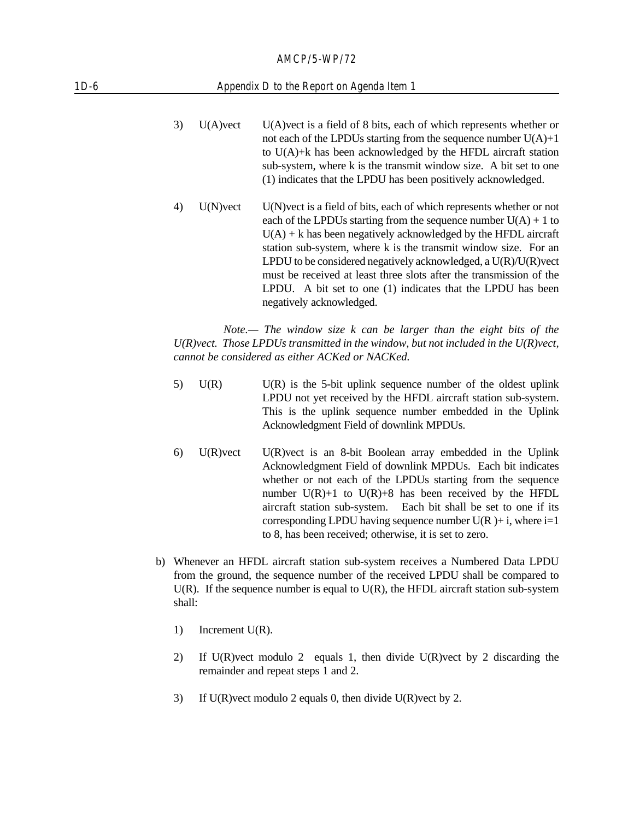#### 1D-6 Appendix D to the Report on Agenda Item 1

- 3) U(A)vect U(A)vect is a field of 8 bits, each of which represents whether or not each of the LPDUs starting from the sequence number  $U(A)+1$ to U(A)+k has been acknowledged by the HFDL aircraft station sub-system, where k is the transmit window size. A bit set to one (1) indicates that the LPDU has been positively acknowledged.
- 4) U(N)vect U(N)vect is a field of bits, each of which represents whether or not each of the LPDUs starting from the sequence number  $U(A) + 1$  to  $U(A)$  + k has been negatively acknowledged by the HFDL aircraft station sub-system, where k is the transmit window size. For an LPDU to be considered negatively acknowledged, a  $U(R)/U(R)$  vect must be received at least three slots after the transmission of the LPDU. A bit set to one (1) indicates that the LPDU has been negatively acknowledged.

*Note.— The window size k can be larger than the eight bits of the U(R)vect. Those LPDUs transmitted in the window, but not included in the U(R)vect, cannot be considered as either ACKed or NACKed.*

- $U(R)$  U(R) is the 5-bit uplink sequence number of the oldest uplink LPDU not yet received by the HFDL aircraft station sub-system. This is the uplink sequence number embedded in the Uplink Acknowledgment Field of downlink MPDUs.
- 6) U(R)vect U(R)vect is an 8-bit Boolean array embedded in the Uplink Acknowledgment Field of downlink MPDUs. Each bit indicates whether or not each of the LPDUs starting from the sequence number  $U(R)+1$  to  $U(R)+8$  has been received by the HFDL aircraft station sub-system. Each bit shall be set to one if its corresponding LPDU having sequence number  $U(R) + i$ , where  $i=1$ to 8, has been received; otherwise, it is set to zero.
- b) Whenever an HFDL aircraft station sub-system receives a Numbered Data LPDU from the ground, the sequence number of the received LPDU shall be compared to  $U(R)$ . If the sequence number is equal to  $U(R)$ , the HFDL aircraft station sub-system shall:
	- 1) Increment U(R).
	- 2) If U(R)vect modulo 2 equals 1, then divide U(R)vect by 2 discarding the remainder and repeat steps 1 and 2.
	- 3) If U(R)vect modulo 2 equals 0, then divide U(R)vect by 2.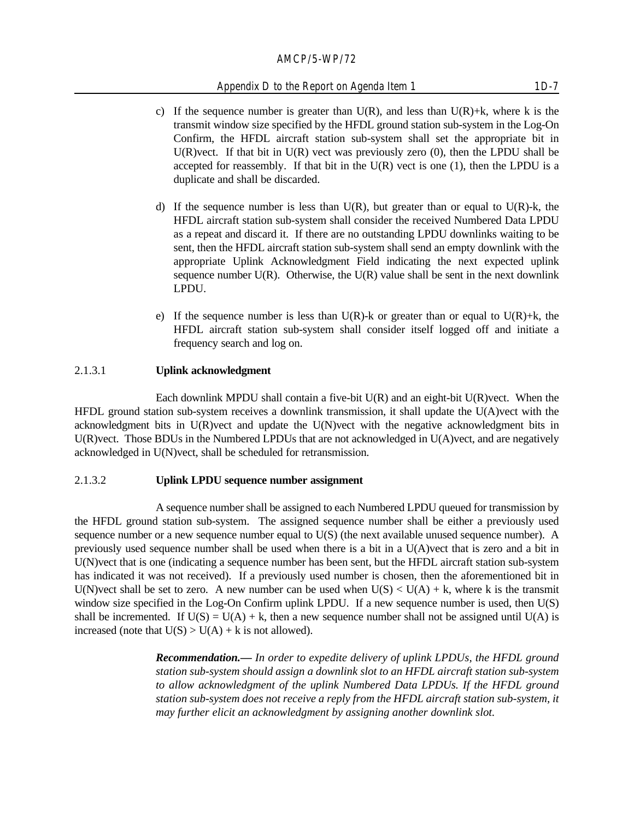#### Appendix D to the Report on Agenda Item 1 1D-7

- c) If the sequence number is greater than  $U(R)$ , and less than  $U(R)+k$ , where k is the transmit window size specified by the HFDL ground station sub-system in the Log-On Confirm, the HFDL aircraft station sub-system shall set the appropriate bit in U(R)vect. If that bit in  $U(R)$  vect was previously zero (0), then the LPDU shall be accepted for reassembly. If that bit in the  $U(R)$  vect is one (1), then the LPDU is a duplicate and shall be discarded.
- d) If the sequence number is less than  $U(R)$ , but greater than or equal to  $U(R)$ -k, the HFDL aircraft station sub-system shall consider the received Numbered Data LPDU as a repeat and discard it. If there are no outstanding LPDU downlinks waiting to be sent, then the HFDL aircraft station sub-system shall send an empty downlink with the appropriate Uplink Acknowledgment Field indicating the next expected uplink sequence number  $U(R)$ . Otherwise, the  $U(R)$  value shall be sent in the next downlink LPDU.
- e) If the sequence number is less than  $U(R)$ -k or greater than or equal to  $U(R)$ +k, the HFDL aircraft station sub-system shall consider itself logged off and initiate a frequency search and log on.

#### 2.1.3.1 **Uplink acknowledgment**

Each downlink MPDU shall contain a five-bit  $U(R)$  and an eight-bit  $U(R)$  vect. When the HFDL ground station sub-system receives a downlink transmission, it shall update the U(A)vect with the acknowledgment bits in U(R)vect and update the U(N)vect with the negative acknowledgment bits in U(R)vect. Those BDUs in the Numbered LPDUs that are not acknowledged in U(A)vect, and are negatively acknowledged in U(N)vect, shall be scheduled for retransmission.

#### 2.1.3.2 **Uplink LPDU sequence number assignment**

A sequence number shall be assigned to each Numbered LPDU queued for transmission by the HFDL ground station sub-system. The assigned sequence number shall be either a previously used sequence number or a new sequence number equal to U(S) (the next available unused sequence number). A previously used sequence number shall be used when there is a bit in a U(A)vect that is zero and a bit in U(N)vect that is one (indicating a sequence number has been sent, but the HFDL aircraft station sub-system has indicated it was not received). If a previously used number is chosen, then the aforementioned bit in U(N)vect shall be set to zero. A new number can be used when  $U(S) < U(A) + k$ , where k is the transmit window size specified in the Log-On Confirm uplink LPDU. If a new sequence number is used, then U(S) shall be incremented. If  $U(S) = U(A) + k$ , then a new sequence number shall not be assigned until  $U(A)$  is increased (note that  $U(S) > U(A) + k$  is not allowed).

> *Recommendation.— In order to expedite delivery of uplink LPDUs, the HFDL ground station sub-system should assign a downlink slot to an HFDL aircraft station sub-system to allow acknowledgment of the uplink Numbered Data LPDUs. If the HFDL ground station sub-system does not receive a reply from the HFDL aircraft station sub-system, it may further elicit an acknowledgment by assigning another downlink slot.*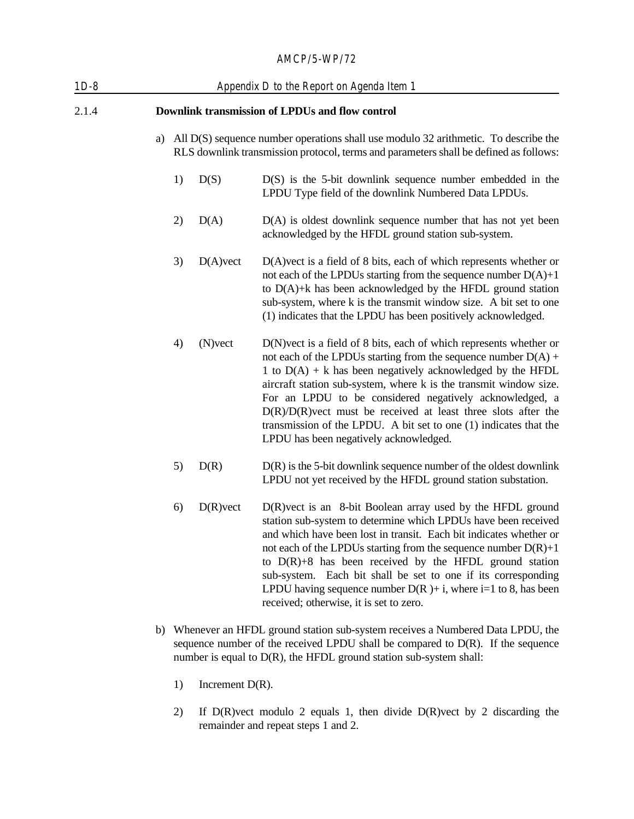| $1D-8$ | Appendix D to the Report on Agenda Item 1       |    |             |                                                                                                                                                                                                                                                                                                                                                                                                                                                                                                                            |
|--------|-------------------------------------------------|----|-------------|----------------------------------------------------------------------------------------------------------------------------------------------------------------------------------------------------------------------------------------------------------------------------------------------------------------------------------------------------------------------------------------------------------------------------------------------------------------------------------------------------------------------------|
| 2.1.4  | Downlink transmission of LPDUs and flow control |    |             |                                                                                                                                                                                                                                                                                                                                                                                                                                                                                                                            |
|        | a)                                              |    |             | All D(S) sequence number operations shall use modulo 32 arithmetic. To describe the<br>RLS downlink transmission protocol, terms and parameters shall be defined as follows:                                                                                                                                                                                                                                                                                                                                               |
|        |                                                 | 1) | D(S)        | $D(S)$ is the 5-bit downlink sequence number embedded in the<br>LPDU Type field of the downlink Numbered Data LPDUs.                                                                                                                                                                                                                                                                                                                                                                                                       |
|        |                                                 | 2) | D(A)        | $D(A)$ is oldest downlink sequence number that has not yet been<br>acknowledged by the HFDL ground station sub-system.                                                                                                                                                                                                                                                                                                                                                                                                     |
|        |                                                 | 3) | $D(A)$ vect | $D(A)$ vect is a field of 8 bits, each of which represents whether or<br>not each of the LPDUs starting from the sequence number $D(A)+1$<br>to $D(A)$ +k has been acknowledged by the HFDL ground station<br>sub-system, where k is the transmit window size. A bit set to one<br>(1) indicates that the LPDU has been positively acknowledged.                                                                                                                                                                           |
|        |                                                 | 4) | $(N)$ vect  | D(N) vect is a field of 8 bits, each of which represents whether or<br>not each of the LPDUs starting from the sequence number $D(A)$ +<br>1 to $D(A)$ + k has been negatively acknowledged by the HFDL<br>aircraft station sub-system, where k is the transmit window size.<br>For an LPDU to be considered negatively acknowledged, a<br>$D(R)/D(R)$ vect must be received at least three slots after the<br>transmission of the LPDU. A bit set to one (1) indicates that the<br>LPDU has been negatively acknowledged. |
|        |                                                 | 5) | D(R)        | $D(R)$ is the 5-bit downlink sequence number of the oldest downlink<br>LPDU not yet received by the HFDL ground station substation.                                                                                                                                                                                                                                                                                                                                                                                        |
|        |                                                 | 6) | $D(R)$ vect | D(R) vect is an 8-bit Boolean array used by the HFDL ground<br>station sub-system to determine which LPDUs have been received<br>and which have been lost in transit. Each bit indicates whether or<br>not each of the LPDUs starting from the sequence number $D(R)+1$<br>to $D(R) + 8$ has been received by the HFDL ground station<br>sub-system. Each bit shall be set to one if its corresponding<br>LPDU having sequence number $D(R)$ + i, where i=1 to 8, has been<br>received; otherwise, it is set to zero.      |
|        |                                                 |    |             | b) Whenever an HFDL ground station sub-system receives a Numbered Data LPDU, the<br>sequence number of the received LPDU shall be compared to $D(R)$ . If the sequence                                                                                                                                                                                                                                                                                                                                                     |

- 1) Increment D(R).
- 2) If D(R)vect modulo 2 equals 1, then divide D(R)vect by 2 discarding the remainder and repeat steps 1 and 2.

number is equal to D(R), the HFDL ground station sub-system shall: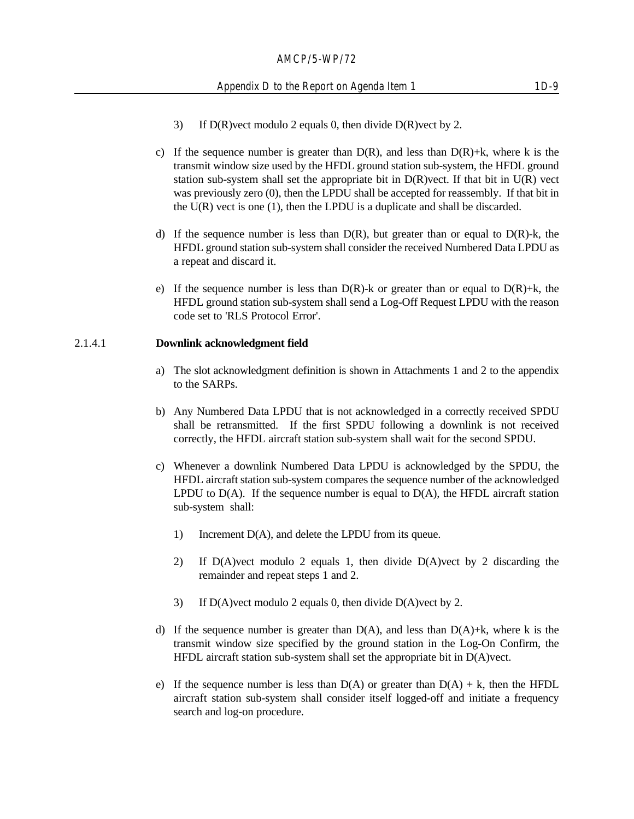- 3) If D(R)vect modulo 2 equals 0, then divide D(R)vect by 2.
- c) If the sequence number is greater than  $D(R)$ , and less than  $D(R)+k$ , where k is the transmit window size used by the HFDL ground station sub-system, the HFDL ground station sub-system shall set the appropriate bit in  $D(R)$  vect. If that bit in  $U(R)$  vect was previously zero (0), then the LPDU shall be accepted for reassembly. If that bit in the  $U(R)$  vect is one (1), then the LPDU is a duplicate and shall be discarded.
- d) If the sequence number is less than  $D(R)$ , but greater than or equal to  $D(R)$ -k, the HFDL ground station sub-system shall consider the received Numbered Data LPDU as a repeat and discard it.
- e) If the sequence number is less than  $D(R)$ -k or greater than or equal to  $D(R)$ +k, the HFDL ground station sub-system shall send a Log-Off Request LPDU with the reason code set to 'RLS Protocol Error'.

#### 2.1.4.1 **Downlink acknowledgment field**

- a) The slot acknowledgment definition is shown in Attachments 1 and 2 to the appendix to the SARPs.
- b) Any Numbered Data LPDU that is not acknowledged in a correctly received SPDU shall be retransmitted. If the first SPDU following a downlink is not received correctly, the HFDL aircraft station sub-system shall wait for the second SPDU.
- c) Whenever a downlink Numbered Data LPDU is acknowledged by the SPDU, the HFDL aircraft station sub-system compares the sequence number of the acknowledged LPDU to  $D(A)$ . If the sequence number is equal to  $D(A)$ , the HFDL aircraft station sub-system shall:
	- 1) Increment D(A), and delete the LPDU from its queue.
	- 2) If D(A)vect modulo 2 equals 1, then divide D(A)vect by 2 discarding the remainder and repeat steps 1 and 2.
	- 3) If D(A)vect modulo 2 equals 0, then divide D(A)vect by 2.
- d) If the sequence number is greater than  $D(A)$ , and less than  $D(A)+k$ , where k is the transmit window size specified by the ground station in the Log-On Confirm, the HFDL aircraft station sub-system shall set the appropriate bit in D(A)vect.
- e) If the sequence number is less than  $D(A)$  or greater than  $D(A) + k$ , then the HFDL aircraft station sub-system shall consider itself logged-off and initiate a frequency search and log-on procedure.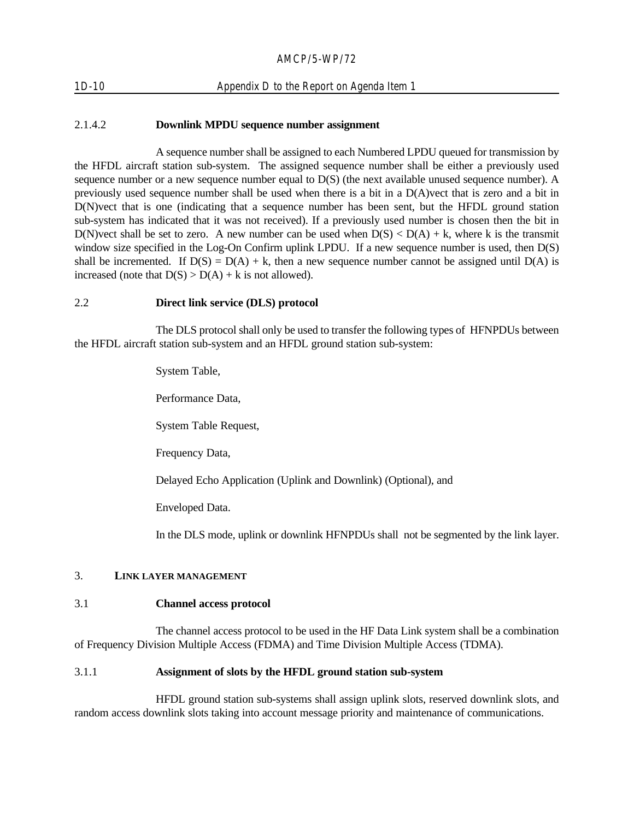# 1D-10 Appendix D to the Report on Agenda Item 1

# 2.1.4.2 **Downlink MPDU sequence number assignment**

A sequence number shall be assigned to each Numbered LPDU queued for transmission by the HFDL aircraft station sub-system. The assigned sequence number shall be either a previously used sequence number or a new sequence number equal to D(S) (the next available unused sequence number). A previously used sequence number shall be used when there is a bit in a D(A)vect that is zero and a bit in D(N)vect that is one (indicating that a sequence number has been sent, but the HFDL ground station sub-system has indicated that it was not received). If a previously used number is chosen then the bit in D(N)vect shall be set to zero. A new number can be used when  $D(S) < D(A) + k$ , where k is the transmit window size specified in the Log-On Confirm uplink LPDU. If a new sequence number is used, then  $D(S)$ shall be incremented. If  $D(S) = D(A) + k$ , then a new sequence number cannot be assigned until  $D(A)$  is increased (note that  $D(S) > D(A) + k$  is not allowed).

#### 2.2 **Direct link service (DLS) protocol**

The DLS protocol shall only be used to transfer the following types of HFNPDUs between the HFDL aircraft station sub-system and an HFDL ground station sub-system:

> System Table, Performance Data, System Table Request, Frequency Data, Delayed Echo Application (Uplink and Downlink) (Optional), and Enveloped Data.

In the DLS mode, uplink or downlink HFNPDUs shall not be segmented by the link layer.

# 3. **LINK LAYER MANAGEMENT**

#### 3.1 **Channel access protocol**

The channel access protocol to be used in the HF Data Link system shall be a combination of Frequency Division Multiple Access (FDMA) and Time Division Multiple Access (TDMA).

# 3.1.1 **Assignment of slots by the HFDL ground station sub-system**

HFDL ground station sub-systems shall assign uplink slots, reserved downlink slots, and random access downlink slots taking into account message priority and maintenance of communications.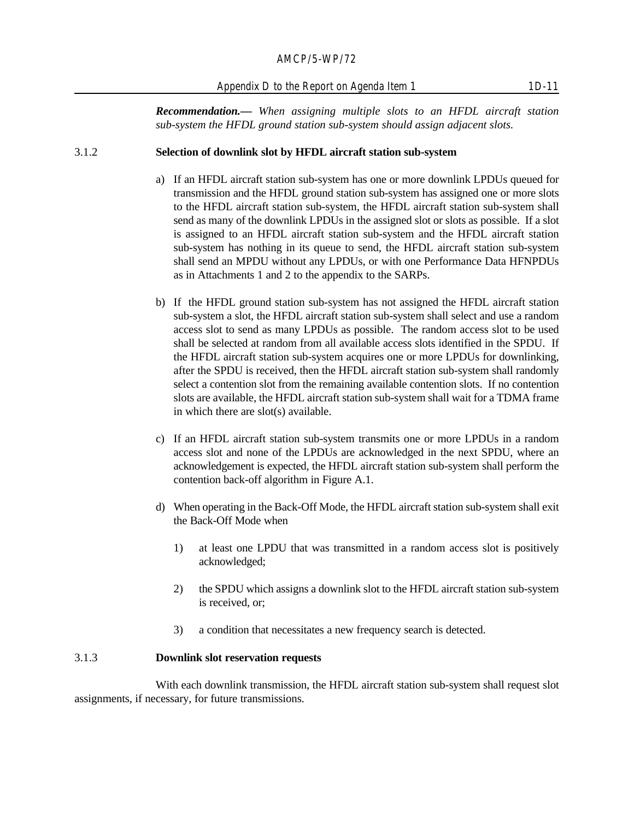Appendix D to the Report on Agenda Item 1 1D-11

*Recommendation.— When assigning multiple slots to an HFDL aircraft station sub-system the HFDL ground station sub-system should assign adjacent slots.*

#### 3.1.2 **Selection of downlink slot by HFDL aircraft station sub-system**

- a) If an HFDL aircraft station sub-system has one or more downlink LPDUs queued for transmission and the HFDL ground station sub-system has assigned one or more slots to the HFDL aircraft station sub-system, the HFDL aircraft station sub-system shall send as many of the downlink LPDUs in the assigned slot or slots as possible. If a slot is assigned to an HFDL aircraft station sub-system and the HFDL aircraft station sub-system has nothing in its queue to send, the HFDL aircraft station sub-system shall send an MPDU without any LPDUs, or with one Performance Data HFNPDUs as in Attachments 1 and 2 to the appendix to the SARPs.
- b) If the HFDL ground station sub-system has not assigned the HFDL aircraft station sub-system a slot, the HFDL aircraft station sub-system shall select and use a random access slot to send as many LPDUs as possible. The random access slot to be used shall be selected at random from all available access slots identified in the SPDU. If the HFDL aircraft station sub-system acquires one or more LPDUs for downlinking, after the SPDU is received, then the HFDL aircraft station sub-system shall randomly select a contention slot from the remaining available contention slots. If no contention slots are available, the HFDL aircraft station sub-system shall wait for a TDMA frame in which there are slot(s) available.
- c) If an HFDL aircraft station sub-system transmits one or more LPDUs in a random access slot and none of the LPDUs are acknowledged in the next SPDU, where an acknowledgement is expected, the HFDL aircraft station sub-system shall perform the contention back-off algorithm in Figure A.1.
- d) When operating in the Back-Off Mode, the HFDL aircraft station sub-system shall exit the Back-Off Mode when
	- 1) at least one LPDU that was transmitted in a random access slot is positively acknowledged;
	- 2) the SPDU which assigns a downlink slot to the HFDL aircraft station sub-system is received, or;
	- 3) a condition that necessitates a new frequency search is detected.

#### 3.1.3 **Downlink slot reservation requests**

With each downlink transmission, the HFDL aircraft station sub-system shall request slot assignments, if necessary, for future transmissions.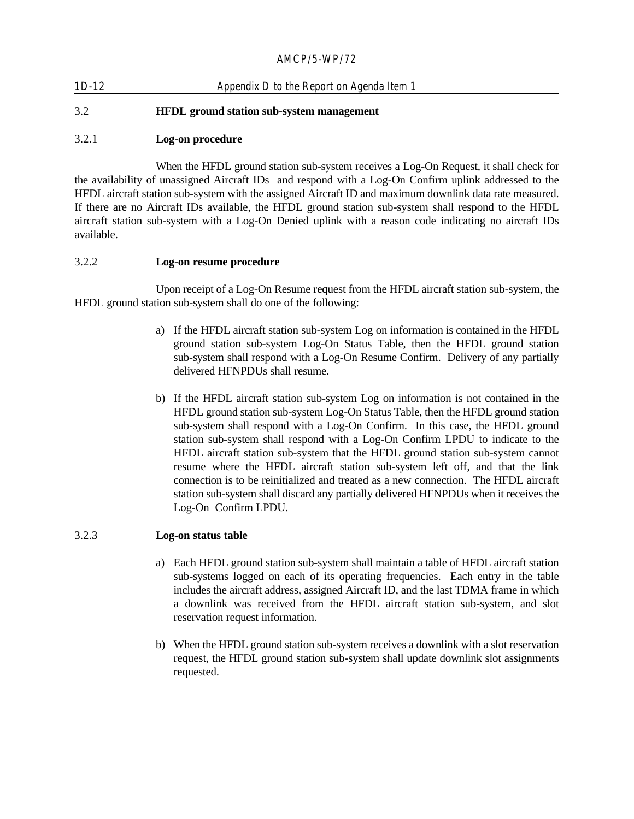| $1D-12$ | Appendix D to the Report on Agenda Item 1        |
|---------|--------------------------------------------------|
| 3.2     | <b>HFDL</b> ground station sub-system management |

# 3.2.1 **Log-on procedure**

When the HFDL ground station sub-system receives a Log-On Request, it shall check for the availability of unassigned Aircraft IDs and respond with a Log-On Confirm uplink addressed to the HFDL aircraft station sub-system with the assigned Aircraft ID and maximum downlink data rate measured. If there are no Aircraft IDs available, the HFDL ground station sub-system shall respond to the HFDL aircraft station sub-system with a Log-On Denied uplink with a reason code indicating no aircraft IDs available.

# 3.2.2 **Log-on resume procedure**

Upon receipt of a Log-On Resume request from the HFDL aircraft station sub-system, the HFDL ground station sub-system shall do one of the following:

- a) If the HFDL aircraft station sub-system Log on information is contained in the HFDL ground station sub-system Log-On Status Table, then the HFDL ground station sub-system shall respond with a Log-On Resume Confirm. Delivery of any partially delivered HFNPDUs shall resume.
- b) If the HFDL aircraft station sub-system Log on information is not contained in the HFDL ground station sub-system Log-On Status Table, then the HFDL ground station sub-system shall respond with a Log-On Confirm. In this case, the HFDL ground station sub-system shall respond with a Log-On Confirm LPDU to indicate to the HFDL aircraft station sub-system that the HFDL ground station sub-system cannot resume where the HFDL aircraft station sub-system left off, and that the link connection is to be reinitialized and treated as a new connection. The HFDL aircraft station sub-system shall discard any partially delivered HFNPDUs when it receives the Log-On Confirm LPDU.

# 3.2.3 **Log-on status table**

- a) Each HFDL ground station sub-system shall maintain a table of HFDL aircraft station sub-systems logged on each of its operating frequencies. Each entry in the table includes the aircraft address, assigned Aircraft ID, and the last TDMA frame in which a downlink was received from the HFDL aircraft station sub-system, and slot reservation request information.
- b) When the HFDL ground station sub-system receives a downlink with a slot reservation request, the HFDL ground station sub-system shall update downlink slot assignments requested.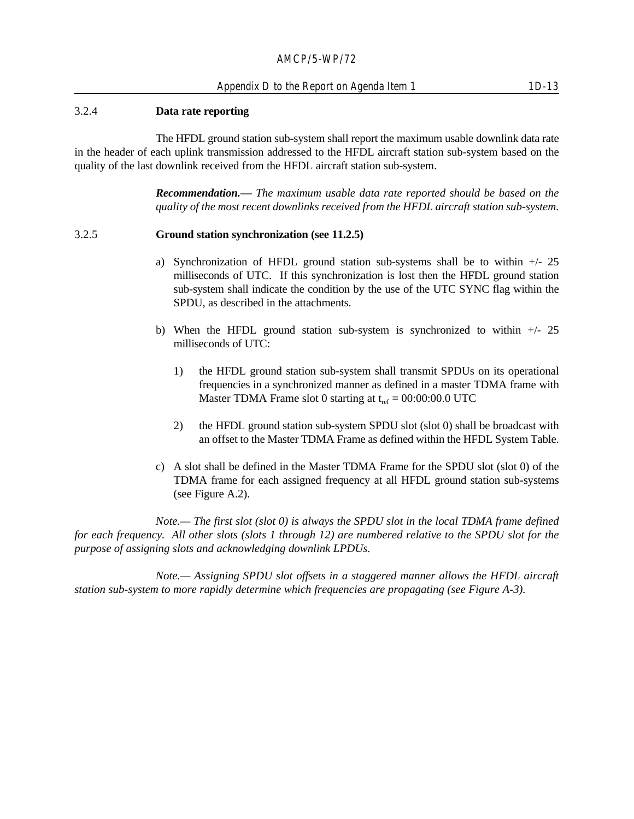#### 3.2.4 **Data rate reporting**

The HFDL ground station sub-system shall report the maximum usable downlink data rate in the header of each uplink transmission addressed to the HFDL aircraft station sub-system based on the quality of the last downlink received from the HFDL aircraft station sub-system.

> *Recommendation.— The maximum usable data rate reported should be based on the quality of the most recent downlinks received from the HFDL aircraft station sub-system.*

#### 3.2.5 **Ground station synchronization (see 11.2.5)**

- a) Synchronization of HFDL ground station sub-systems shall be to within  $+/25$ milliseconds of UTC. If this synchronization is lost then the HFDL ground station sub-system shall indicate the condition by the use of the UTC SYNC flag within the SPDU, as described in the attachments.
- b) When the HFDL ground station sub-system is synchronized to within  $+/25$ milliseconds of UTC:
	- 1) the HFDL ground station sub-system shall transmit SPDUs on its operational frequencies in a synchronized manner as defined in a master TDMA frame with Master TDMA Frame slot 0 starting at  $t_{ref} = 00:00:00.0$  UTC
	- 2) the HFDL ground station sub-system SPDU slot (slot 0) shall be broadcast with an offset to the Master TDMA Frame as defined within the HFDL System Table.
- c) A slot shall be defined in the Master TDMA Frame for the SPDU slot (slot 0) of the TDMA frame for each assigned frequency at all HFDL ground station sub-systems (see Figure A.2).

*Note.— The first slot (slot 0) is always the SPDU slot in the local TDMA frame defined for each frequency. All other slots (slots 1 through 12) are numbered relative to the SPDU slot for the purpose of assigning slots and acknowledging downlink LPDUs.*

*Note.— Assigning SPDU slot offsets in a staggered manner allows the HFDL aircraft station sub-system to more rapidly determine which frequencies are propagating (see Figure A-3).*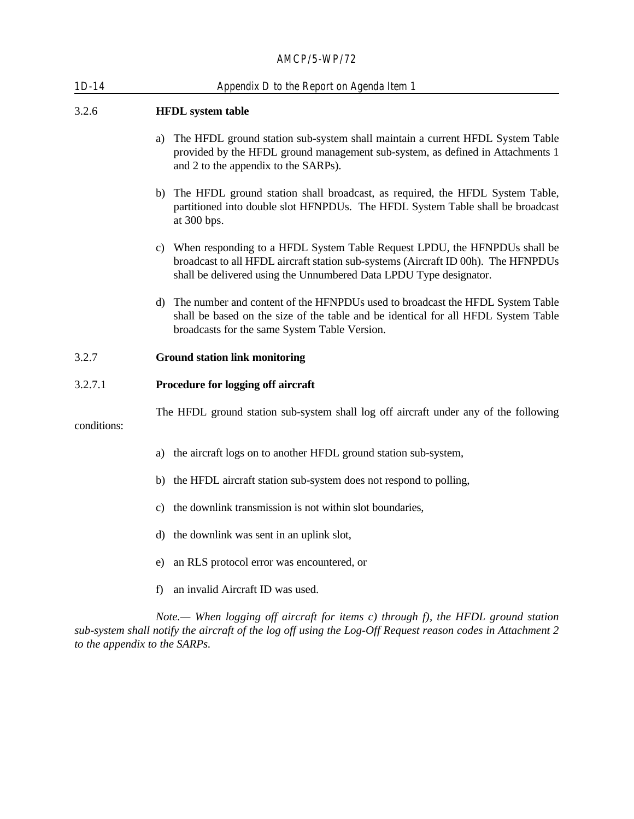| $1D-14$     | Appendix D to the Report on Agenda Item 1                                                                                                                                                                                               |  |  |  |  |
|-------------|-----------------------------------------------------------------------------------------------------------------------------------------------------------------------------------------------------------------------------------------|--|--|--|--|
| 3.2.6       | <b>HFDL</b> system table                                                                                                                                                                                                                |  |  |  |  |
|             | a) The HFDL ground station sub-system shall maintain a current HFDL System Table<br>provided by the HFDL ground management sub-system, as defined in Attachments 1<br>and 2 to the appendix to the SARPs).                              |  |  |  |  |
|             | b) The HFDL ground station shall broadcast, as required, the HFDL System Table,<br>partitioned into double slot HFNPDUs. The HFDL System Table shall be broadcast<br>at 300 bps.                                                        |  |  |  |  |
|             | c) When responding to a HFDL System Table Request LPDU, the HFNPDUs shall be<br>broadcast to all HFDL aircraft station sub-systems (Aircraft ID 00h). The HFNPDUs<br>shall be delivered using the Unnumbered Data LPDU Type designator. |  |  |  |  |
|             | d) The number and content of the HFNPDUs used to broadcast the HFDL System Table<br>shall be based on the size of the table and be identical for all HFDL System Table<br>broadcasts for the same System Table Version.                 |  |  |  |  |
| 3.2.7       | <b>Ground station link monitoring</b>                                                                                                                                                                                                   |  |  |  |  |
| 3.2.7.1     | Procedure for logging off aircraft                                                                                                                                                                                                      |  |  |  |  |
| conditions: | The HFDL ground station sub-system shall log off aircraft under any of the following                                                                                                                                                    |  |  |  |  |
|             | a) the aircraft logs on to another HFDL ground station sub-system,                                                                                                                                                                      |  |  |  |  |
|             | b) the HFDL aircraft station sub-system does not respond to polling,                                                                                                                                                                    |  |  |  |  |
|             | c) the downlink transmission is not within slot boundaries,                                                                                                                                                                             |  |  |  |  |
|             | d) the downlink was sent in an uplink slot,                                                                                                                                                                                             |  |  |  |  |
|             | an RLS protocol error was encountered, or<br>e)                                                                                                                                                                                         |  |  |  |  |
|             | an invalid Aircraft ID was used.<br>f)                                                                                                                                                                                                  |  |  |  |  |
|             |                                                                                                                                                                                                                                         |  |  |  |  |

*Note.— When logging off aircraft for items c) through f), the HFDL ground station sub-system shall notify the aircraft of the log off using the Log-Off Request reason codes in Attachment 2 to the appendix to the SARPs.*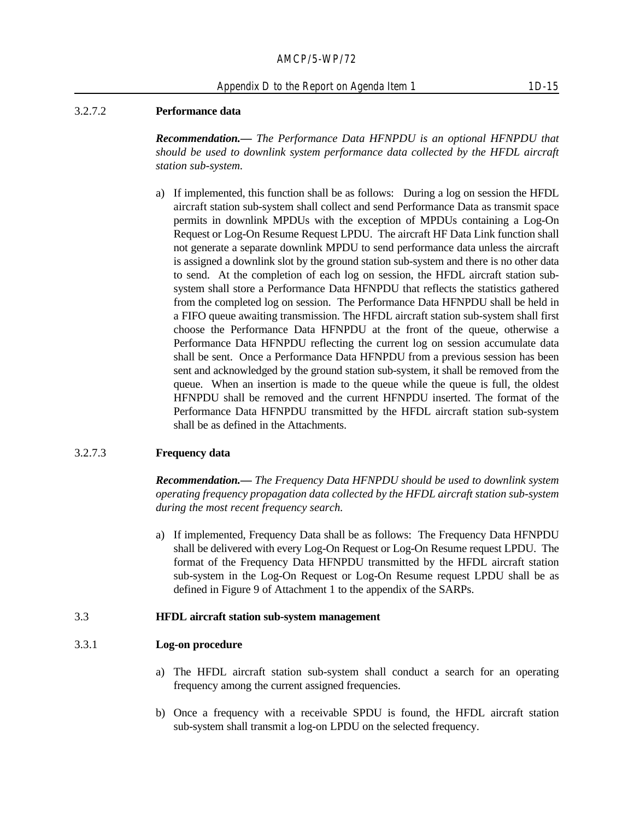# 3.2.7.2 **Performance data**

*Recommendation.— The Performance Data HFNPDU is an optional HFNPDU that should be used to downlink system performance data collected by the HFDL aircraft station sub-system.* 

a) If implemented, this function shall be as follows: During a log on session the HFDL aircraft station sub-system shall collect and send Performance Data as transmit space permits in downlink MPDUs with the exception of MPDUs containing a Log-On Request or Log-On Resume Request LPDU. The aircraft HF Data Link function shall not generate a separate downlink MPDU to send performance data unless the aircraft is assigned a downlink slot by the ground station sub-system and there is no other data to send. At the completion of each log on session, the HFDL aircraft station subsystem shall store a Performance Data HFNPDU that reflects the statistics gathered from the completed log on session. The Performance Data HFNPDU shall be held in a FIFO queue awaiting transmission. The HFDL aircraft station sub-system shall first choose the Performance Data HFNPDU at the front of the queue, otherwise a Performance Data HFNPDU reflecting the current log on session accumulate data shall be sent. Once a Performance Data HFNPDU from a previous session has been sent and acknowledged by the ground station sub-system, it shall be removed from the queue. When an insertion is made to the queue while the queue is full, the oldest HFNPDU shall be removed and the current HFNPDU inserted. The format of the Performance Data HFNPDU transmitted by the HFDL aircraft station sub-system shall be as defined in the Attachments.

#### 3.2.7.3 **Frequency data**

*Recommendation.— The Frequency Data HFNPDU should be used to downlink system operating frequency propagation data collected by the HFDL aircraft station sub-system during the most recent frequency search.* 

a) If implemented, Frequency Data shall be as follows: The Frequency Data HFNPDU shall be delivered with every Log-On Request or Log-On Resume request LPDU. The format of the Frequency Data HFNPDU transmitted by the HFDL aircraft station sub-system in the Log-On Request or Log-On Resume request LPDU shall be as defined in Figure 9 of Attachment 1 to the appendix of the SARPs.

#### 3.3 **HFDL aircraft station sub-system management**

#### 3.3.1 **Log-on procedure**

- a) The HFDL aircraft station sub-system shall conduct a search for an operating frequency among the current assigned frequencies.
- b) Once a frequency with a receivable SPDU is found, the HFDL aircraft station sub-system shall transmit a log-on LPDU on the selected frequency.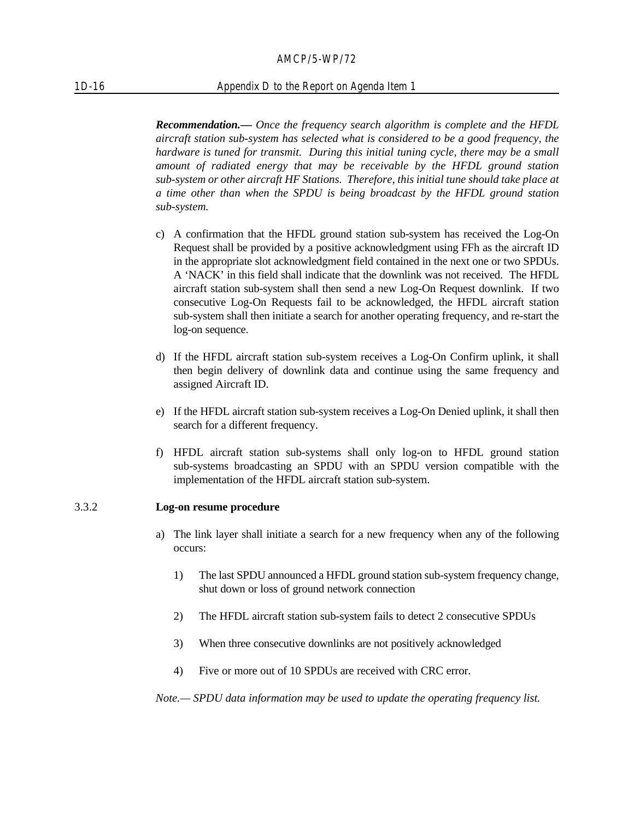#### 1D-16 Appendix D to the Report on Agenda Item 1

*Recommendation.— Once the frequency search algorithm is complete and the HFDL aircraft station sub-system has selected what is considered to be a good frequency, the hardware is tuned for transmit. During this initial tuning cycle, there may be a small amount of radiated energy that may be receivable by the HFDL ground station sub-system or other aircraft HF Stations. Therefore, this initial tune should take place at a time other than when the SPDU is being broadcast by the HFDL ground station sub-system.*

- c) A confirmation that the HFDL ground station sub-system has received the Log-On Request shall be provided by a positive acknowledgment using FFh as the aircraft ID in the appropriate slot acknowledgment field contained in the next one or two SPDUs. A 'NACK' in this field shall indicate that the downlink was not received. The HFDL aircraft station sub-system shall then send a new Log-On Request downlink. If two consecutive Log-On Requests fail to be acknowledged, the HFDL aircraft station sub-system shall then initiate a search for another operating frequency, and re-start the log-on sequence.
- d) If the HFDL aircraft station sub-system receives a Log-On Confirm uplink, it shall then begin delivery of downlink data and continue using the same frequency and assigned Aircraft ID.
- e) If the HFDL aircraft station sub-system receives a Log-On Denied uplink, it shall then search for a different frequency.
- f) HFDL aircraft station sub-systems shall only log-on to HFDL ground station sub-systems broadcasting an SPDU with an SPDU version compatible with the implementation of the HFDL aircraft station sub-system.

#### 3.3.2 **Log-on resume procedure**

- a) The link layer shall initiate a search for a new frequency when any of the following occurs:
	- 1) The last SPDU announced a HFDL ground station sub-system frequency change, shut down or loss of ground network connection
	- 2) The HFDL aircraft station sub-system fails to detect 2 consecutive SPDUs
	- 3) When three consecutive downlinks are not positively acknowledged
	- 4) Five or more out of 10 SPDUs are received with CRC error.

*Note.— SPDU data information may be used to update the operating frequency list.*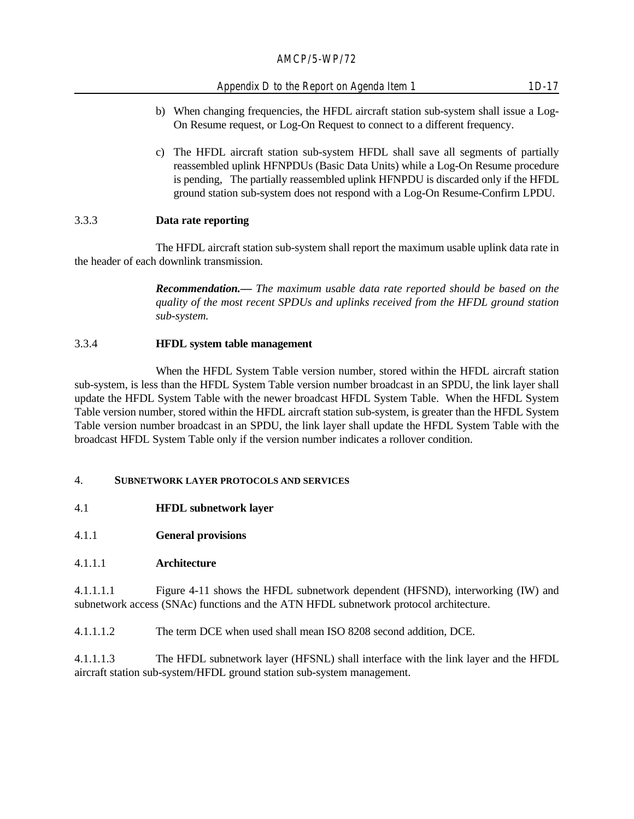# Appendix D to the Report on Agenda Item 1 1D-17

- b) When changing frequencies, the HFDL aircraft station sub-system shall issue a Log-On Resume request, or Log-On Request to connect to a different frequency.
- c) The HFDL aircraft station sub-system HFDL shall save all segments of partially reassembled uplink HFNPDUs (Basic Data Units) while a Log-On Resume procedure is pending, The partially reassembled uplink HFNPDU is discarded only if the HFDL ground station sub-system does not respond with a Log-On Resume-Confirm LPDU.

# 3.3.3 **Data rate reporting**

The HFDL aircraft station sub-system shall report the maximum usable uplink data rate in the header of each downlink transmission.

> *Recommendation.— The maximum usable data rate reported should be based on the quality of the most recent SPDUs and uplinks received from the HFDL ground station sub-system.*

# 3.3.4 **HFDL system table management**

When the HFDL System Table version number, stored within the HFDL aircraft station sub-system, is less than the HFDL System Table version number broadcast in an SPDU, the link layer shall update the HFDL System Table with the newer broadcast HFDL System Table. When the HFDL System Table version number, stored within the HFDL aircraft station sub-system, is greater than the HFDL System Table version number broadcast in an SPDU, the link layer shall update the HFDL System Table with the broadcast HFDL System Table only if the version number indicates a rollover condition.

#### 4. **SUBNETWORK LAYER PROTOCOLS AND SERVICES**

- 4.1 **HFDL subnetwork layer**
- 4.1.1 **General provisions**

#### 4.1.1.1 **Architecture**

4.1.1.1.1 Figure 4-11 shows the HFDL subnetwork dependent (HFSND), interworking (IW) and subnetwork access (SNAc) functions and the ATN HFDL subnetwork protocol architecture.

4.1.1.1.2 The term DCE when used shall mean ISO 8208 second addition, DCE.

4.1.1.1.3 The HFDL subnetwork layer (HFSNL) shall interface with the link layer and the HFDL aircraft station sub-system/HFDL ground station sub-system management.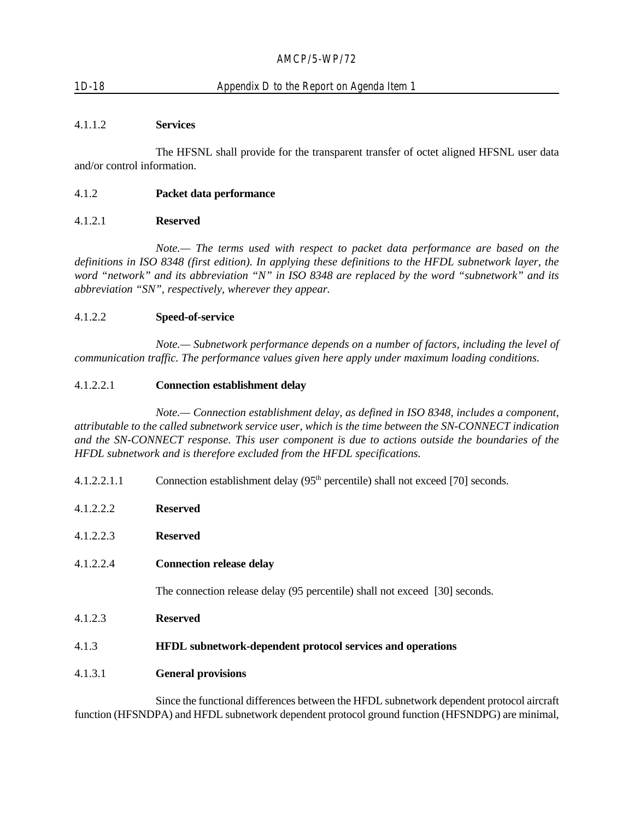# 1D-18 Appendix D to the Report on Agenda Item 1

# 4.1.1.2 **Services**

The HFSNL shall provide for the transparent transfer of octet aligned HFSNL user data and/or control information.

#### 4.1.2 **Packet data performance**

#### 4.1.2.1 **Reserved**

*Note.— The terms used with respect to packet data performance are based on the definitions in ISO 8348 (first edition). In applying these definitions to the HFDL subnetwork layer, the word "network" and its abbreviation "N" in ISO 8348 are replaced by the word "subnetwork" and its abbreviation "SN", respectively, wherever they appear.*

#### 4.1.2.2 **Speed-of-service**

*Note.— Subnetwork performance depends on a number of factors, including the level of communication traffic. The performance values given here apply under maximum loading conditions.*

#### 4.1.2.2.1 **Connection establishment delay**

*Note.— Connection establishment delay, as defined in ISO 8348, includes a component, attributable to the called subnetwork service user, which is the time between the SN-CONNECT indication and the SN-CONNECT response. This user component is due to actions outside the boundaries of the HFDL subnetwork and is therefore excluded from the HFDL specifications.*

4.1.2.2.1.1 Connection establishment delay  $(95<sup>th</sup>$  percentile) shall not exceed [70] seconds.

| 4.1.2.2.2 | <b>Reserved</b>                                                             |  |
|-----------|-----------------------------------------------------------------------------|--|
| 4.1.2.2.3 | <b>Reserved</b>                                                             |  |
| 4.1.2.2.4 | <b>Connection release delay</b>                                             |  |
|           | The connection release delay (95 percentile) shall not exceed [30] seconds. |  |
| 4.1.2.3   | <b>Reserved</b>                                                             |  |
| 4.1.3     | <b>HFDL</b> subnetwork-dependent protocol services and operations           |  |
| 4.1.3.1   | <b>General provisions</b>                                                   |  |

Since the functional differences between the HFDL subnetwork dependent protocol aircraft function (HFSNDPA) and HFDL subnetwork dependent protocol ground function (HFSNDPG) are minimal,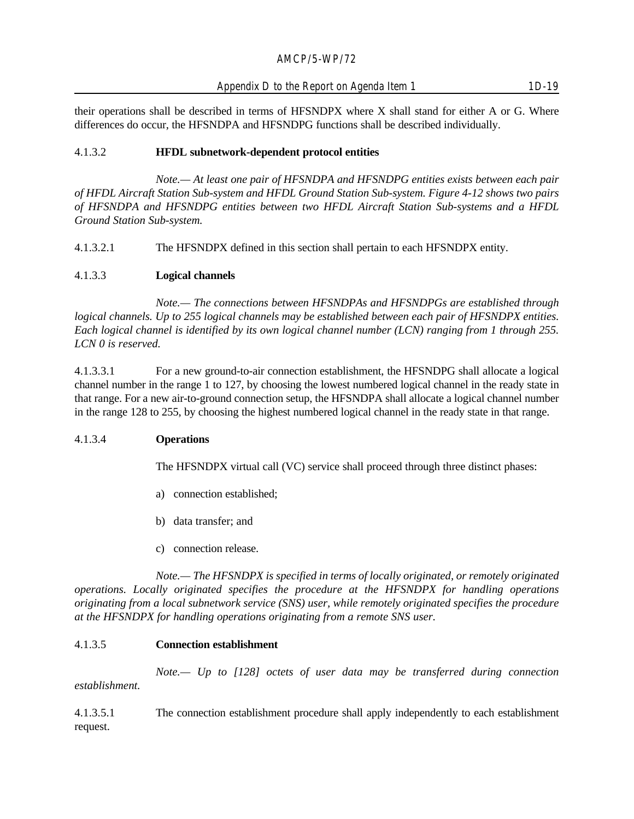their operations shall be described in terms of HFSNDPX where X shall stand for either A or G. Where differences do occur, the HFSNDPA and HFSNDPG functions shall be described individually.

# 4.1.3.2 **HFDL subnetwork-dependent protocol entities**

*Note.— At least one pair of HFSNDPA and HFSNDPG entities exists between each pair of HFDL Aircraft Station Sub-system and HFDL Ground Station Sub-system. Figure 4-12 shows two pairs of HFSNDPA and HFSNDPG entities between two HFDL Aircraft Station Sub-systems and a HFDL Ground Station Sub-system.*

4.1.3.2.1 The HFSNDPX defined in this section shall pertain to each HFSNDPX entity.

# 4.1.3.3 **Logical channels**

*Note.— The connections between HFSNDPAs and HFSNDPGs are established through logical channels. Up to 255 logical channels may be established between each pair of HFSNDPX entities. Each logical channel is identified by its own logical channel number (LCN) ranging from 1 through 255. LCN 0 is reserved.*

4.1.3.3.1 For a new ground-to-air connection establishment, the HFSNDPG shall allocate a logical channel number in the range 1 to 127, by choosing the lowest numbered logical channel in the ready state in that range. For a new air-to-ground connection setup, the HFSNDPA shall allocate a logical channel number in the range 128 to 255, by choosing the highest numbered logical channel in the ready state in that range.

#### 4.1.3.4 **Operations**

The HFSNDPX virtual call (VC) service shall proceed through three distinct phases:

- a) connection established;
- b) data transfer; and
- c) connection release.

*Note.— The HFSNDPX is specified in terms of locally originated, or remotely originated operations. Locally originated specifies the procedure at the HFSNDPX for handling operations originating from a local subnetwork service (SNS) user, while remotely originated specifies the procedure at the HFSNDPX for handling operations originating from a remote SNS user.*

#### 4.1.3.5 **Connection establishment**

*Note.— Up to [128] octets of user data may be transferred during connection establishment.*

4.1.3.5.1 The connection establishment procedure shall apply independently to each establishment request.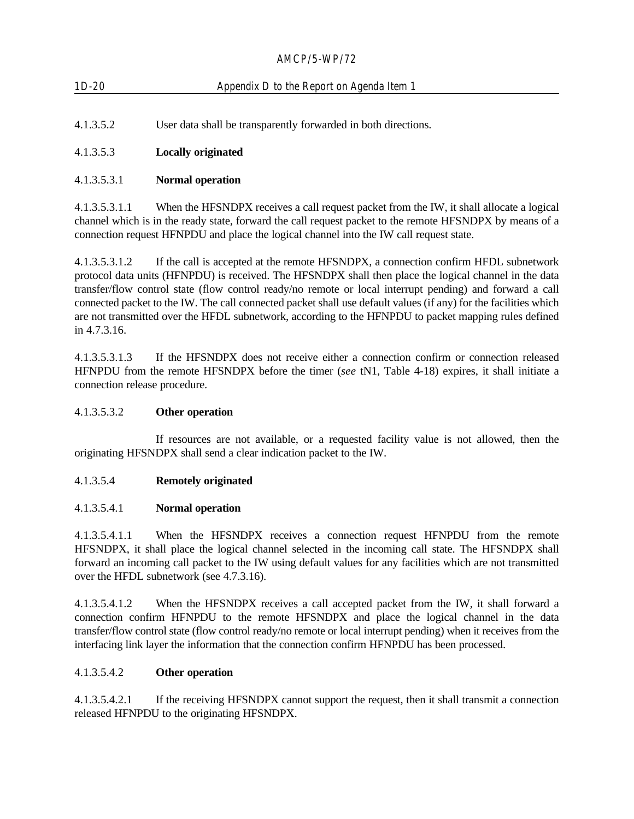| $1D-20$   | Appendix D to the Report on Agenda Item 1                      |
|-----------|----------------------------------------------------------------|
| 4.1.3.5.2 | User data shall be transparently forwarded in both directions. |

# 4.1.3.5.3 **Locally originated**

# 4.1.3.5.3.1 **Normal operation**

4.1.3.5.3.1.1 When the HFSNDPX receives a call request packet from the IW, it shall allocate a logical channel which is in the ready state, forward the call request packet to the remote HFSNDPX by means of a connection request HFNPDU and place the logical channel into the IW call request state.

4.1.3.5.3.1.2 If the call is accepted at the remote HFSNDPX, a connection confirm HFDL subnetwork protocol data units (HFNPDU) is received. The HFSNDPX shall then place the logical channel in the data transfer/flow control state (flow control ready/no remote or local interrupt pending) and forward a call connected packet to the IW. The call connected packet shall use default values (if any) for the facilities which are not transmitted over the HFDL subnetwork, according to the HFNPDU to packet mapping rules defined in 4.7.3.16.

4.1.3.5.3.1.3 If the HFSNDPX does not receive either a connection confirm or connection released HFNPDU from the remote HFSNDPX before the timer (*see* tN1, Table 4-18) expires, it shall initiate a connection release procedure.

# 4.1.3.5.3.2 **Other operation**

If resources are not available, or a requested facility value is not allowed, then the originating HFSNDPX shall send a clear indication packet to the IW.

#### 4.1.3.5.4 **Remotely originated**

#### 4.1.3.5.4.1 **Normal operation**

4.1.3.5.4.1.1 When the HFSNDPX receives a connection request HFNPDU from the remote HFSNDPX, it shall place the logical channel selected in the incoming call state. The HFSNDPX shall forward an incoming call packet to the IW using default values for any facilities which are not transmitted over the HFDL subnetwork (see 4.7.3.16).

4.1.3.5.4.1.2 When the HFSNDPX receives a call accepted packet from the IW, it shall forward a connection confirm HFNPDU to the remote HFSNDPX and place the logical channel in the data transfer/flow control state (flow control ready/no remote or local interrupt pending) when it receives from the interfacing link layer the information that the connection confirm HFNPDU has been processed.

### 4.1.3.5.4.2 **Other operation**

4.1.3.5.4.2.1 If the receiving HFSNDPX cannot support the request, then it shall transmit a connection released HFNPDU to the originating HFSNDPX.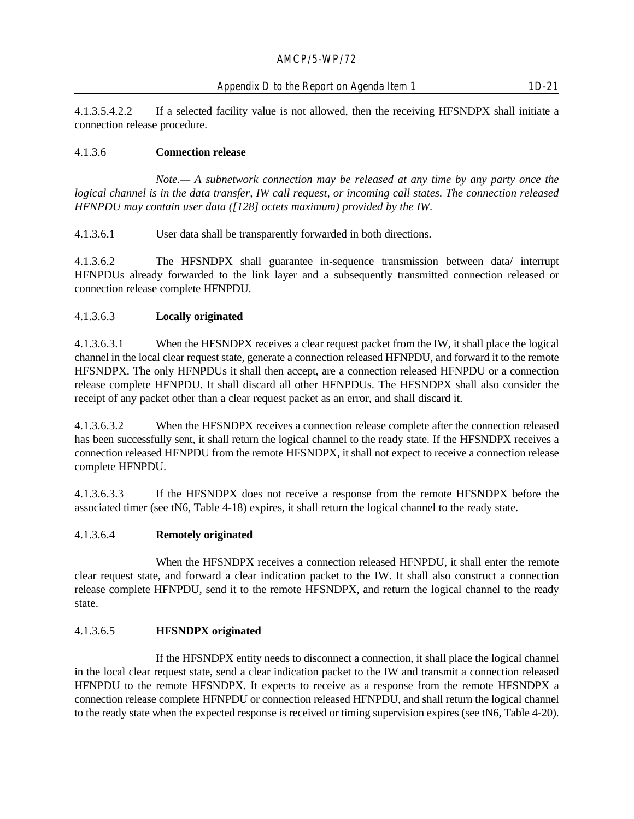4.1.3.5.4.2.2 If a selected facility value is not allowed, then the receiving HFSNDPX shall initiate a connection release procedure.

# 4.1.3.6 **Connection release**

*Note.— A subnetwork connection may be released at any time by any party once the logical channel is in the data transfer, IW call request, or incoming call states. The connection released HFNPDU may contain user data ([128] octets maximum) provided by the IW.*

4.1.3.6.1 User data shall be transparently forwarded in both directions.

4.1.3.6.2 The HFSNDPX shall guarantee in-sequence transmission between data/ interrupt HFNPDUs already forwarded to the link layer and a subsequently transmitted connection released or connection release complete HFNPDU.

# 4.1.3.6.3 **Locally originated**

4.1.3.6.3.1 When the HFSNDPX receives a clear request packet from the IW, it shall place the logical channel in the local clear request state, generate a connection released HFNPDU, and forward it to the remote HFSNDPX. The only HFNPDUs it shall then accept, are a connection released HFNPDU or a connection release complete HFNPDU. It shall discard all other HFNPDUs. The HFSNDPX shall also consider the receipt of any packet other than a clear request packet as an error, and shall discard it.

4.1.3.6.3.2 When the HFSNDPX receives a connection release complete after the connection released has been successfully sent, it shall return the logical channel to the ready state. If the HFSNDPX receives a connection released HFNPDU from the remote HFSNDPX, it shall not expect to receive a connection release complete HFNPDU.

4.1.3.6.3.3 If the HFSNDPX does not receive a response from the remote HFSNDPX before the associated timer (see tN6, Table 4-18) expires, it shall return the logical channel to the ready state.

# 4.1.3.6.4 **Remotely originated**

When the HFSNDPX receives a connection released HFNPDU, it shall enter the remote clear request state, and forward a clear indication packet to the IW. It shall also construct a connection release complete HFNPDU, send it to the remote HFSNDPX, and return the logical channel to the ready state.

# 4.1.3.6.5 **HFSNDPX originated**

If the HFSNDPX entity needs to disconnect a connection, it shall place the logical channel in the local clear request state, send a clear indication packet to the IW and transmit a connection released HFNPDU to the remote HFSNDPX. It expects to receive as a response from the remote HFSNDPX a connection release complete HFNPDU or connection released HFNPDU, and shall return the logical channel to the ready state when the expected response is received or timing supervision expires (see tN6, Table 4-20).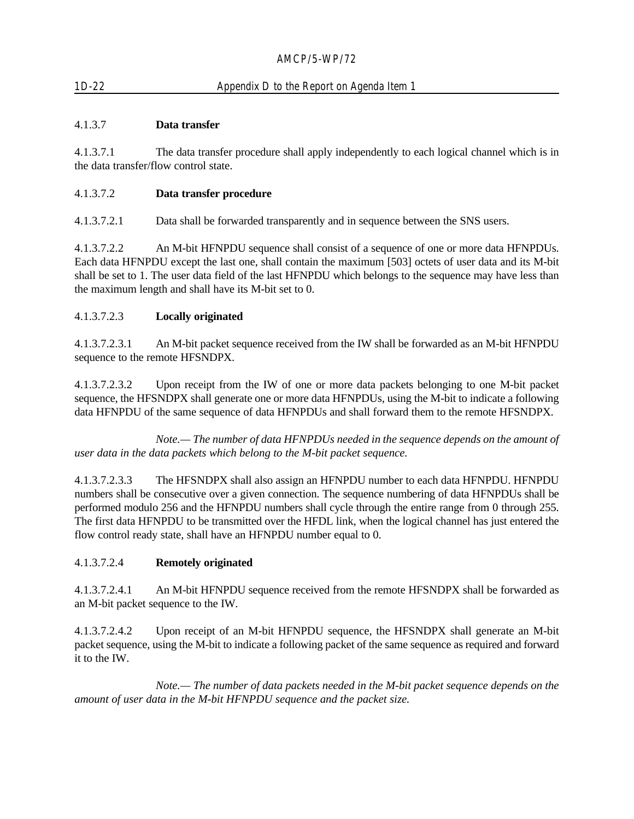# 1D-22 Appendix D to the Report on Agenda Item 1

# 4.1.3.7 **Data transfer**

4.1.3.7.1 The data transfer procedure shall apply independently to each logical channel which is in the data transfer/flow control state.

# 4.1.3.7.2 **Data transfer procedure**

4.1.3.7.2.1 Data shall be forwarded transparently and in sequence between the SNS users.

4.1.3.7.2.2 An M-bit HFNPDU sequence shall consist of a sequence of one or more data HFNPDUs. Each data HFNPDU except the last one, shall contain the maximum [503] octets of user data and its M-bit shall be set to 1. The user data field of the last HFNPDU which belongs to the sequence may have less than the maximum length and shall have its M-bit set to 0.

# 4.1.3.7.2.3 **Locally originated**

4.1.3.7.2.3.1 An M-bit packet sequence received from the IW shall be forwarded as an M-bit HFNPDU sequence to the remote HFSNDPX.

4.1.3.7.2.3.2 Upon receipt from the IW of one or more data packets belonging to one M-bit packet sequence, the HFSNDPX shall generate one or more data HFNPDUs, using the M-bit to indicate a following data HFNPDU of the same sequence of data HFNPDUs and shall forward them to the remote HFSNDPX.

*Note.— The number of data HFNPDUs needed in the sequence depends on the amount of user data in the data packets which belong to the M-bit packet sequence.*

4.1.3.7.2.3.3 The HFSNDPX shall also assign an HFNPDU number to each data HFNPDU. HFNPDU numbers shall be consecutive over a given connection. The sequence numbering of data HFNPDUs shall be performed modulo 256 and the HFNPDU numbers shall cycle through the entire range from 0 through 255. The first data HFNPDU to be transmitted over the HFDL link, when the logical channel has just entered the flow control ready state, shall have an HFNPDU number equal to 0.

#### 4.1.3.7.2.4 **Remotely originated**

4.1.3.7.2.4.1 An M-bit HFNPDU sequence received from the remote HFSNDPX shall be forwarded as an M-bit packet sequence to the IW.

4.1.3.7.2.4.2 Upon receipt of an M-bit HFNPDU sequence, the HFSNDPX shall generate an M-bit packet sequence, using the M-bit to indicate a following packet of the same sequence as required and forward it to the IW.

*Note.— The number of data packets needed in the M-bit packet sequence depends on the amount of user data in the M-bit HFNPDU sequence and the packet size.*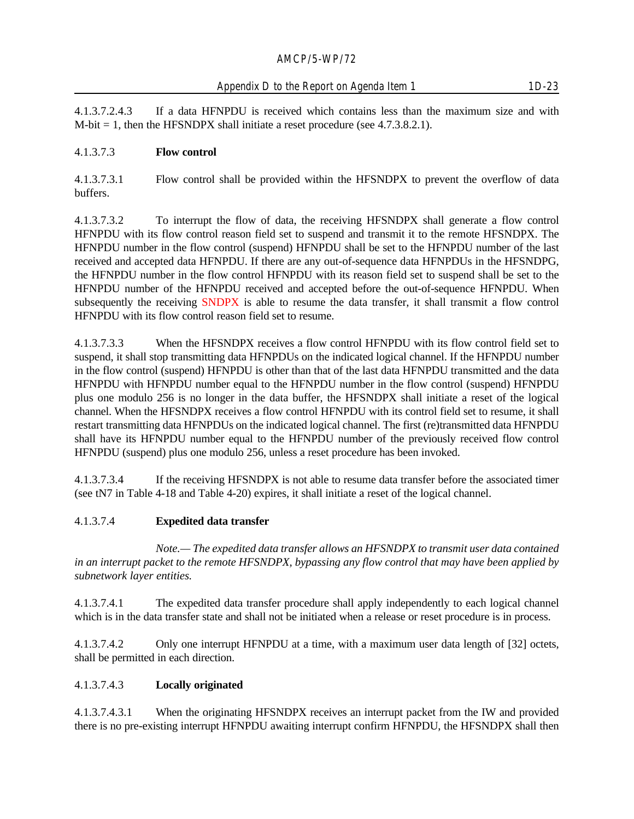4.1.3.7.2.4.3 If a data HFNPDU is received which contains less than the maximum size and with  $M$ -bit = 1, then the HFSNDPX shall initiate a reset procedure (see 4.7.3.8.2.1).

# 4.1.3.7.3 **Flow control**

4.1.3.7.3.1 Flow control shall be provided within the HFSNDPX to prevent the overflow of data buffers.

4.1.3.7.3.2 To interrupt the flow of data, the receiving HFSNDPX shall generate a flow control HFNPDU with its flow control reason field set to suspend and transmit it to the remote HFSNDPX. The HFNPDU number in the flow control (suspend) HFNPDU shall be set to the HFNPDU number of the last received and accepted data HFNPDU. If there are any out-of-sequence data HFNPDUs in the HFSNDPG, the HFNPDU number in the flow control HFNPDU with its reason field set to suspend shall be set to the HFNPDU number of the HFNPDU received and accepted before the out-of-sequence HFNPDU. When subsequently the receiving SNDPX is able to resume the data transfer, it shall transmit a flow control HFNPDU with its flow control reason field set to resume.

4.1.3.7.3.3 When the HFSNDPX receives a flow control HFNPDU with its flow control field set to suspend, it shall stop transmitting data HFNPDUs on the indicated logical channel. If the HFNPDU number in the flow control (suspend) HFNPDU is other than that of the last data HFNPDU transmitted and the data HFNPDU with HFNPDU number equal to the HFNPDU number in the flow control (suspend) HFNPDU plus one modulo 256 is no longer in the data buffer, the HFSNDPX shall initiate a reset of the logical channel. When the HFSNDPX receives a flow control HFNPDU with its control field set to resume, it shall restart transmitting data HFNPDUs on the indicated logical channel. The first (re)transmitted data HFNPDU shall have its HFNPDU number equal to the HFNPDU number of the previously received flow control HFNPDU (suspend) plus one modulo 256, unless a reset procedure has been invoked.

4.1.3.7.3.4 If the receiving HFSNDPX is not able to resume data transfer before the associated timer (see tN7 in Table 4-18 and Table 4-20) expires, it shall initiate a reset of the logical channel.

#### 4.1.3.7.4 **Expedited data transfer**

*Note.— The expedited data transfer allows an HFSNDPX to transmit user data contained in an interrupt packet to the remote HFSNDPX, bypassing any flow control that may have been applied by subnetwork layer entities.*

4.1.3.7.4.1 The expedited data transfer procedure shall apply independently to each logical channel which is in the data transfer state and shall not be initiated when a release or reset procedure is in process.

4.1.3.7.4.2 Only one interrupt HFNPDU at a time, with a maximum user data length of [32] octets, shall be permitted in each direction.

#### 4.1.3.7.4.3 **Locally originated**

4.1.3.7.4.3.1 When the originating HFSNDPX receives an interrupt packet from the IW and provided there is no pre-existing interrupt HFNPDU awaiting interrupt confirm HFNPDU, the HFSNDPX shall then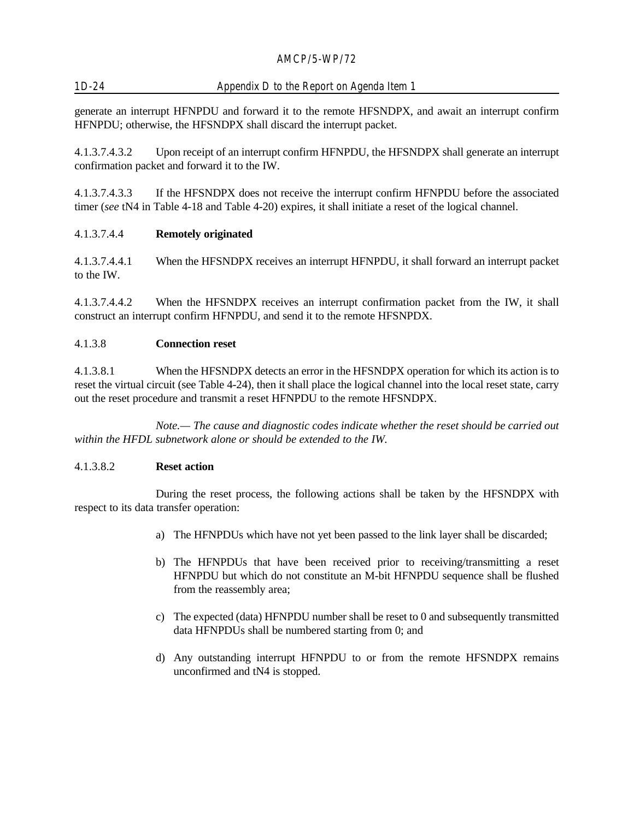# 1D-24 Appendix D to the Report on Agenda Item 1

generate an interrupt HFNPDU and forward it to the remote HFSNDPX, and await an interrupt confirm HFNPDU; otherwise, the HFSNDPX shall discard the interrupt packet.

4.1.3.7.4.3.2 Upon receipt of an interrupt confirm HFNPDU, the HFSNDPX shall generate an interrupt confirmation packet and forward it to the IW.

4.1.3.7.4.3.3 If the HFSNDPX does not receive the interrupt confirm HFNPDU before the associated timer (*see* tN4 in Table 4-18 and Table 4-20) expires, it shall initiate a reset of the logical channel.

#### 4.1.3.7.4.4 **Remotely originated**

4.1.3.7.4.4.1 When the HFSNDPX receives an interrupt HFNPDU, it shall forward an interrupt packet to the IW.

4.1.3.7.4.4.2 When the HFSNDPX receives an interrupt confirmation packet from the IW, it shall construct an interrupt confirm HFNPDU, and send it to the remote HFSNPDX.

#### 4.1.3.8 **Connection reset**

4.1.3.8.1 When the HFSNDPX detects an error in the HFSNDPX operation for which its action is to reset the virtual circuit (see Table 4-24), then it shall place the logical channel into the local reset state, carry out the reset procedure and transmit a reset HFNPDU to the remote HFSNDPX.

*Note.— The cause and diagnostic codes indicate whether the reset should be carried out within the HFDL subnetwork alone or should be extended to the IW.*

#### 4.1.3.8.2 **Reset action**

During the reset process, the following actions shall be taken by the HFSNDPX with respect to its data transfer operation:

- a) The HFNPDUs which have not yet been passed to the link layer shall be discarded;
- b) The HFNPDUs that have been received prior to receiving/transmitting a reset HFNPDU but which do not constitute an M-bit HFNPDU sequence shall be flushed from the reassembly area;
- c) The expected (data) HFNPDU number shall be reset to 0 and subsequently transmitted data HFNPDUs shall be numbered starting from 0; and
- d) Any outstanding interrupt HFNPDU to or from the remote HFSNDPX remains unconfirmed and tN4 is stopped.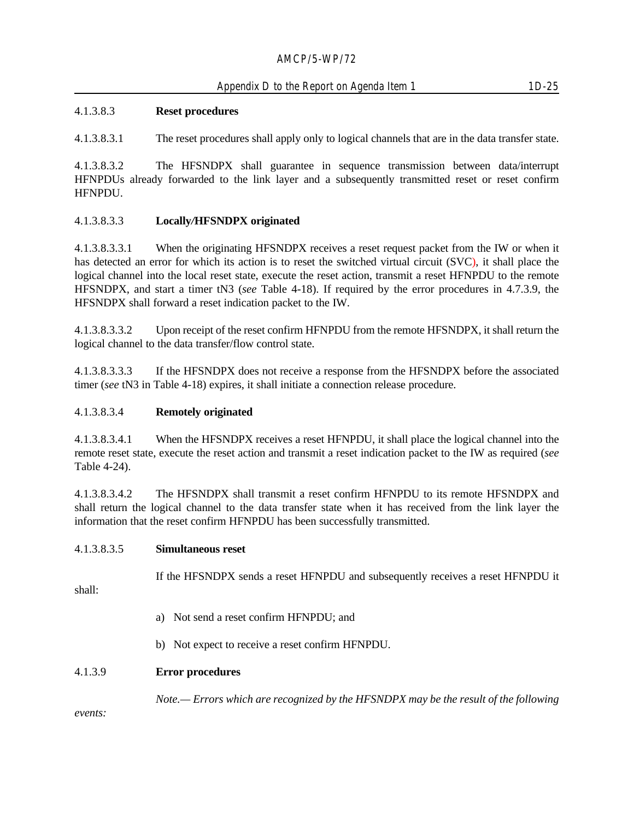# 4.1.3.8.3 **Reset procedures**

4.1.3.8.3.1 The reset procedures shall apply only to logical channels that are in the data transfer state.

4.1.3.8.3.2 The HFSNDPX shall guarantee in sequence transmission between data/interrupt HFNPDUs already forwarded to the link layer and a subsequently transmitted reset or reset confirm HFNPDU.

# 4.1.3.8.3.3 **Locally***/***HFSNDPX originated**

4.1.3.8.3.3.1 When the originating HFSNDPX receives a reset request packet from the IW or when it has detected an error for which its action is to reset the switched virtual circuit (SVC), it shall place the logical channel into the local reset state, execute the reset action, transmit a reset HFNPDU to the remote HFSNDPX, and start a timer tN3 (*see* Table 4-18). If required by the error procedures in 4.7.3.9, the HFSNDPX shall forward a reset indication packet to the IW.

4.1.3.8.3.3.2 Upon receipt of the reset confirm HFNPDU from the remote HFSNDPX, it shall return the logical channel to the data transfer/flow control state.

4.1.3.8.3.3.3 If the HFSNDPX does not receive a response from the HFSNDPX before the associated timer (*see* tN3 in Table 4-18) expires, it shall initiate a connection release procedure.

#### 4.1.3.8.3.4 **Remotely originated**

4.1.3.8.3.4.1 When the HFSNDPX receives a reset HFNPDU, it shall place the logical channel into the remote reset state, execute the reset action and transmit a reset indication packet to the IW as required (*see* Table 4-24).

4.1.3.8.3.4.2 The HFSNDPX shall transmit a reset confirm HFNPDU to its remote HFSNDPX and shall return the logical channel to the data transfer state when it has received from the link layer the information that the reset confirm HFNPDU has been successfully transmitted.

#### 4.1.3.8.3.5 **Simultaneous reset**

If the HFSNDPX sends a reset HFNPDU and subsequently receives a reset HFNPDU it

shall:

- a) Not send a reset confirm HFNPDU; and
- b) Not expect to receive a reset confirm HFNPDU.

#### 4.1.3.9 **Error procedures**

*Note.— Errors which are recognized by the HFSNDPX may be the result of the following*

*events:*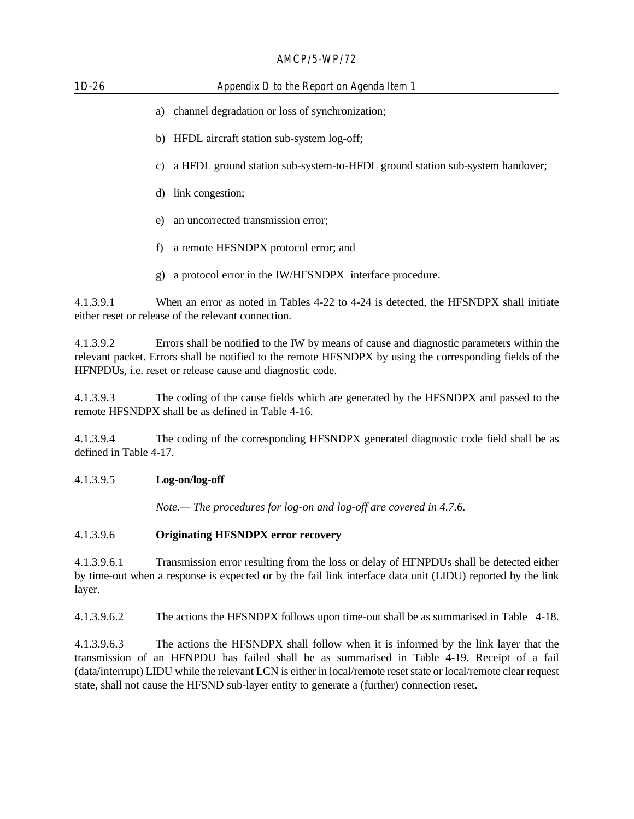# $AMCD/E$  WD/70

| $AMCP/5-WP/7Z$                                                                                                                                                                                                        |                                                                                                                                                                                                                                                                    |  |
|-----------------------------------------------------------------------------------------------------------------------------------------------------------------------------------------------------------------------|--------------------------------------------------------------------------------------------------------------------------------------------------------------------------------------------------------------------------------------------------------------------|--|
| Appendix D to the Report on Agenda Item 1<br>$1D-26$                                                                                                                                                                  |                                                                                                                                                                                                                                                                    |  |
|                                                                                                                                                                                                                       | channel degradation or loss of synchronization;<br>a)                                                                                                                                                                                                              |  |
| b) HFDL aircraft station sub-system log-off;                                                                                                                                                                          |                                                                                                                                                                                                                                                                    |  |
|                                                                                                                                                                                                                       | a HFDL ground station sub-system-to-HFDL ground station sub-system handover;<br>c)                                                                                                                                                                                 |  |
|                                                                                                                                                                                                                       | d) link congestion;                                                                                                                                                                                                                                                |  |
|                                                                                                                                                                                                                       | an uncorrected transmission error;<br>e)                                                                                                                                                                                                                           |  |
|                                                                                                                                                                                                                       | a remote HFSNDPX protocol error; and<br>f)                                                                                                                                                                                                                         |  |
|                                                                                                                                                                                                                       | a protocol error in the IW/HFSNDPX interface procedure.<br>g)                                                                                                                                                                                                      |  |
| 4.1.3.9.1                                                                                                                                                                                                             | When an error as noted in Tables 4-22 to 4-24 is detected, the HFSNDPX shall initiate<br>either reset or release of the relevant connection.                                                                                                                       |  |
| 4.1.3.9.2                                                                                                                                                                                                             | Errors shall be notified to the IW by means of cause and diagnostic parameters within the<br>relevant packet. Errors shall be notified to the remote HFSNDPX by using the corresponding fields of the<br>HFNPDUs, i.e. reset or release cause and diagnostic code. |  |
| 4.1.3.9.3                                                                                                                                                                                                             | The coding of the cause fields which are generated by the HFSNDPX and passed to the<br>remote HFSNDPX shall be as defined in Table 4-16.                                                                                                                           |  |
| The coding of the corresponding HFSNDPX generated diagnostic code field shall be as<br>4.1.3.9.4<br>defined in Table 4-17.                                                                                            |                                                                                                                                                                                                                                                                    |  |
| 4.1.3.9.5                                                                                                                                                                                                             | Log-on/log-off                                                                                                                                                                                                                                                     |  |
|                                                                                                                                                                                                                       | Note.— The procedures for log-on and log-off are covered in 4.7.6.                                                                                                                                                                                                 |  |
| 4.1.3.9.6                                                                                                                                                                                                             | <b>Originating HFSNDPX error recovery</b>                                                                                                                                                                                                                          |  |
| 4.1.3.9.6.1<br>Transmission error resulting from the loss or delay of HFNPDUs shall be detected either<br>by time-out when a response is expected or by the fail link interface data unit (LIDU) reported by the link |                                                                                                                                                                                                                                                                    |  |

layer.

4.1.3.9.6.2 The actions the HFSNDPX follows upon time-out shall be as summarised in Table 4-18.

4.1.3.9.6.3 The actions the HFSNDPX shall follow when it is informed by the link layer that the transmission of an HFNPDU has failed shall be as summarised in Table 4-19. Receipt of a fail (data/interrupt) LIDU while the relevant LCN is either in local/remote reset state or local/remote clear request state, shall not cause the HFSND sub-layer entity to generate a (further) connection reset.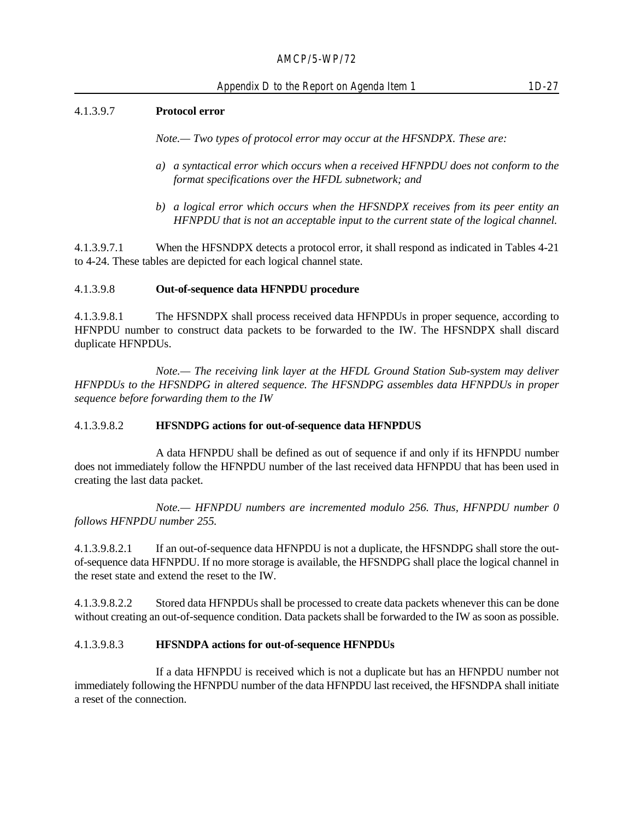#### 4.1.3.9.7 **Protocol error**

*Note.— Two types of protocol error may occur at the HFSNDPX. These are:*

- *a) a syntactical error which occurs when a received HFNPDU does not conform to the format specifications over the HFDL subnetwork; and*
- *b) a logical error which occurs when the HFSNDPX receives from its peer entity an HFNPDU that is not an acceptable input to the current state of the logical channel.*

4.1.3.9.7.1 When the HFSNDPX detects a protocol error, it shall respond as indicated in Tables 4-21 to 4-24. These tables are depicted for each logical channel state.

#### 4.1.3.9.8 **Out-of-sequence data HFNPDU procedure**

4.1.3.9.8.1 The HFSNDPX shall process received data HFNPDUs in proper sequence, according to HFNPDU number to construct data packets to be forwarded to the IW. The HFSNDPX shall discard duplicate HFNPDUs.

*Note.— The receiving link layer at the HFDL Ground Station Sub-system may deliver HFNPDUs to the HFSNDPG in altered sequence. The HFSNDPG assembles data HFNPDUs in proper sequence before forwarding them to the IW*

#### 4.1.3.9.8.2 **HFSNDPG actions for out-of-sequence data HFNPDUS**

A data HFNPDU shall be defined as out of sequence if and only if its HFNPDU number does not immediately follow the HFNPDU number of the last received data HFNPDU that has been used in creating the last data packet.

*Note.— HFNPDU numbers are incremented modulo 256. Thus, HFNPDU number 0 follows HFNPDU number 255.*

4.1.3.9.8.2.1 If an out-of-sequence data HFNPDU is not a duplicate, the HFSNDPG shall store the outof-sequence data HFNPDU. If no more storage is available, the HFSNDPG shall place the logical channel in the reset state and extend the reset to the IW.

4.1.3.9.8.2.2 Stored data HFNPDUs shall be processed to create data packets whenever this can be done without creating an out-of-sequence condition. Data packets shall be forwarded to the IW as soon as possible.

#### 4.1.3.9.8.3 **HFSNDPA actions for out-of-sequence HFNPDUs**

If a data HFNPDU is received which is not a duplicate but has an HFNPDU number not immediately following the HFNPDU number of the data HFNPDU last received, the HFSNDPA shall initiate a reset of the connection.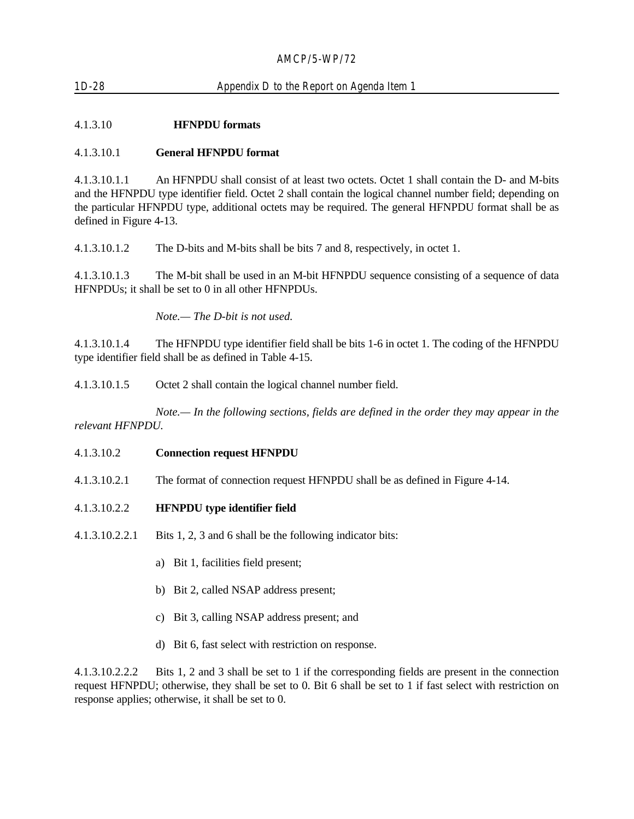# 1D-28 Appendix D to the Report on Agenda Item 1

# 4.1.3.10 **HFNPDU formats**

#### 4.1.3.10.1 **General HFNPDU format**

4.1.3.10.1.1 An HFNPDU shall consist of at least two octets. Octet 1 shall contain the D- and M-bits and the HFNPDU type identifier field. Octet 2 shall contain the logical channel number field; depending on the particular HFNPDU type, additional octets may be required. The general HFNPDU format shall be as defined in Figure 4-13.

4.1.3.10.1.2 The D-bits and M-bits shall be bits 7 and 8, respectively, in octet 1.

4.1.3.10.1.3 The M-bit shall be used in an M-bit HFNPDU sequence consisting of a sequence of data HFNPDUs; it shall be set to 0 in all other HFNPDUs.

*Note.— The D-bit is not used.*

4.1.3.10.1.4 The HFNPDU type identifier field shall be bits 1-6 in octet 1. The coding of the HFNPDU type identifier field shall be as defined in Table 4-15.

4.1.3.10.1.5 Octet 2 shall contain the logical channel number field.

*Note.— In the following sections, fields are defined in the order they may appear in the relevant HFNPDU.*

#### 4.1.3.10.2 **Connection request HFNPDU**

- 4.1.3.10.2.1 The format of connection request HFNPDU shall be as defined in Figure 4-14.
- 4.1.3.10.2.2 **HFNPDU type identifier field**
- 4.1.3.10.2.2.1 Bits 1, 2, 3 and 6 shall be the following indicator bits:
	- a) Bit 1, facilities field present;
	- b) Bit 2, called NSAP address present;
	- c) Bit 3, calling NSAP address present; and
	- d) Bit 6, fast select with restriction on response.

4.1.3.10.2.2.2 Bits 1, 2 and 3 shall be set to 1 if the corresponding fields are present in the connection request HFNPDU; otherwise, they shall be set to 0. Bit 6 shall be set to 1 if fast select with restriction on response applies; otherwise, it shall be set to 0.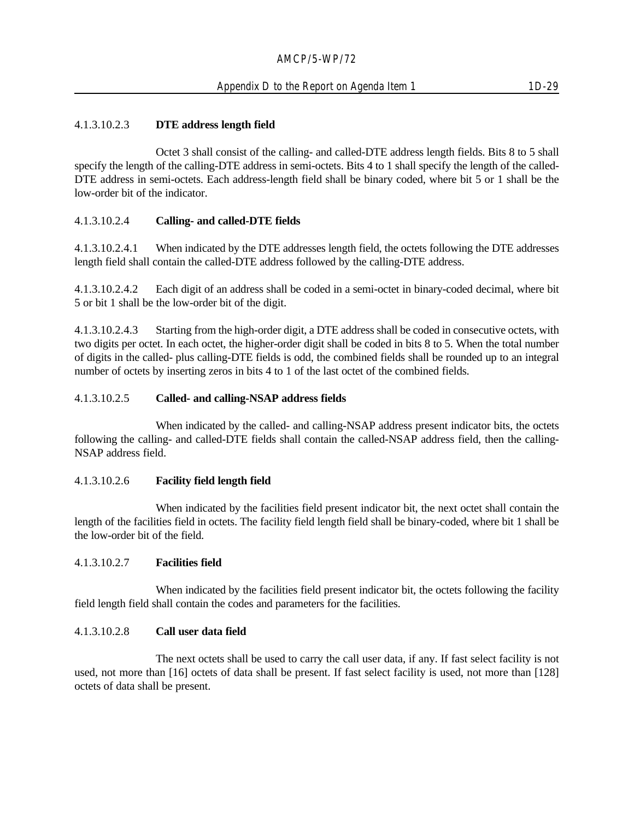# 4.1.3.10.2.3 **DTE address length field**

Octet 3 shall consist of the calling- and called-DTE address length fields. Bits 8 to 5 shall specify the length of the calling-DTE address in semi-octets. Bits 4 to 1 shall specify the length of the called-DTE address in semi-octets. Each address-length field shall be binary coded, where bit 5 or 1 shall be the low-order bit of the indicator.

#### 4.1.3.10.2.4 **Calling- and called-DTE fields**

4.1.3.10.2.4.1 When indicated by the DTE addresses length field, the octets following the DTE addresses length field shall contain the called-DTE address followed by the calling-DTE address.

4.1.3.10.2.4.2 Each digit of an address shall be coded in a semi-octet in binary-coded decimal, where bit 5 or bit 1 shall be the low-order bit of the digit.

4.1.3.10.2.4.3 Starting from the high-order digit, a DTE address shall be coded in consecutive octets, with two digits per octet. In each octet, the higher-order digit shall be coded in bits 8 to 5. When the total number of digits in the called- plus calling-DTE fields is odd, the combined fields shall be rounded up to an integral number of octets by inserting zeros in bits 4 to 1 of the last octet of the combined fields.

#### 4.1.3.10.2.5 **Called- and calling-NSAP address fields**

When indicated by the called- and calling-NSAP address present indicator bits, the octets following the calling- and called-DTE fields shall contain the called-NSAP address field, then the calling-NSAP address field.

#### 4.1.3.10.2.6 **Facility field length field**

When indicated by the facilities field present indicator bit, the next octet shall contain the length of the facilities field in octets. The facility field length field shall be binary-coded, where bit 1 shall be the low-order bit of the field.

#### 4.1.3.10.2.7 **Facilities field**

When indicated by the facilities field present indicator bit, the octets following the facility field length field shall contain the codes and parameters for the facilities.

#### 4.1.3.10.2.8 **Call user data field**

The next octets shall be used to carry the call user data, if any. If fast select facility is not used, not more than [16] octets of data shall be present. If fast select facility is used, not more than [128] octets of data shall be present.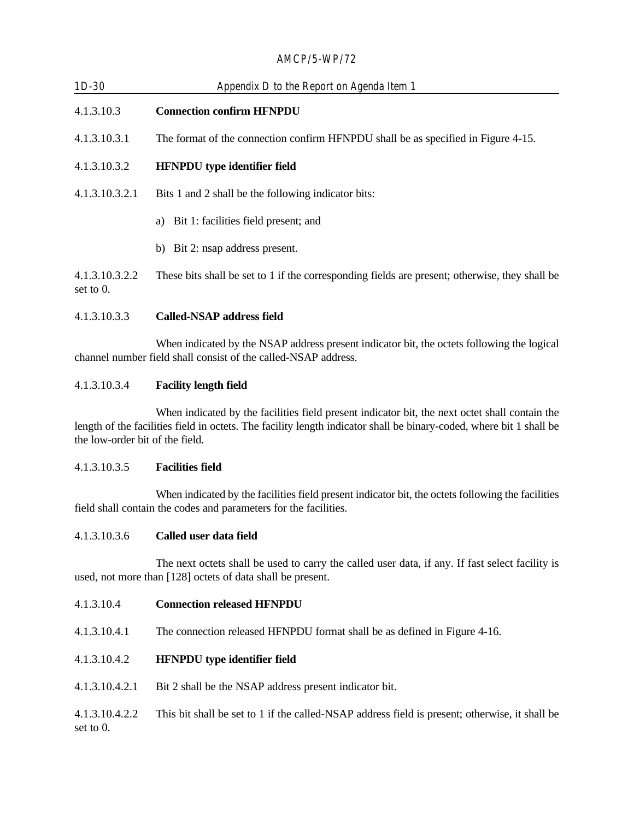| $1D-30$                        | Appendix D to the Report on Agenda Item 1                                                      |  |
|--------------------------------|------------------------------------------------------------------------------------------------|--|
| 4.1.3.10.3                     | <b>Connection confirm HFNPDU</b>                                                               |  |
| 4.1.3.10.3.1                   | The format of the connection confirm HFNPDU shall be as specified in Figure 4-15.              |  |
| 4.1.3.10.3.2                   | <b>HFNPDU</b> type identifier field                                                            |  |
| 4.1.3.10.3.2.1                 | Bits 1 and 2 shall be the following indicator bits:                                            |  |
|                                | Bit 1: facilities field present; and<br>a)                                                     |  |
|                                | b) Bit 2: nsap address present.                                                                |  |
| 4.1.3.10.3.2.2<br>set to $0$ . | These bits shall be set to 1 if the corresponding fields are present; otherwise, they shall be |  |
| 4.1.3.10.3.3                   | <b>Called-NSAP address field</b>                                                               |  |

When indicated by the NSAP address present indicator bit, the octets following the logical channel number field shall consist of the called-NSAP address.

# 4.1.3.10.3.4 **Facility length field**

When indicated by the facilities field present indicator bit, the next octet shall contain the length of the facilities field in octets. The facility length indicator shall be binary-coded, where bit 1 shall be the low-order bit of the field.

#### 4.1.3.10.3.5 **Facilities field**

When indicated by the facilities field present indicator bit, the octets following the facilities field shall contain the codes and parameters for the facilities.

#### 4.1.3.10.3.6 **Called user data field**

The next octets shall be used to carry the called user data, if any. If fast select facility is used, not more than [128] octets of data shall be present.

- 4.1.3.10.4 **Connection released HFNPDU**
- 4.1.3.10.4.1 The connection released HFNPDU format shall be as defined in Figure 4-16.

# 4.1.3.10.4.2 **HFNPDU type identifier field**

4.1.3.10.4.2.1 Bit 2 shall be the NSAP address present indicator bit.

4.1.3.10.4.2.2 This bit shall be set to 1 if the called-NSAP address field is present; otherwise, it shall be set to 0.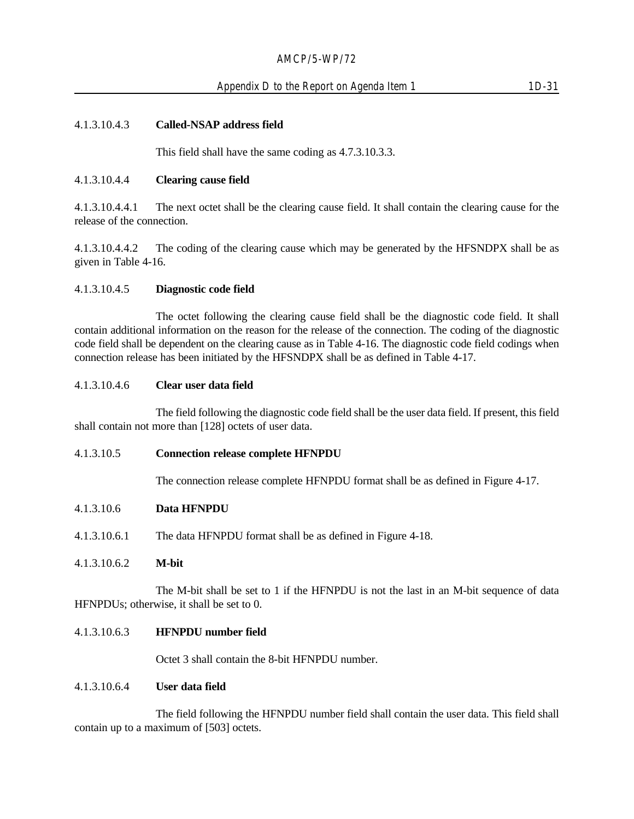#### 4.1.3.10.4.3 **Called-NSAP address field**

This field shall have the same coding as 4.7.3.10.3.3.

#### 4.1.3.10.4.4 **Clearing cause field**

4.1.3.10.4.4.1 The next octet shall be the clearing cause field. It shall contain the clearing cause for the release of the connection.

4.1.3.10.4.4.2 The coding of the clearing cause which may be generated by the HFSNDPX shall be as given in Table 4-16.

#### 4.1.3.10.4.5 **Diagnostic code field**

The octet following the clearing cause field shall be the diagnostic code field. It shall contain additional information on the reason for the release of the connection. The coding of the diagnostic code field shall be dependent on the clearing cause as in Table 4-16. The diagnostic code field codings when connection release has been initiated by the HFSNDPX shall be as defined in Table 4-17.

#### 4.1.3.10.4.6 **Clear user data field**

The field following the diagnostic code field shall be the user data field. If present, this field shall contain not more than [128] octets of user data.

#### 4.1.3.10.5 **Connection release complete HFNPDU**

The connection release complete HFNPDU format shall be as defined in Figure 4-17.

#### 4.1.3.10.6 **Data HFNPDU**

4.1.3.10.6.1 The data HFNPDU format shall be as defined in Figure 4-18.

#### 4.1.3.10.6.2 **M-bit**

The M-bit shall be set to 1 if the HFNPDU is not the last in an M-bit sequence of data HFNPDUs; otherwise, it shall be set to 0.

#### 4.1.3.10.6.3 **HFNPDU number field**

Octet 3 shall contain the 8-bit HFNPDU number.

#### 4.1.3.10.6.4 **User data field**

The field following the HFNPDU number field shall contain the user data. This field shall contain up to a maximum of [503] octets.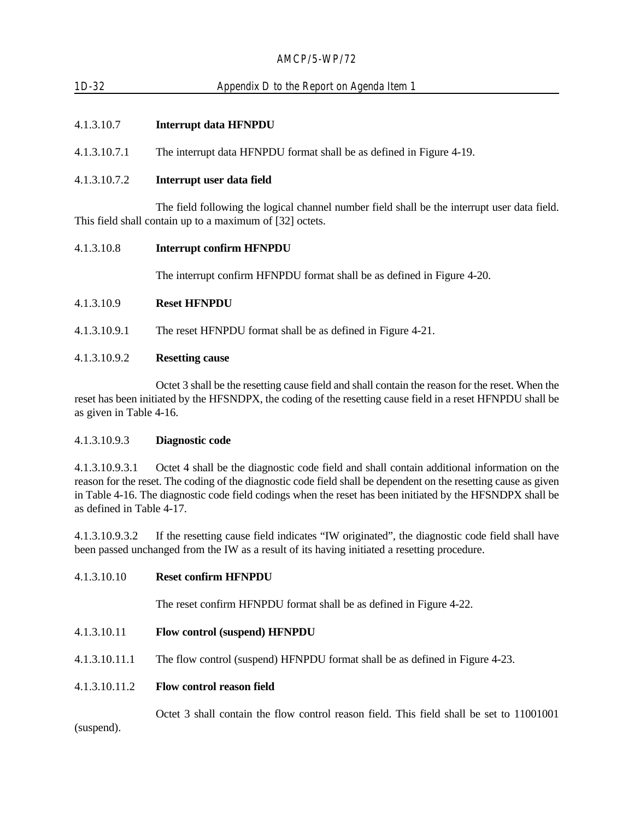# 1D-32 Appendix D to the Report on Agenda Item 1

# 4.1.3.10.7 **Interrupt data HFNPDU**

4.1.3.10.7.1 The interrupt data HFNPDU format shall be as defined in Figure 4-19.

# 4.1.3.10.7.2 **Interrupt user data field**

The field following the logical channel number field shall be the interrupt user data field. This field shall contain up to a maximum of [32] octets.

#### 4.1.3.10.8 **Interrupt confirm HFNPDU**

The interrupt confirm HFNPDU format shall be as defined in Figure 4-20.

#### 4.1.3.10.9 **Reset HFNPDU**

4.1.3.10.9.1 The reset HFNPDU format shall be as defined in Figure 4-21.

# 4.1.3.10.9.2 **Resetting cause**

Octet 3 shall be the resetting cause field and shall contain the reason for the reset. When the reset has been initiated by the HFSNDPX, the coding of the resetting cause field in a reset HFNPDU shall be as given in Table 4-16.

#### 4.1.3.10.9.3 **Diagnostic code**

4.1.3.10.9.3.1 Octet 4 shall be the diagnostic code field and shall contain additional information on the reason for the reset. The coding of the diagnostic code field shall be dependent on the resetting cause as given in Table 4-16. The diagnostic code field codings when the reset has been initiated by the HFSNDPX shall be as defined in Table 4-17.

4.1.3.10.9.3.2 If the resetting cause field indicates "IW originated", the diagnostic code field shall have been passed unchanged from the IW as a result of its having initiated a resetting procedure.

4.1.3.10.10 **Reset confirm HFNPDU**

The reset confirm HFNPDU format shall be as defined in Figure 4-22.

- 4.1.3.10.11 **Flow control (suspend) HFNPDU**
- 4.1.3.10.11.1 The flow control (suspend) HFNPDU format shall be as defined in Figure 4-23.
- 4.1.3.10.11.2 **Flow control reason field**

Octet 3 shall contain the flow control reason field. This field shall be set to 11001001 (suspend).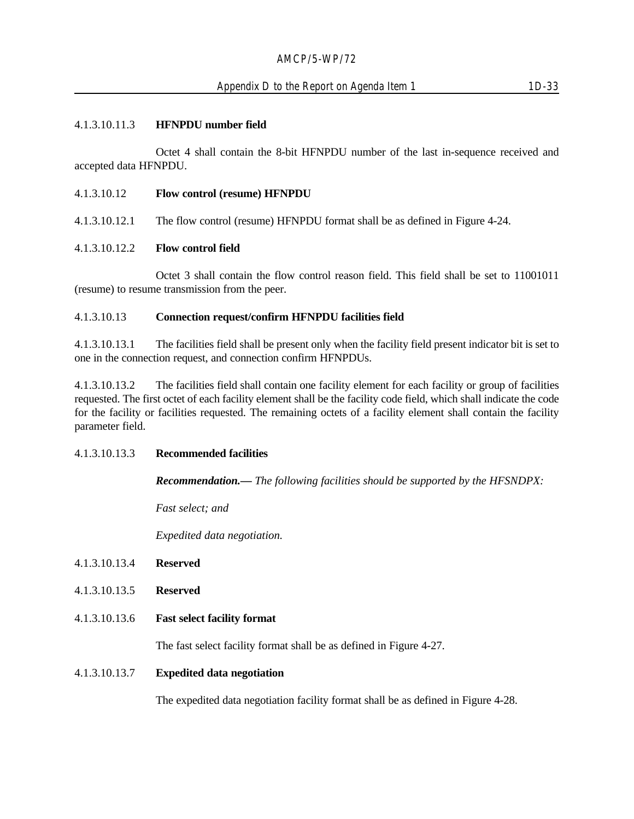Octet 4 shall contain the 8-bit HFNPDU number of the last in-sequence received and accepted data HFNPDU.

4.1.3.10.12 **Flow control (resume) HFNPDU**

4.1.3.10.12.1 The flow control (resume) HFNPDU format shall be as defined in Figure 4-24.

# 4.1.3.10.12.2 **Flow control field**

Octet 3 shall contain the flow control reason field. This field shall be set to 11001011 (resume) to resume transmission from the peer.

#### 4.1.3.10.13 **Connection request/confirm HFNPDU facilities field**

4.1.3.10.13.1 The facilities field shall be present only when the facility field present indicator bit is set to one in the connection request, and connection confirm HFNPDUs.

4.1.3.10.13.2 The facilities field shall contain one facility element for each facility or group of facilities requested. The first octet of each facility element shall be the facility code field, which shall indicate the code for the facility or facilities requested. The remaining octets of a facility element shall contain the facility parameter field.

#### 4.1.3.10.13.3 **Recommended facilities**

*Recommendation.— The following facilities should be supported by the HFSNDPX:*

*Fast select; and*

*Expedited data negotiation.*

- 4.1.3.10.13.4 **Reserved**
- 4.1.3.10.13.5 **Reserved**
- 4.1.3.10.13.6 **Fast select facility format**

The fast select facility format shall be as defined in Figure 4-27.

#### 4.1.3.10.13.7 **Expedited data negotiation**

The expedited data negotiation facility format shall be as defined in Figure 4-28.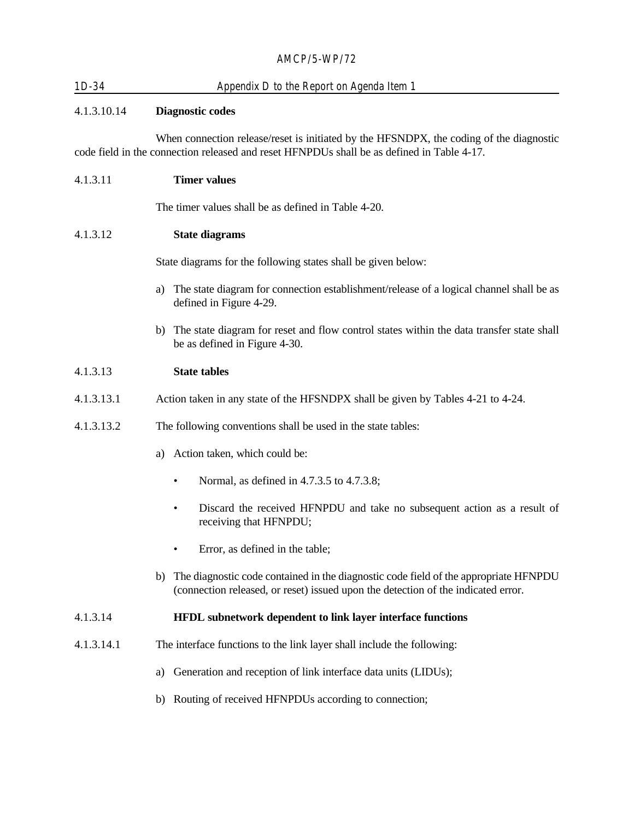| 1D-34 | Appendix D to the Report on Agenda Item 1 |
|-------|-------------------------------------------|
|       |                                           |

# 4.1.3.10.14 **Diagnostic codes**

When connection release/reset is initiated by the HFSNDPX, the coding of the diagnostic code field in the connection released and reset HFNPDUs shall be as defined in Table 4-17.

#### 4.1.3.11 **Timer values**

The timer values shall be as defined in Table 4-20.

#### 4.1.3.12 **State diagrams**

State diagrams for the following states shall be given below:

- a) The state diagram for connection establishment/release of a logical channel shall be as defined in Figure 4-29.
- b) The state diagram for reset and flow control states within the data transfer state shall be as defined in Figure 4-30.

#### 4.1.3.13 **State tables**

- 4.1.3.13.1 Action taken in any state of the HFSNDPX shall be given by Tables 4-21 to 4-24.
- 4.1.3.13.2 The following conventions shall be used in the state tables:
	- a) Action taken, which could be:
		- Normal, as defined in 4.7.3.5 to 4.7.3.8;
		- Discard the received HFNPDU and take no subsequent action as a result of receiving that HFNPDU;
		- Error, as defined in the table;
	- b) The diagnostic code contained in the diagnostic code field of the appropriate HFNPDU (connection released, or reset) issued upon the detection of the indicated error.

#### 4.1.3.14 **HFDL subnetwork dependent to link layer interface functions**

- 4.1.3.14.1 The interface functions to the link layer shall include the following:
	- a) Generation and reception of link interface data units (LIDUs);
	- b) Routing of received HFNPDUs according to connection;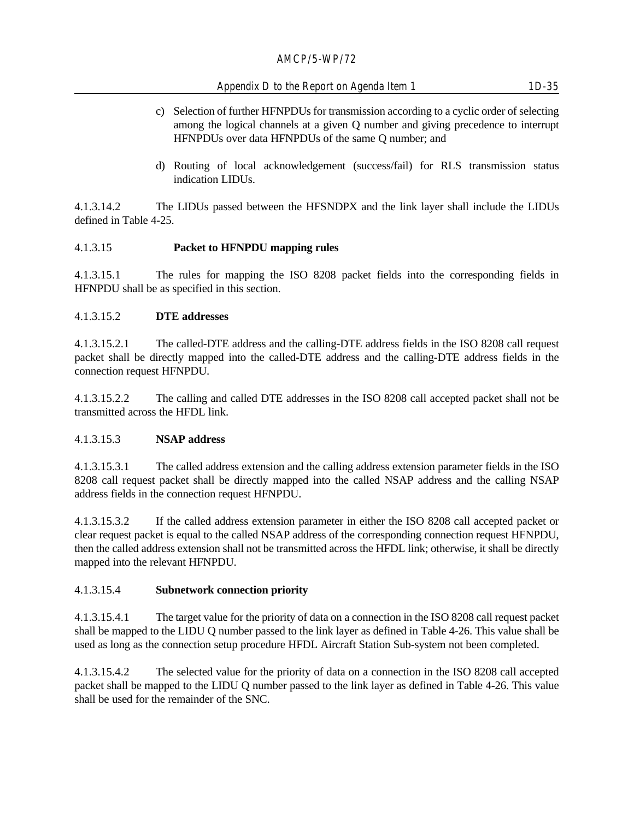# Appendix D to the Report on Agenda Item 1 1D-35

- c) Selection of further HFNPDUs for transmission according to a cyclic order of selecting among the logical channels at a given Q number and giving precedence to interrupt HFNPDUs over data HFNPDUs of the same Q number; and
- d) Routing of local acknowledgement (success/fail) for RLS transmission status indication LIDUs.

4.1.3.14.2 The LIDUs passed between the HFSNDPX and the link layer shall include the LIDUs defined in Table 4-25.

# 4.1.3.15 **Packet to HFNPDU mapping rules**

4.1.3.15.1 The rules for mapping the ISO 8208 packet fields into the corresponding fields in HFNPDU shall be as specified in this section.

# 4.1.3.15.2 **DTE addresses**

4.1.3.15.2.1 The called-DTE address and the calling-DTE address fields in the ISO 8208 call request packet shall be directly mapped into the called-DTE address and the calling-DTE address fields in the connection request HFNPDU.

4.1.3.15.2.2 The calling and called DTE addresses in the ISO 8208 call accepted packet shall not be transmitted across the HFDL link.

# 4.1.3.15.3 **NSAP address**

4.1.3.15.3.1 The called address extension and the calling address extension parameter fields in the ISO 8208 call request packet shall be directly mapped into the called NSAP address and the calling NSAP address fields in the connection request HFNPDU.

4.1.3.15.3.2 If the called address extension parameter in either the ISO 8208 call accepted packet or clear request packet is equal to the called NSAP address of the corresponding connection request HFNPDU, then the called address extension shall not be transmitted across the HFDL link; otherwise, it shall be directly mapped into the relevant HFNPDU.

# 4.1.3.15.4 **Subnetwork connection priority**

4.1.3.15.4.1 The target value for the priority of data on a connection in the ISO 8208 call request packet shall be mapped to the LIDU Q number passed to the link layer as defined in Table 4-26. This value shall be used as long as the connection setup procedure HFDL Aircraft Station Sub-system not been completed.

4.1.3.15.4.2 The selected value for the priority of data on a connection in the ISO 8208 call accepted packet shall be mapped to the LIDU Q number passed to the link layer as defined in Table 4-26. This value shall be used for the remainder of the SNC.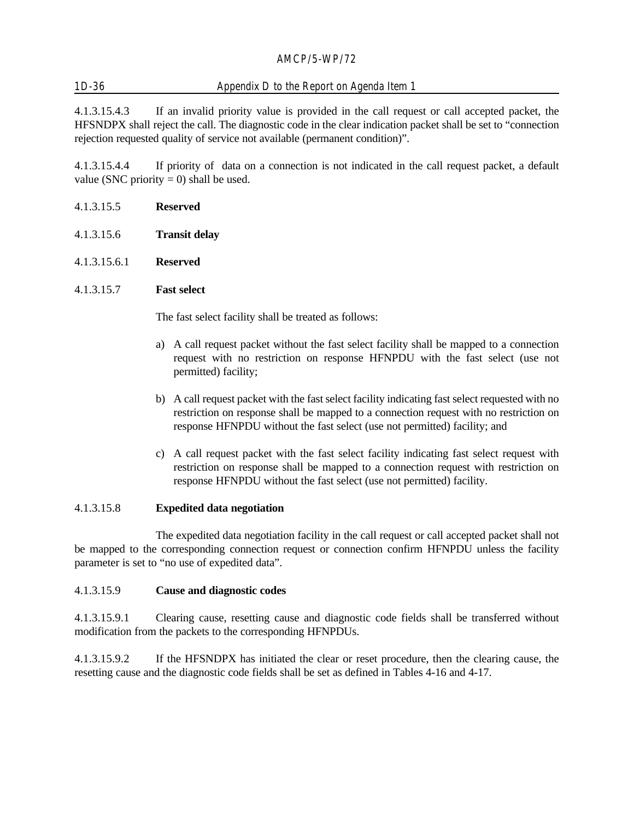# 1D-36 Appendix D to the Report on Agenda Item 1

4.1.3.15.4.3 If an invalid priority value is provided in the call request or call accepted packet, the HFSNDPX shall reject the call. The diagnostic code in the clear indication packet shall be set to "connection rejection requested quality of service not available (permanent condition)".

4.1.3.15.4.4 If priority of data on a connection is not indicated in the call request packet, a default value (SNC priority  $= 0$ ) shall be used.

- 4.1.3.15.5 **Reserved**
- 4.1.3.15.6 **Transit delay**
- 4.1.3.15.6.1 **Reserved**

#### 4.1.3.15.7 **Fast select**

The fast select facility shall be treated as follows:

- a) A call request packet without the fast select facility shall be mapped to a connection request with no restriction on response HFNPDU with the fast select (use not permitted) facility;
- b) A call request packet with the fast select facility indicating fast select requested with no restriction on response shall be mapped to a connection request with no restriction on response HFNPDU without the fast select (use not permitted) facility; and
- c) A call request packet with the fast select facility indicating fast select request with restriction on response shall be mapped to a connection request with restriction on response HFNPDU without the fast select (use not permitted) facility.

#### 4.1.3.15.8 **Expedited data negotiation**

The expedited data negotiation facility in the call request or call accepted packet shall not be mapped to the corresponding connection request or connection confirm HFNPDU unless the facility parameter is set to "no use of expedited data".

#### 4.1.3.15.9 **Cause and diagnostic codes**

4.1.3.15.9.1 Clearing cause, resetting cause and diagnostic code fields shall be transferred without modification from the packets to the corresponding HFNPDUs.

4.1.3.15.9.2 If the HFSNDPX has initiated the clear or reset procedure, then the clearing cause, the resetting cause and the diagnostic code fields shall be set as defined in Tables 4-16 and 4-17.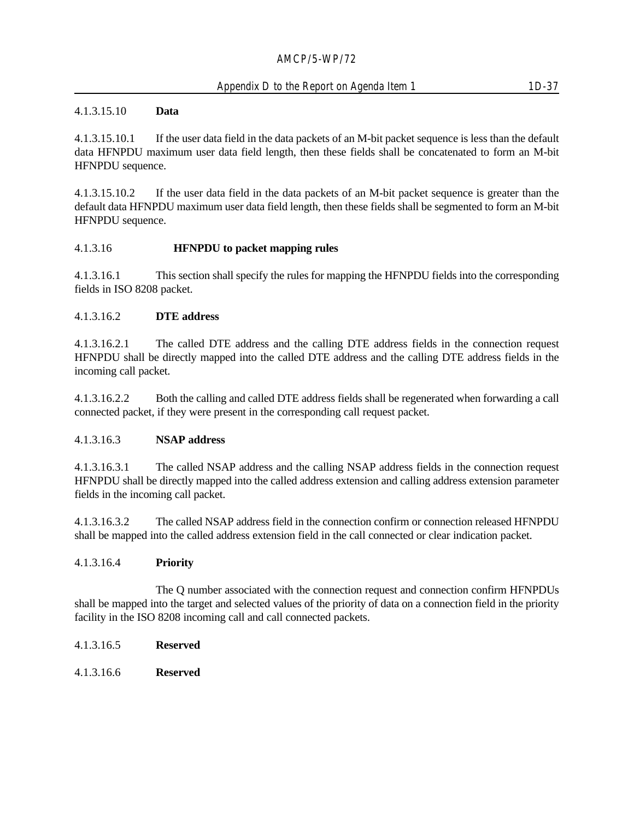#### Appendix D to the Report on Agenda Item 1 1D-37

#### 4.1.3.15.10 **Data**

4.1.3.15.10.1 If the user data field in the data packets of an M-bit packet sequence is less than the default data HFNPDU maximum user data field length, then these fields shall be concatenated to form an M-bit HFNPDU sequence.

4.1.3.15.10.2 If the user data field in the data packets of an M-bit packet sequence is greater than the default data HFNPDU maximum user data field length, then these fields shall be segmented to form an M-bit HFNPDU sequence.

#### 4.1.3.16 **HFNPDU to packet mapping rules**

4.1.3.16.1 This section shall specify the rules for mapping the HFNPDU fields into the corresponding fields in ISO 8208 packet.

### 4.1.3.16.2 **DTE address**

4.1.3.16.2.1 The called DTE address and the calling DTE address fields in the connection request HFNPDU shall be directly mapped into the called DTE address and the calling DTE address fields in the incoming call packet.

4.1.3.16.2.2 Both the calling and called DTE address fields shall be regenerated when forwarding a call connected packet, if they were present in the corresponding call request packet.

#### 4.1.3.16.3 **NSAP address**

4.1.3.16.3.1 The called NSAP address and the calling NSAP address fields in the connection request HFNPDU shall be directly mapped into the called address extension and calling address extension parameter fields in the incoming call packet.

4.1.3.16.3.2 The called NSAP address field in the connection confirm or connection released HFNPDU shall be mapped into the called address extension field in the call connected or clear indication packet.

#### 4.1.3.16.4 **Priority**

The Q number associated with the connection request and connection confirm HFNPDUs shall be mapped into the target and selected values of the priority of data on a connection field in the priority facility in the ISO 8208 incoming call and call connected packets.

- 4.1.3.16.5 **Reserved**
- 4.1.3.16.6 **Reserved**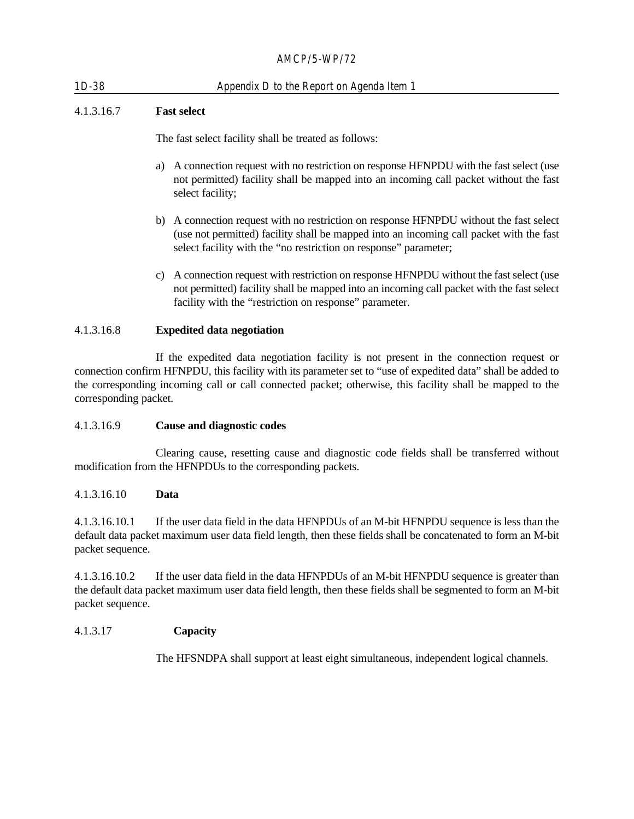# 1D-38 Appendix D to the Report on Agenda Item 1

## 4.1.3.16.7 **Fast select**

The fast select facility shall be treated as follows:

- a) A connection request with no restriction on response HFNPDU with the fast select (use not permitted) facility shall be mapped into an incoming call packet without the fast select facility;
- b) A connection request with no restriction on response HFNPDU without the fast select (use not permitted) facility shall be mapped into an incoming call packet with the fast select facility with the "no restriction on response" parameter;
- c) A connection request with restriction on response HFNPDU without the fast select (use not permitted) facility shall be mapped into an incoming call packet with the fast select facility with the "restriction on response" parameter.

### 4.1.3.16.8 **Expedited data negotiation**

If the expedited data negotiation facility is not present in the connection request or connection confirm HFNPDU, this facility with its parameter set to "use of expedited data" shall be added to the corresponding incoming call or call connected packet; otherwise, this facility shall be mapped to the corresponding packet.

#### 4.1.3.16.9 **Cause and diagnostic codes**

Clearing cause, resetting cause and diagnostic code fields shall be transferred without modification from the HFNPDUs to the corresponding packets.

#### 4.1.3.16.10 **Data**

4.1.3.16.10.1 If the user data field in the data HFNPDUs of an M-bit HFNPDU sequence is less than the default data packet maximum user data field length, then these fields shall be concatenated to form an M-bit packet sequence.

4.1.3.16.10.2 If the user data field in the data HFNPDUs of an M-bit HFNPDU sequence is greater than the default data packet maximum user data field length, then these fields shall be segmented to form an M-bit packet sequence.

#### 4.1.3.17 **Capacity**

The HFSNDPA shall support at least eight simultaneous, independent logical channels.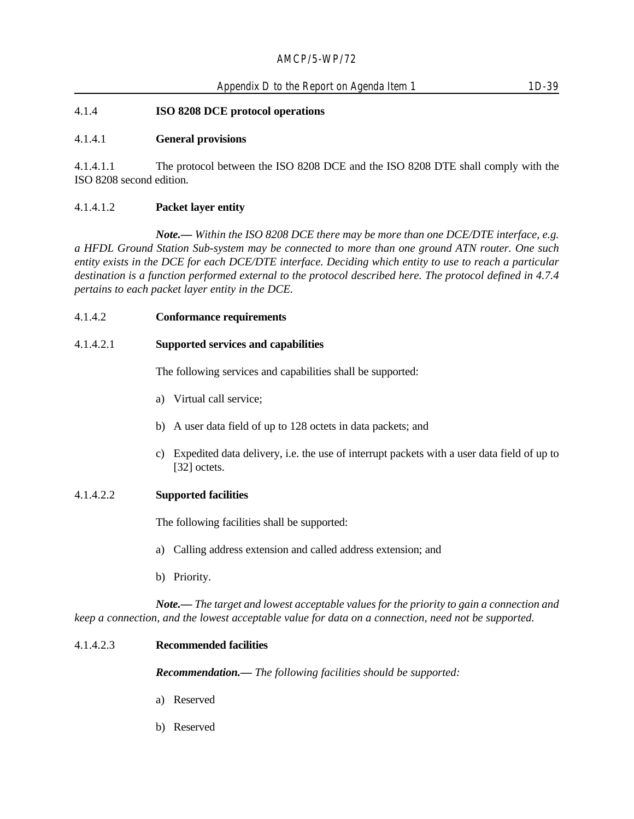#### 4.1.4 **ISO 8208 DCE protocol operations**

#### 4.1.4.1 **General provisions**

4.1.4.1.1 The protocol between the ISO 8208 DCE and the ISO 8208 DTE shall comply with the ISO 8208 second edition.

#### 4.1.4.1.2 **Packet layer entity**

*Note.— Within the ISO 8208 DCE there may be more than one DCE/DTE interface, e.g. a HFDL Ground Station Sub-system may be connected to more than one ground ATN router. One such entity exists in the DCE for each DCE/DTE interface. Deciding which entity to use to reach a particular destination is a function performed external to the protocol described here. The protocol defined in 4.7.4 pertains to each packet layer entity in the DCE.*

#### 4.1.4.2 **Conformance requirements**

#### 4.1.4.2.1 **Supported services and capabilities**

The following services and capabilities shall be supported:

- a) Virtual call service;
- b) A user data field of up to 128 octets in data packets; and
- c) Expedited data delivery, i.e. the use of interrupt packets with a user data field of up to [32] octets.

#### 4.1.4.2.2 **Supported facilities**

The following facilities shall be supported:

- a) Calling address extension and called address extension; and
- b) Priority.

*Note.— The target and lowest acceptable values for the priority to gain a connection and keep a connection, and the lowest acceptable value for data on a connection, need not be supported.*

#### 4.1.4.2.3 **Recommended facilities**

*Recommendation.— The following facilities should be supported:*

- a) Reserved
- b) Reserved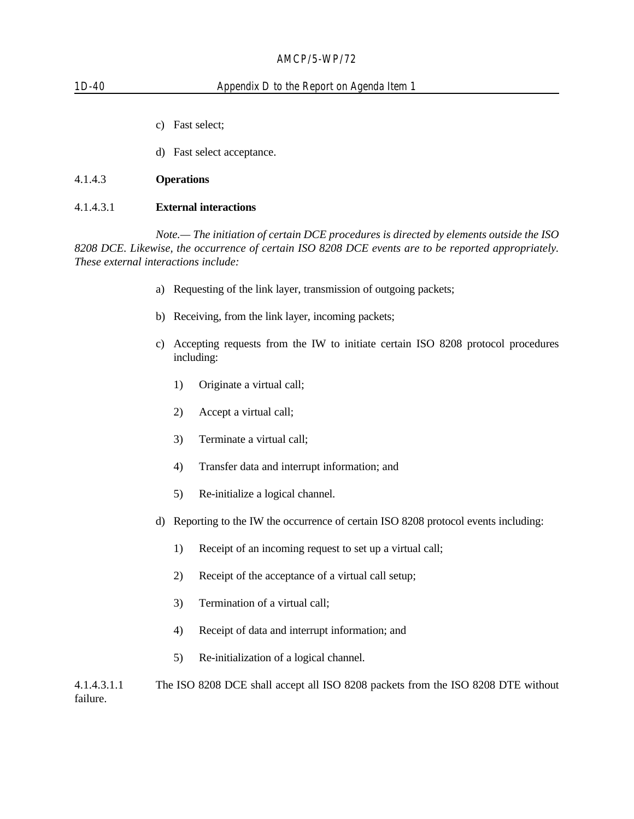| $1D-40$   | Appendix D to the Report on Agenda Item 1                                                                                                                                                      |  |  |
|-----------|------------------------------------------------------------------------------------------------------------------------------------------------------------------------------------------------|--|--|
|           |                                                                                                                                                                                                |  |  |
|           | Fast select:<br>$\mathcal{C}$ )                                                                                                                                                                |  |  |
|           | Fast select acceptance.<br>d)                                                                                                                                                                  |  |  |
| 4.1.4.3   | <b>Operations</b>                                                                                                                                                                              |  |  |
| 4.1.4.3.1 | <b>External interactions</b>                                                                                                                                                                   |  |  |
|           | Note.— The initiation of certain DCE procedures is directed by elements outside the ISO<br>8208 DCE. Likewise, the occurrence of certain ISO 8208 DCE events are to be reported appropriately. |  |  |

*8208 DCE. Likewise, the occurrence of certain ISO 8208 DCE events are to be reported appropriately. These external interactions include:*

- a) Requesting of the link layer, transmission of outgoing packets;
- b) Receiving, from the link layer, incoming packets;
- c) Accepting requests from the IW to initiate certain ISO 8208 protocol procedures including:
	- 1) Originate a virtual call;
	- 2) Accept a virtual call;
	- 3) Terminate a virtual call;
	- 4) Transfer data and interrupt information; and
	- 5) Re-initialize a logical channel.
- d) Reporting to the IW the occurrence of certain ISO 8208 protocol events including:
	- 1) Receipt of an incoming request to set up a virtual call;
	- 2) Receipt of the acceptance of a virtual call setup;
	- 3) Termination of a virtual call;
	- 4) Receipt of data and interrupt information; and
	- 5) Re-initialization of a logical channel.

4.1.4.3.1.1 The ISO 8208 DCE shall accept all ISO 8208 packets from the ISO 8208 DTE without failure.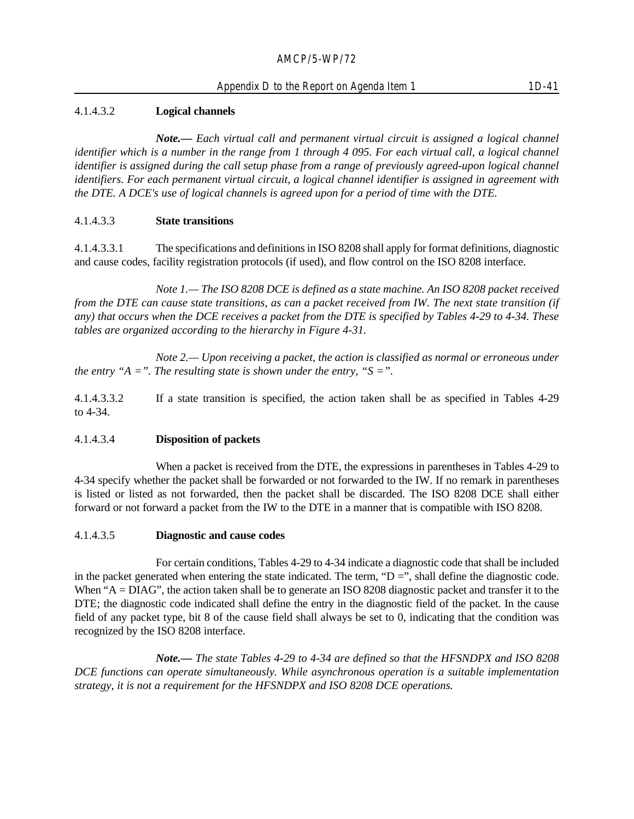## 4.1.4.3.2 **Logical channels**

*Note.— Each virtual call and permanent virtual circuit is assigned a logical channel identifier which is a number in the range from 1 through 4 095. For each virtual call, a logical channel identifier is assigned during the call setup phase from a range of previously agreed-upon logical channel identifiers. For each permanent virtual circuit, a logical channel identifier is assigned in agreement with the DTE. A DCE's use of logical channels is agreed upon for a period of time with the DTE.*

### 4.1.4.3.3 **State transitions**

4.1.4.3.3.1 The specifications and definitions in ISO 8208 shall apply for format definitions, diagnostic and cause codes, facility registration protocols (if used), and flow control on the ISO 8208 interface.

*Note 1.— The ISO 8208 DCE is defined as a state machine. An ISO 8208 packet received from the DTE can cause state transitions, as can a packet received from IW. The next state transition (if any) that occurs when the DCE receives a packet from the DTE is specified by Tables 4-29 to 4-34. These tables are organized according to the hierarchy in Figure 4-31.*

*Note 2.— Upon receiving a packet, the action is classified as normal or erroneous under the entry "A =". The resulting state is shown under the entry, "S =".* 

4.1.4.3.3.2 If a state transition is specified, the action taken shall be as specified in Tables 4-29 to 4-34.

#### 4.1.4.3.4 **Disposition of packets**

When a packet is received from the DTE, the expressions in parentheses in Tables 4-29 to 4-34 specify whether the packet shall be forwarded or not forwarded to the IW. If no remark in parentheses is listed or listed as not forwarded, then the packet shall be discarded. The ISO 8208 DCE shall either forward or not forward a packet from the IW to the DTE in a manner that is compatible with ISO 8208.

#### 4.1.4.3.5 **Diagnostic and cause codes**

For certain conditions, Tables 4-29 to 4-34 indicate a diagnostic code that shall be included in the packet generated when entering the state indicated. The term, " $D =$ ", shall define the diagnostic code. When "A = DIAG", the action taken shall be to generate an ISO 8208 diagnostic packet and transfer it to the DTE; the diagnostic code indicated shall define the entry in the diagnostic field of the packet. In the cause field of any packet type, bit 8 of the cause field shall always be set to 0, indicating that the condition was recognized by the ISO 8208 interface.

*Note.— The state Tables 4-29 to 4-34 are defined so that the HFSNDPX and ISO 8208 DCE functions can operate simultaneously. While asynchronous operation is a suitable implementation strategy, it is not a requirement for the HFSNDPX and ISO 8208 DCE operations.*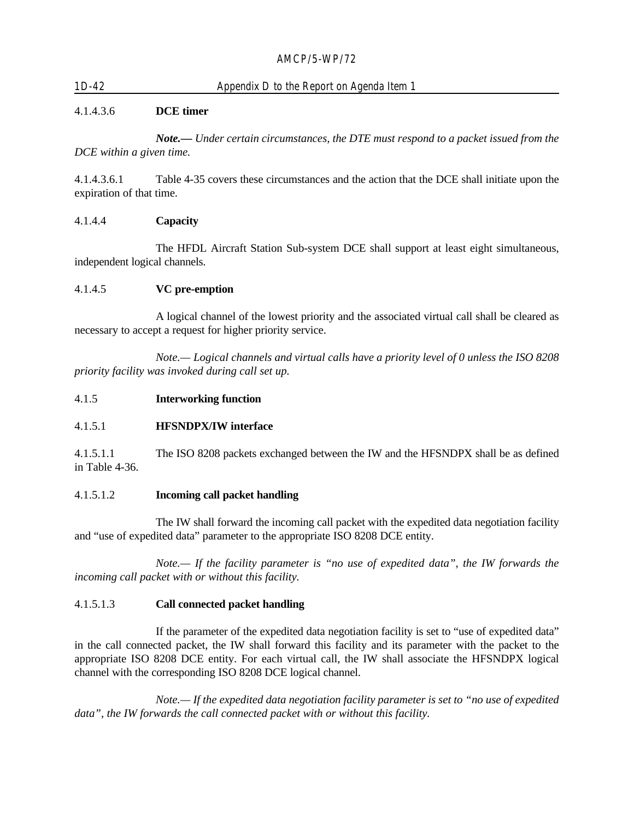## 1D-42 Appendix D to the Report on Agenda Item 1

#### 4.1.4.3.6 **DCE timer**

*Note.— Under certain circumstances, the DTE must respond to a packet issued from the DCE within a given time.*

4.1.4.3.6.1 Table 4-35 covers these circumstances and the action that the DCE shall initiate upon the expiration of that time.

#### 4.1.4.4 **Capacity**

The HFDL Aircraft Station Sub-system DCE shall support at least eight simultaneous, independent logical channels.

#### 4.1.4.5 **VC pre-emption**

A logical channel of the lowest priority and the associated virtual call shall be cleared as necessary to accept a request for higher priority service.

*Note.— Logical channels and virtual calls have a priority level of 0 unless the ISO 8208 priority facility was invoked during call set up.*

4.1.5 **Interworking function**

#### 4.1.5.1 **HFSNDPX/IW interface**

4.1.5.1.1 The ISO 8208 packets exchanged between the IW and the HFSNDPX shall be as defined in Table 4-36.

#### 4.1.5.1.2 **Incoming call packet handling**

The IW shall forward the incoming call packet with the expedited data negotiation facility and "use of expedited data" parameter to the appropriate ISO 8208 DCE entity.

*Note.— If the facility parameter is "no use of expedited data", the IW forwards the incoming call packet with or without this facility.*

#### 4.1.5.1.3 **Call connected packet handling**

If the parameter of the expedited data negotiation facility is set to "use of expedited data" in the call connected packet, the IW shall forward this facility and its parameter with the packet to the appropriate ISO 8208 DCE entity. For each virtual call, the IW shall associate the HFSNDPX logical channel with the corresponding ISO 8208 DCE logical channel.

*Note.— If the expedited data negotiation facility parameter is set to "no use of expedited data", the IW forwards the call connected packet with or without this facility.*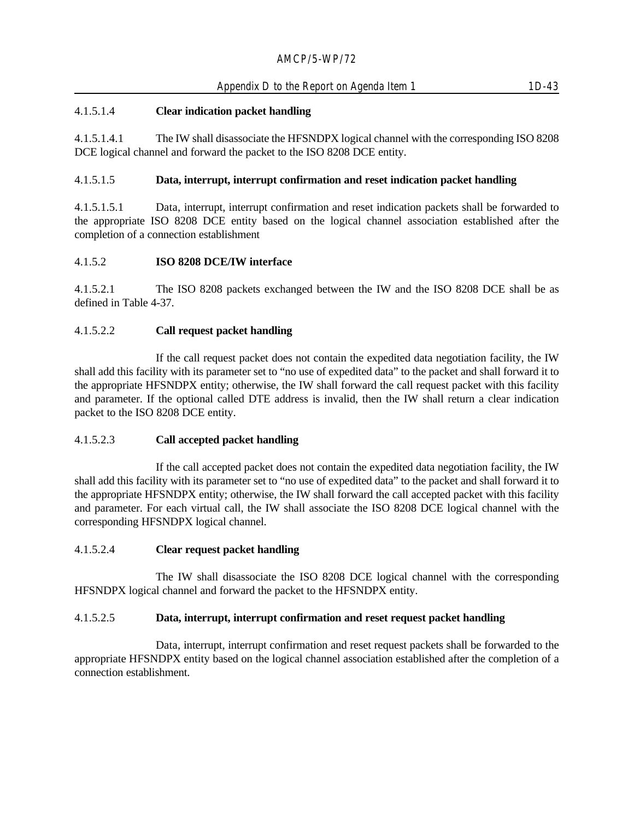## Appendix D to the Report on Agenda Item 1 1D-43

### 4.1.5.1.4 **Clear indication packet handling**

4.1.5.1.4.1 The IW shall disassociate the HFSNDPX logical channel with the corresponding ISO 8208 DCE logical channel and forward the packet to the ISO 8208 DCE entity.

#### 4.1.5.1.5 **Data, interrupt, interrupt confirmation and reset indication packet handling**

4.1.5.1.5.1 Data, interrupt, interrupt confirmation and reset indication packets shall be forwarded to the appropriate ISO 8208 DCE entity based on the logical channel association established after the completion of a connection establishment

#### 4.1.5.2 **ISO 8208 DCE/IW interface**

4.1.5.2.1 The ISO 8208 packets exchanged between the IW and the ISO 8208 DCE shall be as defined in Table 4-37.

### 4.1.5.2.2 **Call request packet handling**

If the call request packet does not contain the expedited data negotiation facility, the IW shall add this facility with its parameter set to "no use of expedited data" to the packet and shall forward it to the appropriate HFSNDPX entity; otherwise, the IW shall forward the call request packet with this facility and parameter. If the optional called DTE address is invalid, then the IW shall return a clear indication packet to the ISO 8208 DCE entity.

#### 4.1.5.2.3 **Call accepted packet handling**

If the call accepted packet does not contain the expedited data negotiation facility, the IW shall add this facility with its parameter set to "no use of expedited data" to the packet and shall forward it to the appropriate HFSNDPX entity; otherwise, the IW shall forward the call accepted packet with this facility and parameter. For each virtual call, the IW shall associate the ISO 8208 DCE logical channel with the corresponding HFSNDPX logical channel.

#### 4.1.5.2.4 **Clear request packet handling**

The IW shall disassociate the ISO 8208 DCE logical channel with the corresponding HFSNDPX logical channel and forward the packet to the HFSNDPX entity.

#### 4.1.5.2.5 **Data, interrupt, interrupt confirmation and reset request packet handling**

Data, interrupt, interrupt confirmation and reset request packets shall be forwarded to the appropriate HFSNDPX entity based on the logical channel association established after the completion of a connection establishment.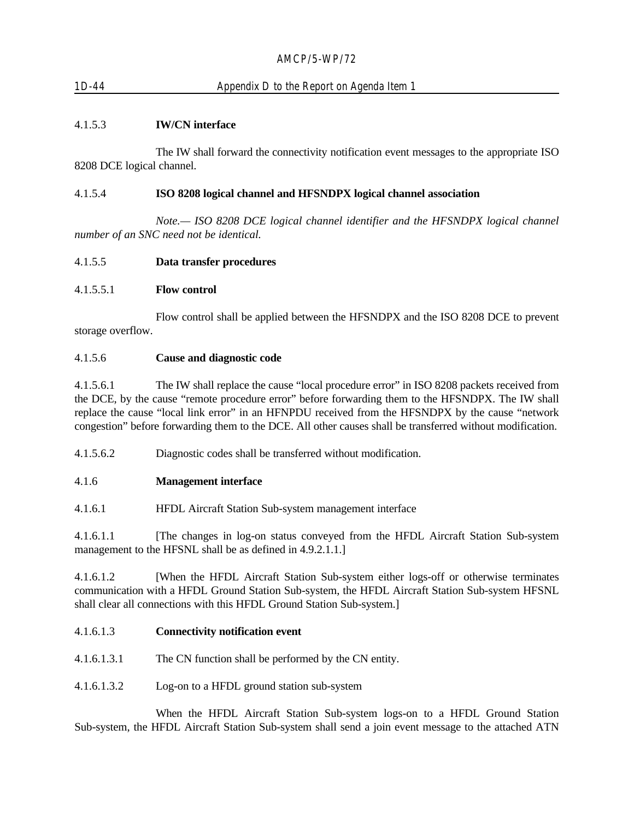# 1D-44 Appendix D to the Report on Agenda Item 1

### 4.1.5.3 **IW/CN interface**

The IW shall forward the connectivity notification event messages to the appropriate ISO 8208 DCE logical channel.

#### 4.1.5.4 **ISO 8208 logical channel and HFSNDPX logical channel association**

*Note.— ISO 8208 DCE logical channel identifier and the HFSNDPX logical channel number of an SNC need not be identical.*

#### 4.1.5.5 **Data transfer procedures**

#### 4.1.5.5.1 **Flow control**

Flow control shall be applied between the HFSNDPX and the ISO 8208 DCE to prevent storage overflow.

#### 4.1.5.6 **Cause and diagnostic code**

4.1.5.6.1 The IW shall replace the cause "local procedure error" in ISO 8208 packets received from the DCE, by the cause "remote procedure error" before forwarding them to the HFSNDPX. The IW shall replace the cause "local link error" in an HFNPDU received from the HFSNDPX by the cause "network congestion" before forwarding them to the DCE. All other causes shall be transferred without modification.

4.1.5.6.2 Diagnostic codes shall be transferred without modification.

#### 4.1.6 **Management interface**

4.1.6.1 HFDL Aircraft Station Sub-system management interface

4.1.6.1.1 [The changes in log-on status conveyed from the HFDL Aircraft Station Sub-system management to the HFSNL shall be as defined in 4.9.2.1.1.]

4.1.6.1.2 [When the HFDL Aircraft Station Sub-system either logs-off or otherwise terminates communication with a HFDL Ground Station Sub-system, the HFDL Aircraft Station Sub-system HFSNL shall clear all connections with this HFDL Ground Station Sub-system.]

#### 4.1.6.1.3 **Connectivity notification event**

- 4.1.6.1.3.1 The CN function shall be performed by the CN entity.
- 4.1.6.1.3.2 Log-on to a HFDL ground station sub-system

When the HFDL Aircraft Station Sub-system logs-on to a HFDL Ground Station Sub-system, the HFDL Aircraft Station Sub-system shall send a join event message to the attached ATN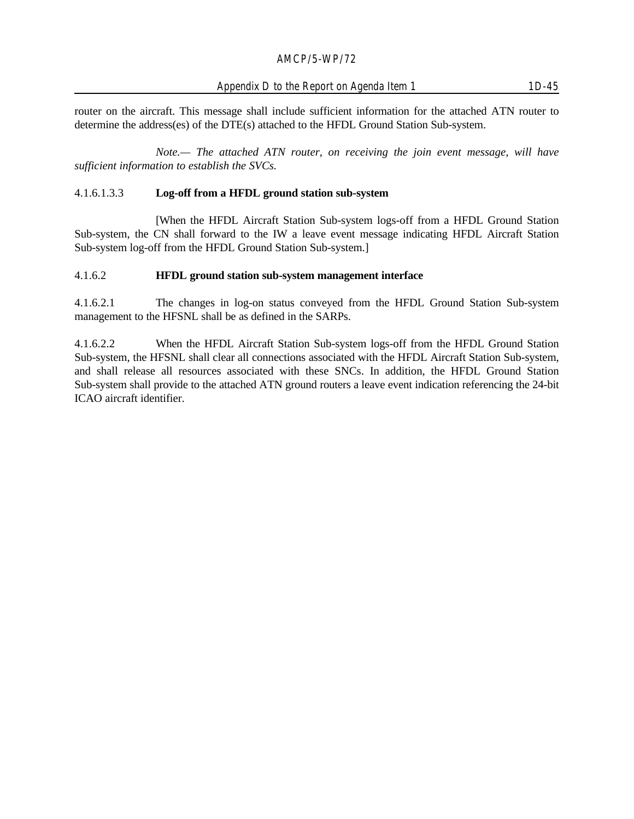#### Appendix D to the Report on Agenda Item 1 1D-45

router on the aircraft. This message shall include sufficient information for the attached ATN router to determine the address(es) of the DTE(s) attached to the HFDL Ground Station Sub-system.

*Note.— The attached ATN router, on receiving the join event message, will have sufficient information to establish the SVCs.*

#### 4.1.6.1.3.3 **Log-off from a HFDL ground station sub-system**

[When the HFDL Aircraft Station Sub-system logs-off from a HFDL Ground Station Sub-system, the CN shall forward to the IW a leave event message indicating HFDL Aircraft Station Sub-system log-off from the HFDL Ground Station Sub-system.]

#### 4.1.6.2 **HFDL ground station sub-system management interface**

4.1.6.2.1 The changes in log-on status conveyed from the HFDL Ground Station Sub-system management to the HFSNL shall be as defined in the SARPs.

4.1.6.2.2 When the HFDL Aircraft Station Sub-system logs-off from the HFDL Ground Station Sub-system, the HFSNL shall clear all connections associated with the HFDL Aircraft Station Sub-system, and shall release all resources associated with these SNCs. In addition, the HFDL Ground Station Sub-system shall provide to the attached ATN ground routers a leave event indication referencing the 24-bit ICAO aircraft identifier.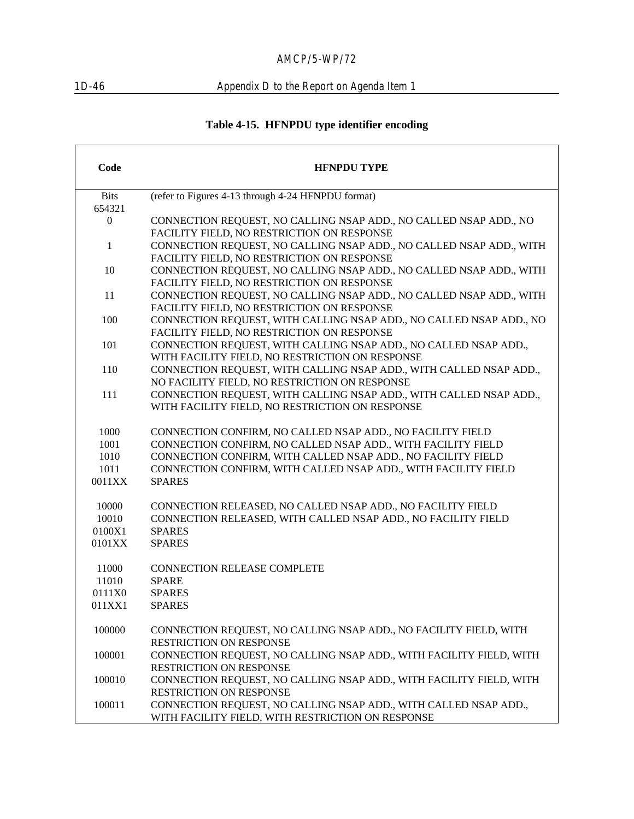$\sqrt{ }$ 

# 1D-46 Appendix D to the Report on Agenda Item 1

# **Table 4-15. HFNPDU type identifier encoding**

| Code             | <b>HFNPDU TYPE</b>                                                  |
|------------------|---------------------------------------------------------------------|
| <b>Bits</b>      | (refer to Figures 4-13 through 4-24 HFNPDU format)                  |
| 654321           |                                                                     |
| $\boldsymbol{0}$ | CONNECTION REQUEST, NO CALLING NSAP ADD., NO CALLED NSAP ADD., NO   |
|                  | FACILITY FIELD, NO RESTRICTION ON RESPONSE                          |
| $\mathbf{1}$     | CONNECTION REQUEST, NO CALLING NSAP ADD., NO CALLED NSAP ADD., WITH |
|                  | FACILITY FIELD, NO RESTRICTION ON RESPONSE                          |
| 10               | CONNECTION REQUEST, NO CALLING NSAP ADD., NO CALLED NSAP ADD., WITH |
|                  | FACILITY FIELD, NO RESTRICTION ON RESPONSE                          |
| 11               | CONNECTION REQUEST, NO CALLING NSAP ADD., NO CALLED NSAP ADD., WITH |
|                  | FACILITY FIELD, NO RESTRICTION ON RESPONSE                          |
| 100              | CONNECTION REQUEST, WITH CALLING NSAP ADD., NO CALLED NSAP ADD., NO |
|                  | FACILITY FIELD, NO RESTRICTION ON RESPONSE                          |
| 101              | CONNECTION REQUEST, WITH CALLING NSAP ADD., NO CALLED NSAP ADD.,    |
|                  | WITH FACILITY FIELD, NO RESTRICTION ON RESPONSE                     |
| 110              | CONNECTION REQUEST, WITH CALLING NSAP ADD., WITH CALLED NSAP ADD.,  |
|                  | NO FACILITY FIELD, NO RESTRICTION ON RESPONSE                       |
| 111              | CONNECTION REQUEST, WITH CALLING NSAP ADD., WITH CALLED NSAP ADD.,  |
|                  | WITH FACILITY FIELD, NO RESTRICTION ON RESPONSE                     |
| 1000             | CONNECTION CONFIRM, NO CALLED NSAP ADD., NO FACILITY FIELD          |
| 1001             | CONNECTION CONFIRM, NO CALLED NSAP ADD., WITH FACILITY FIELD        |
| 1010             | CONNECTION CONFIRM, WITH CALLED NSAP ADD., NO FACILITY FIELD        |
| 1011             | CONNECTION CONFIRM, WITH CALLED NSAP ADD., WITH FACILITY FIELD      |
| 0011XX           | <b>SPARES</b>                                                       |
| 10000            | CONNECTION RELEASED, NO CALLED NSAP ADD., NO FACILITY FIELD         |
| 10010            | CONNECTION RELEASED, WITH CALLED NSAP ADD., NO FACILITY FIELD       |
| 0100X1           | <b>SPARES</b>                                                       |
| 0101XX           | <b>SPARES</b>                                                       |
| 11000            | <b>CONNECTION RELEASE COMPLETE</b>                                  |
| 11010            | <b>SPARE</b>                                                        |
| 0111X0           | <b>SPARES</b>                                                       |
| 011XX1           | <b>SPARES</b>                                                       |
| 100000           | CONNECTION REQUEST, NO CALLING NSAP ADD., NO FACILITY FIELD, WITH   |
|                  | RESTRICTION ON RESPONSE                                             |
| 100001           | CONNECTION REQUEST, NO CALLING NSAP ADD., WITH FACILITY FIELD, WITH |
|                  | RESTRICTION ON RESPONSE                                             |
| 100010           | CONNECTION REQUEST, NO CALLING NSAP ADD., WITH FACILITY FIELD, WITH |
|                  | RESTRICTION ON RESPONSE                                             |
| 100011           | CONNECTION REQUEST, NO CALLING NSAP ADD., WITH CALLED NSAP ADD.,    |
|                  | WITH FACILITY FIELD, WITH RESTRICTION ON RESPONSE                   |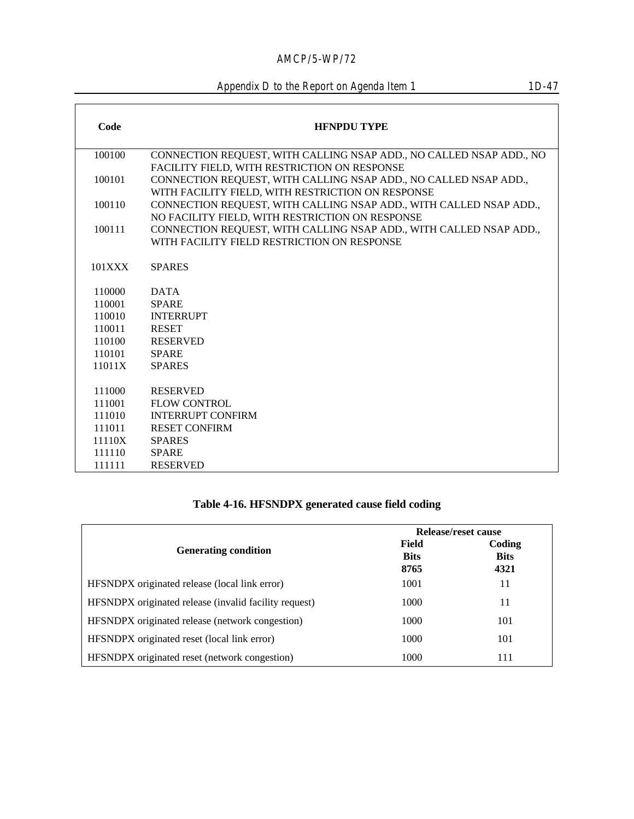Appendix D to the Report on Agenda Item 1

| Code   | <b>HENPDU TYPE</b>                                                  |
|--------|---------------------------------------------------------------------|
| 100100 | CONNECTION REQUEST, WITH CALLING NSAP ADD., NO CALLED NSAP ADD., NO |
|        | FACILITY FIELD, WITH RESTRICTION ON RESPONSE                        |
| 100101 | CONNECTION REQUEST, WITH CALLING NSAP ADD., NO CALLED NSAP ADD.,    |
|        | WITH FACILITY FIELD, WITH RESTRICTION ON RESPONSE                   |
| 100110 | CONNECTION REQUEST, WITH CALLING NSAP ADD., WITH CALLED NSAP ADD.,  |
|        | NO FACILITY FIELD, WITH RESTRICTION ON RESPONSE                     |
| 100111 | CONNECTION REQUEST, WITH CALLING NSAP ADD., WITH CALLED NSAP ADD.,  |
|        | WITH FACILITY FIELD RESTRICTION ON RESPONSE                         |
| 101XXX | <b>SPARES</b>                                                       |
| 110000 | <b>DATA</b>                                                         |
| 110001 | <b>SPARE</b>                                                        |
| 110010 | <b>INTERRUPT</b>                                                    |
| 110011 | <b>RESET</b>                                                        |
| 110100 | <b>RESERVED</b>                                                     |
| 110101 | <b>SPARE</b>                                                        |
| 11011X | <b>SPARES</b>                                                       |
|        |                                                                     |
| 111000 | <b>RESERVED</b>                                                     |
| 111001 | <b>FLOW CONTROL</b>                                                 |
| 111010 | <b>INTERRUPT CONFIRM</b>                                            |
| 111011 | <b>RESET CONFIRM</b>                                                |
| 11110X | <b>SPARES</b>                                                       |
| 111110 | <b>SPARE</b>                                                        |
| 111111 | <b>RESERVED</b>                                                     |

# **Table 4-16. HFSNDPX generated cause field coding**

|                                                       | Release/reset cause          |                               |
|-------------------------------------------------------|------------------------------|-------------------------------|
| <b>Generating condition</b>                           | Field<br><b>Bits</b><br>8765 | Coding<br><b>Bits</b><br>4321 |
| HFSNDPX originated release (local link error)         | 1001                         | 11                            |
| HFSNDPX originated release (invalid facility request) | 1000                         | 11                            |
| HFSNDPX originated release (network congestion)       | 1000                         | 101                           |
| HFSNDPX originated reset (local link error)           | 1000                         | 101                           |
| HFSNDPX originated reset (network congestion)         | 1000                         | 111                           |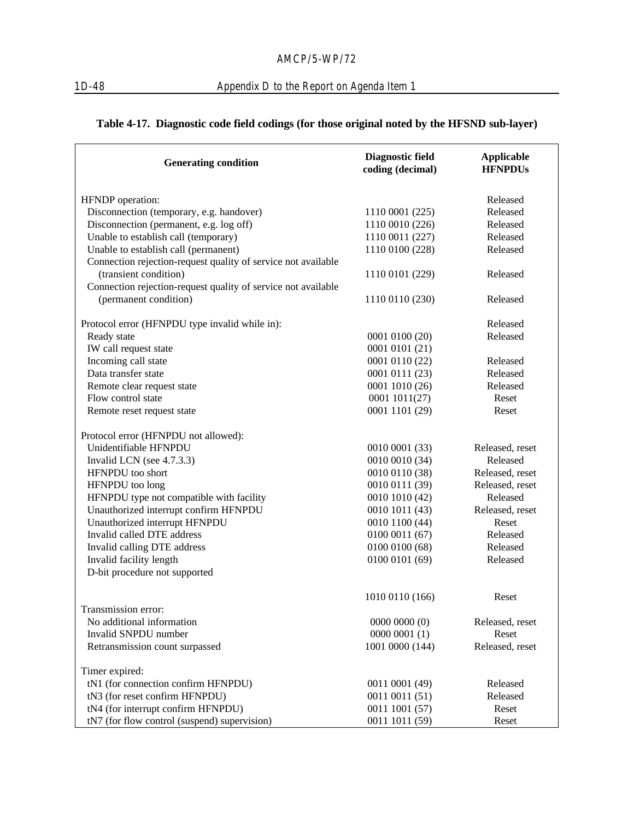# **Table 4-17. Diagnostic code field codings (for those original noted by the HFSND sub-layer)**

| <b>Generating condition</b>                                   | Diagnostic field<br>coding (decimal) | <b>Applicable</b><br><b>HFNPDUs</b> |
|---------------------------------------------------------------|--------------------------------------|-------------------------------------|
| HFNDP operation:                                              |                                      | Released                            |
| Disconnection (temporary, e.g. handover)                      | 1110 0001 (225)                      | Released                            |
| Disconnection (permanent, e.g. log off)                       | 1110 0010 (226)                      | Released                            |
| Unable to establish call (temporary)                          | 1110 0011 (227)                      | Released                            |
| Unable to establish call (permanent)                          | 1110 0100 (228)                      | Released                            |
| Connection rejection-request quality of service not available |                                      |                                     |
| (transient condition)                                         | 1110 0101 (229)                      | Released                            |
| Connection rejection-request quality of service not available |                                      |                                     |
| (permanent condition)                                         | 1110 0110 (230)                      | Released                            |
| Protocol error (HFNPDU type invalid while in):                |                                      | Released                            |
| Ready state                                                   | 0001 0100 (20)                       | Released                            |
| IW call request state                                         | 0001 0101 (21)                       |                                     |
| Incoming call state                                           | 0001 0110 (22)                       | Released                            |
| Data transfer state                                           | 0001 0111 (23)                       | Released                            |
| Remote clear request state                                    | 0001 1010 (26)                       | Released                            |
| Flow control state                                            | 0001 1011(27)                        | Reset                               |
| Remote reset request state                                    | 0001 1101 (29)                       | Reset                               |
| Protocol error (HFNPDU not allowed):                          |                                      |                                     |
| Unidentifiable HFNPDU                                         | 0010 0001 (33)                       | Released, reset                     |
| Invalid LCN (see 4.7.3.3)                                     | 0010 0010 (34)                       | Released                            |
| HFNPDU too short                                              | 0010 0110 (38)                       | Released, reset                     |
| HFNPDU too long                                               | 0010 0111 (39)                       | Released, reset                     |
| HFNPDU type not compatible with facility                      | 0010 1010 (42)                       | Released                            |
| Unauthorized interrupt confirm HFNPDU                         | 0010 1011 (43)                       | Released, reset                     |
| Unauthorized interrupt HFNPDU                                 | 0010 1100 (44)                       | Reset                               |
| Invalid called DTE address                                    | 0100 0011 (67)                       | Released                            |
| Invalid calling DTE address                                   | 0100 0100 (68)                       | Released                            |
| Invalid facility length                                       | 0100 0101 (69)                       | Released                            |
| D-bit procedure not supported                                 |                                      |                                     |
|                                                               | 1010 0110 (166)                      | Reset                               |
| Transmission error:                                           |                                      |                                     |
| No additional information                                     | 00000000(0)                          | Released, reset                     |
| Invalid SNPDU number                                          | 00000001(1)                          | Reset                               |
| Retransmission count surpassed                                | 1001 0000 (144)                      | Released, reset                     |
| Timer expired:                                                |                                      |                                     |
| tN1 (for connection confirm HFNPDU)                           | 0011 0001 (49)                       | Released                            |
| tN3 (for reset confirm HFNPDU)                                | 0011 0011 (51)                       | Released                            |
| tN4 (for interrupt confirm HFNPDU)                            | 0011 1001 (57)                       | Reset                               |
| tN7 (for flow control (suspend) supervision)                  | 0011 1011 (59)                       | Reset                               |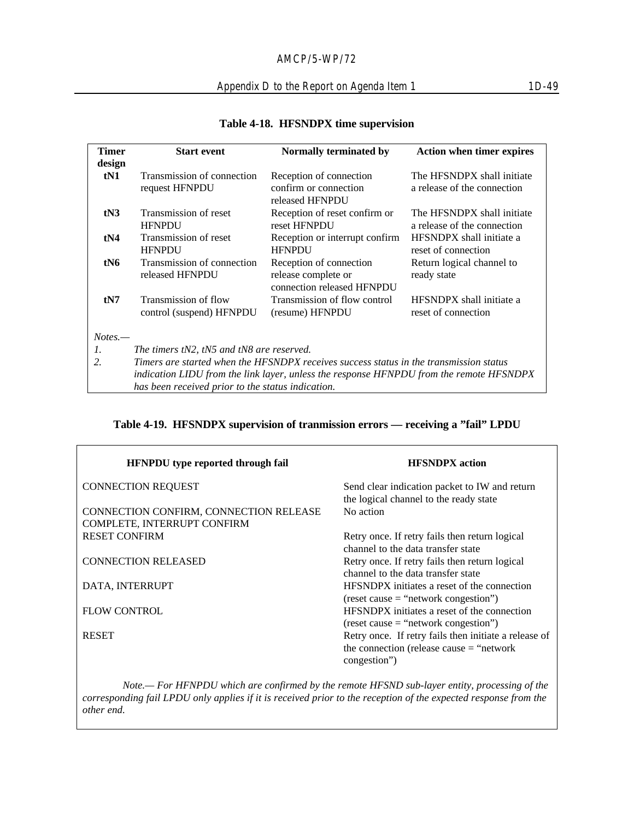## Appendix D to the Report on Agenda Item 1 1D-49

| <b>Timer</b>     | <b>Start event</b>                                                                      | Normally terminated by                   | <b>Action when timer expires</b> |  |
|------------------|-----------------------------------------------------------------------------------------|------------------------------------------|----------------------------------|--|
| design           |                                                                                         |                                          |                                  |  |
| tN1              | Transmission of connection                                                              | Reception of connection                  | The HFSNDPX shall initiate       |  |
|                  | request HFNPDU                                                                          | confirm or connection<br>released HFNPDU | a release of the connection      |  |
| tN3              | Transmission of reset                                                                   | Reception of reset confirm or            | The HFSNDPX shall initiate       |  |
|                  | <b>HFNPDU</b>                                                                           | reset HFNPDU                             | a release of the connection      |  |
| t <sub>N4</sub>  | Transmission of reset                                                                   | Reception or interrupt confirm           | HFSNDPX shall initiate a         |  |
|                  | <b>HFNPDU</b>                                                                           | <b>HFNPDU</b>                            | reset of connection              |  |
| tN6              | Transmission of connection                                                              | Reception of connection                  | Return logical channel to        |  |
|                  | released HFNPDU                                                                         | release complete or                      | ready state                      |  |
|                  |                                                                                         | connection released HFNPDU               |                                  |  |
| tN7              | Transmission of flow                                                                    | Transmission of flow control             | HFSNDPX shall initiate a         |  |
|                  | control (suspend) HFNPDU                                                                | (resume) HFNPDU                          | reset of connection              |  |
| $Notes. -$       |                                                                                         |                                          |                                  |  |
| 1.               |                                                                                         |                                          |                                  |  |
| $\overline{2}$ . | The timers tN2, tN5 and tN8 are reserved.                                               |                                          |                                  |  |
|                  | Timers are started when the HFSNDPX receives success status in the transmission status  |                                          |                                  |  |
|                  | indication LIDU from the link layer, unless the response HFNPDU from the remote HFSNDPX |                                          |                                  |  |
|                  | has been received prior to the status indication.                                       |                                          |                                  |  |

#### **Table 4-18. HFSNDPX time supervision**

## **Table 4-19. HFSNDPX supervision of tranmission errors — receiving a "fail" LPDU**

| HFNPDU type reported through fail      | <b>HFSNDPX</b> action                                                                   |
|----------------------------------------|-----------------------------------------------------------------------------------------|
| <b>CONNECTION REQUEST</b>              | Send clear indication packet to IW and return<br>the logical channel to the ready state |
| CONNECTION CONFIRM, CONNECTION RELEASE | No action                                                                               |
| COMPLETE, INTERRUPT CONFIRM            |                                                                                         |
| <b>RESET CONFIRM</b>                   | Retry once. If retry fails then return logical                                          |
|                                        | channel to the data transfer state                                                      |
| <b>CONNECTION RELEASED</b>             | Retry once. If retry fails then return logical                                          |
|                                        | channel to the data transfer state                                                      |
| DATA, INTERRUPT                        | HFSNDPX initiates a reset of the connection                                             |
|                                        | $(reset cause = "network congestion")$                                                  |
| <b>FLOW CONTROL</b>                    | HFSNDPX initiates a reset of the connection                                             |
|                                        | $(reset cause = "network congestion")$                                                  |
| <b>RESET</b>                           | Retry once. If retry fails then initiate a release of                                   |
|                                        | the connection (release cause $=$ "network"                                             |
|                                        | congestion")                                                                            |

*Note.— For HFNPDU which are confirmed by the remote HFSND sub-layer entity, processing of the corresponding fail LPDU only applies if it is received prior to the reception of the expected response from the other end.*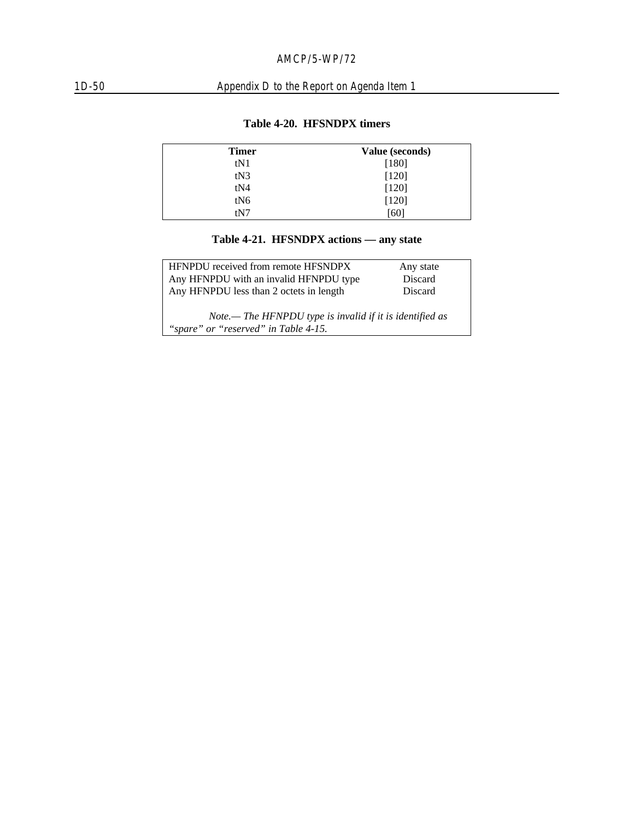# 1D-50 Appendix D to the Report on Agenda Item 1

| Value (seconds) |
|-----------------|
| [180]           |
| [120]           |
| [120]           |
| [120]           |
| [60]            |
|                 |

## **Table 4-20. HFSNDPX timers**

## **Table 4-21. HFSNDPX actions — any state**

| <b>HFNPDU</b> received from remote HFSNDPX                                                       | Any state |  |  |  |
|--------------------------------------------------------------------------------------------------|-----------|--|--|--|
| Any HFNPDU with an invalid HFNPDU type                                                           | Discard   |  |  |  |
| Any HFNPDU less than 2 octets in length                                                          | Discard   |  |  |  |
| Note.— The HFNPDU type is invalid if it is identified as<br>"spare" or "reserved" in Table 4-15. |           |  |  |  |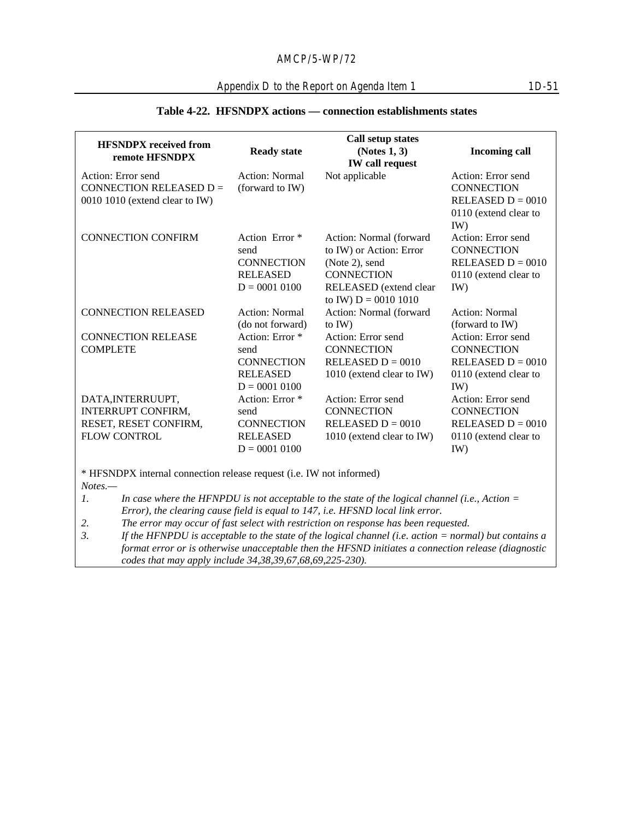## **Table 4-22. HFSNDPX actions — connection establishments states**

|                                                                                                                                                                                    |                           | Call setup states                                                                                   |                       |  |
|------------------------------------------------------------------------------------------------------------------------------------------------------------------------------------|---------------------------|-----------------------------------------------------------------------------------------------------|-----------------------|--|
| <b>HFSNDPX</b> received from                                                                                                                                                       | <b>Ready state</b>        | (Notes 1, 3)                                                                                        | <b>Incoming call</b>  |  |
| remote HFSNDPX                                                                                                                                                                     |                           | <b>IW</b> call request                                                                              |                       |  |
| Action: Error send                                                                                                                                                                 | <b>Action: Normal</b>     | Not applicable                                                                                      | Action: Error send    |  |
| CONNECTION RELEASED $D =$                                                                                                                                                          | (forward to IW)           |                                                                                                     | <b>CONNECTION</b>     |  |
| 0010 1010 (extend clear to IW)                                                                                                                                                     |                           |                                                                                                     | RELEASED $D = 0010$   |  |
|                                                                                                                                                                                    |                           |                                                                                                     | 0110 (extend clear to |  |
|                                                                                                                                                                                    |                           |                                                                                                     | IW)                   |  |
| <b>CONNECTION CONFIRM</b>                                                                                                                                                          | Action Error <sup>*</sup> | Action: Normal (forward                                                                             | Action: Error send    |  |
|                                                                                                                                                                                    | send                      | to IW) or Action: Error                                                                             | <b>CONNECTION</b>     |  |
|                                                                                                                                                                                    | <b>CONNECTION</b>         | (Note 2), send                                                                                      | RELEASED $D = 0010$   |  |
|                                                                                                                                                                                    | <b>RELEASED</b>           | <b>CONNECTION</b>                                                                                   | 0110 (extend clear to |  |
|                                                                                                                                                                                    | $D = 0001 0100$           | RELEASED (extend clear                                                                              | IW)                   |  |
|                                                                                                                                                                                    |                           | to IW) $D = 0010 1010$                                                                              |                       |  |
| <b>CONNECTION RELEASED</b>                                                                                                                                                         | <b>Action: Normal</b>     | Action: Normal (forward                                                                             | Action: Normal        |  |
|                                                                                                                                                                                    | (do not forward)          | to $IW$ )                                                                                           | (forward to IW)       |  |
| <b>CONNECTION RELEASE</b>                                                                                                                                                          | Action: Error *           | Action: Error send                                                                                  | Action: Error send    |  |
| <b>COMPLETE</b>                                                                                                                                                                    | send                      | <b>CONNECTION</b>                                                                                   | <b>CONNECTION</b>     |  |
|                                                                                                                                                                                    | <b>CONNECTION</b>         | RELEASED $D = 0010$                                                                                 | RELEASED $D = 0010$   |  |
|                                                                                                                                                                                    | <b>RELEASED</b>           | 1010 (extend clear to IW)                                                                           | 0110 (extend clear to |  |
|                                                                                                                                                                                    | $D = 0001 0100$           |                                                                                                     | IW)                   |  |
| DATA, INTERRUUPT,                                                                                                                                                                  | Action: Error *           | Action: Error send                                                                                  | Action: Error send    |  |
| <b>INTERRUPT CONFIRM,</b>                                                                                                                                                          | send                      | <b>CONNECTION</b>                                                                                   | <b>CONNECTION</b>     |  |
| RESET, RESET CONFIRM,                                                                                                                                                              | <b>CONNECTION</b>         | RELEASED $D = 0010$                                                                                 | RELEASED $D = 0010$   |  |
| <b>FLOW CONTROL</b>                                                                                                                                                                | <b>RELEASED</b>           | 1010 (extend clear to IW)                                                                           | 0110 (extend clear to |  |
|                                                                                                                                                                                    | $D = 0001 0100$           |                                                                                                     | IW)                   |  |
|                                                                                                                                                                                    |                           |                                                                                                     |                       |  |
| * HFSNDPX internal connection release request (i.e. IW not informed)<br>$Notes. -$                                                                                                 |                           |                                                                                                     |                       |  |
| 1.                                                                                                                                                                                 |                           |                                                                                                     |                       |  |
| In case where the HFNPDU is not acceptable to the state of the logical channel (i.e., Action $=$<br>Error), the clearing cause field is equal to 147, i.e. HFSND local link error. |                           |                                                                                                     |                       |  |
| The error may occur of fast select with restriction on response has been requested.<br>2.                                                                                          |                           |                                                                                                     |                       |  |
| 3.<br>If the HFNPDU is acceptable to the state of the logical channel (i.e. action $=$ normal) but contains a                                                                      |                           |                                                                                                     |                       |  |
|                                                                                                                                                                                    |                           | format error or is otherwise unacceptable then the HFSND initiates a connection release (diagnostic |                       |  |

*codes that may apply include 34,38,39,67,68,69,225-230).*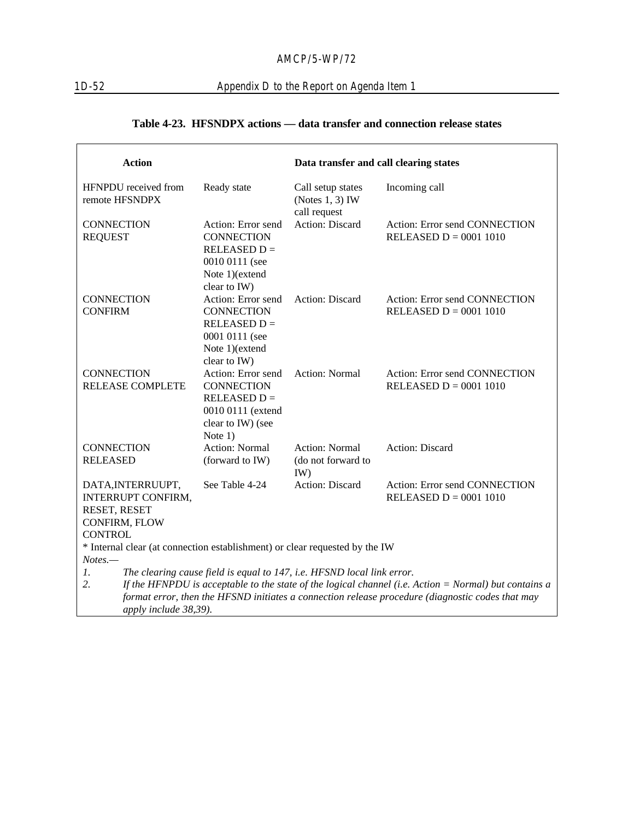## 1D-52 Appendix D to the Report on Agenda Item 1

## **Table 4-23. HFSNDPX actions — data transfer and connection release states**

| <b>Action</b>                                                                                                  |                                                                                                                  | Data transfer and call clearing states                  |                                                                                                  |  |
|----------------------------------------------------------------------------------------------------------------|------------------------------------------------------------------------------------------------------------------|---------------------------------------------------------|--------------------------------------------------------------------------------------------------|--|
| HFNPDU received from<br>remote HFSNDPX                                                                         | Ready state                                                                                                      | Call setup states<br>(Notes $1, 3$ ) IW<br>call request | Incoming call                                                                                    |  |
| <b>CONNECTION</b><br><b>REQUEST</b>                                                                            | Action: Error send<br><b>CONNECTION</b><br>$RELEASED D =$<br>0010 0111 (see<br>Note 1)(extend<br>clear to IW)    | <b>Action: Discard</b>                                  | Action: Error send CONNECTION<br>RELEASED $D = 0001 1010$                                        |  |
| <b>CONNECTION</b><br><b>CONFIRM</b>                                                                            | Action: Error send<br><b>CONNECTION</b><br>$RELEASED D =$<br>0001 0111 (see<br>Note 1)(extend<br>clear to IW)    | Action: Discard                                         | Action: Error send CONNECTION<br>RELEASED $D = 0001 1010$                                        |  |
| <b>CONNECTION</b><br><b>RELEASE COMPLETE</b>                                                                   | Action: Error send<br><b>CONNECTION</b><br>$RELEASED D =$<br>0010 0111 (extend<br>clear to IW) (see<br>Note $1)$ | <b>Action: Normal</b>                                   | Action: Error send CONNECTION<br>RELEASED $D = 0001 1010$                                        |  |
| <b>CONNECTION</b><br><b>RELEASED</b>                                                                           | <b>Action: Normal</b><br>(forward to IW)                                                                         | <b>Action: Normal</b><br>(do not forward to<br>IW)      | <b>Action: Discard</b>                                                                           |  |
| DATA, INTERRUUPT,<br><b>INTERRUPT CONFIRM,</b><br>RESET, RESET<br>CONFIRM, FLOW                                | See Table 4-24                                                                                                   | Action: Discard                                         | Action: Error send CONNECTION<br>RELEASED $D = 0001 1010$                                        |  |
| <b>CONTROL</b>                                                                                                 |                                                                                                                  |                                                         |                                                                                                  |  |
| * Internal clear (at connection establishment) or clear requested by the IW<br>$Notes. -$                      |                                                                                                                  |                                                         |                                                                                                  |  |
| $\mathfrak{1}.$<br>The clearing cause field is equal to 147, i.e. HFSND local link error.                      |                                                                                                                  |                                                         |                                                                                                  |  |
| 2.<br>If the HFNPDU is acceptable to the state of the logical channel (i.e. $Action = Normal$ ) but contains a |                                                                                                                  |                                                         |                                                                                                  |  |
|                                                                                                                |                                                                                                                  |                                                         | format error, then the HFSND initiates a connection release procedure (diagnostic codes that may |  |
|                                                                                                                | apply include 38,39).                                                                                            |                                                         |                                                                                                  |  |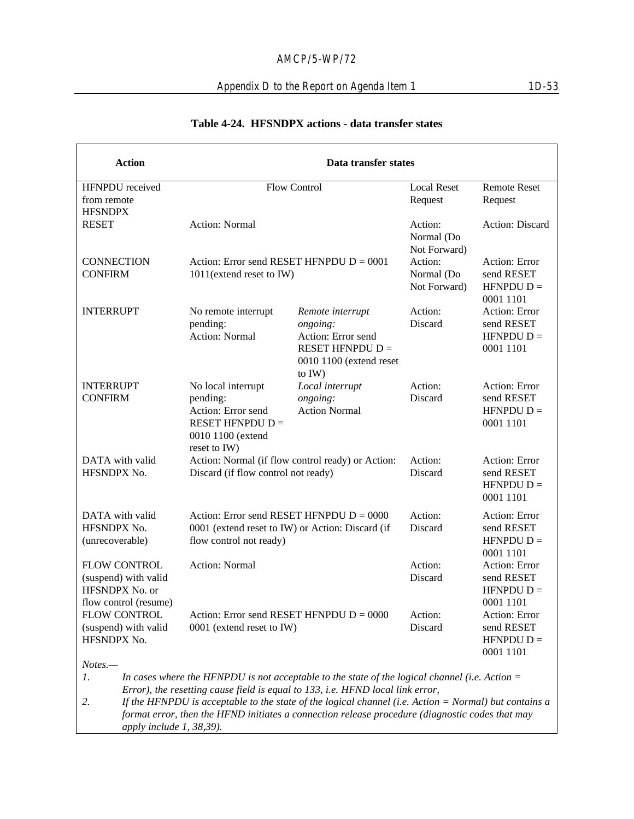## Appendix D to the Report on Agenda Item 1 1D-53

| <b>Action</b>                                                                          | Data transfer states                                                                                                      |                                                                                                                                                                                    |                                       |                                                               |
|----------------------------------------------------------------------------------------|---------------------------------------------------------------------------------------------------------------------------|------------------------------------------------------------------------------------------------------------------------------------------------------------------------------------|---------------------------------------|---------------------------------------------------------------|
| HFNPDU received                                                                        |                                                                                                                           | <b>Flow Control</b>                                                                                                                                                                | <b>Local Reset</b>                    | <b>Remote Reset</b>                                           |
| from remote<br><b>HFSNDPX</b>                                                          |                                                                                                                           |                                                                                                                                                                                    | Request                               | Request                                                       |
| <b>RESET</b>                                                                           | <b>Action: Normal</b>                                                                                                     |                                                                                                                                                                                    | Action:<br>Normal (Do<br>Not Forward) | Action: Discard                                               |
| <b>CONNECTION</b><br><b>CONFIRM</b>                                                    | Action: Error send RESET HFNPDU $D = 0001$<br>1011(extend reset to IW)                                                    |                                                                                                                                                                                    | Action:<br>Normal (Do<br>Not Forward) | Action: Error<br>send RESET<br>$H F N P D U D =$<br>0001 1101 |
| <b>INTERRUPT</b>                                                                       | No remote interrupt<br>pending:<br><b>Action: Normal</b>                                                                  | Remote interrupt<br>ongoing:<br>Action: Error send<br>RESET HFNPDU $D =$<br>0010 1100 (extend reset<br>to IW)                                                                      | Action:<br>Discard                    | Action: Error<br>send RESET<br>$H F N P D U D =$<br>0001 1101 |
| <b>INTERRUPT</b><br><b>CONFIRM</b>                                                     | No local interrupt<br>pending:<br>Action: Error send<br>RESET HFNPDU $D =$<br>0010 1100 (extend<br>reset to IW)           | Local interrupt<br>ongoing:<br><b>Action Normal</b>                                                                                                                                | Action:<br>Discard                    | Action: Error<br>send RESET<br>$H F N P D U D =$<br>0001 1101 |
| DATA with valid<br>HFSNDPX No.                                                         | Discard (if flow control not ready)                                                                                       | Action: Normal (if flow control ready) or Action:                                                                                                                                  | Action:<br>Discard                    | Action: Error<br>send RESET<br>$H F N P D U D =$<br>0001 1101 |
| DATA with valid<br>HFSNDPX No.<br>(unrecoverable)                                      | Action: Error send RESET HFNPDU $D = 0000$<br>0001 (extend reset to IW) or Action: Discard (if<br>flow control not ready) |                                                                                                                                                                                    | Action:<br>Discard                    | Action: Error<br>send RESET<br>$H F N P D U D =$<br>0001 1101 |
| <b>FLOW CONTROL</b><br>(suspend) with valid<br>HFSNDPX No. or<br>flow control (resume) | <b>Action: Normal</b>                                                                                                     |                                                                                                                                                                                    | Action:<br>Discard                    | Action: Error<br>send RESET<br>$H F N P D U D =$<br>0001 1101 |
| FLOW CONTROL<br>(suspend) with valid<br>HFSNDPX No.                                    | Action: Error send RESET HFNPDU $D = 0000$<br>0001 (extend reset to IW)                                                   |                                                                                                                                                                                    | Action:<br>Discard                    | Action: Error<br>send RESET<br>$H F N P D U D =$<br>0001 1101 |
| Notes.-<br>1.                                                                          |                                                                                                                           | In cases where the HFNPDU is not acceptable to the state of the logical channel (i.e. Action $=$<br>Error), the resetting cause field is equal to 133, i.e. HFND local link error, |                                       |                                                               |

#### **Table 4-24. HFSNDPX actions - data transfer states**

*2. If the HFNPDU is acceptable to the state of the logical channel (i.e. Action = Normal) but contains a format error, then the HFND initiates a connection release procedure (diagnostic codes that may apply include 1, 38,39).*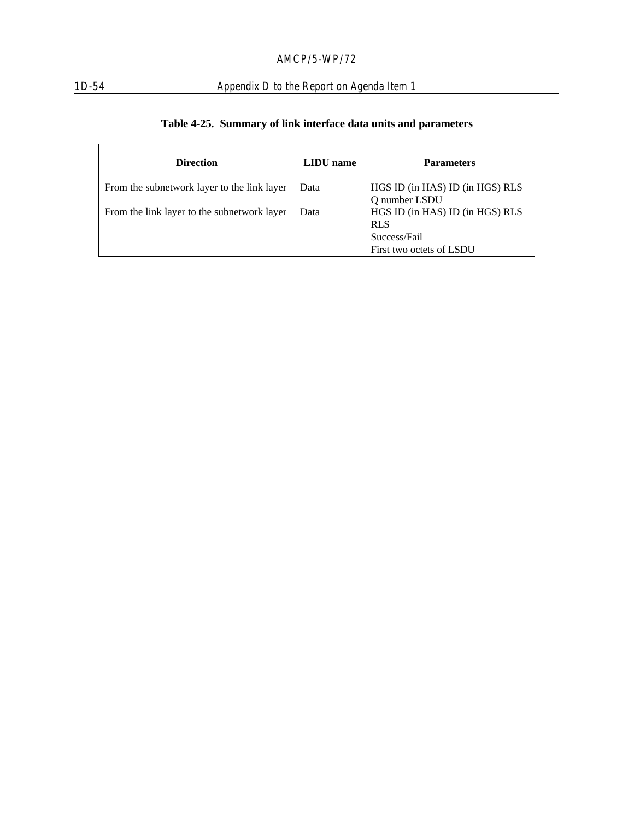## 1D-54 Appendix D to the Report on Agenda Item 1

|  |  | Table 4-25. Summary of link interface data units and parameters |  |  |
|--|--|-----------------------------------------------------------------|--|--|
|--|--|-----------------------------------------------------------------|--|--|

| <b>Direction</b>                            | LIDU name | <b>Parameters</b>                                                                         |
|---------------------------------------------|-----------|-------------------------------------------------------------------------------------------|
| From the subnetwork layer to the link layer | Data      | HGS ID (in HAS) ID (in HGS) RLS<br>Q number LSDU                                          |
| From the link layer to the subnetwork layer | Data      | HGS ID (in HAS) ID (in HGS) RLS<br><b>RLS</b><br>Success/Fail<br>First two octets of LSDU |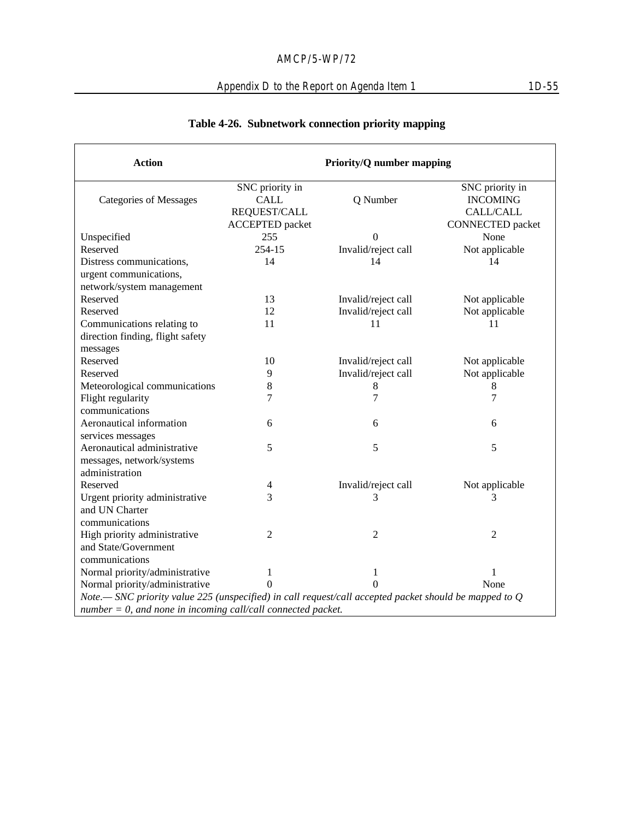# Appendix D to the Report on Agenda Item 1 1D-55

| <b>Action</b>                                                                                            | <b>Priority/Q number mapping</b>                                         |                     |                                                                                   |  |
|----------------------------------------------------------------------------------------------------------|--------------------------------------------------------------------------|---------------------|-----------------------------------------------------------------------------------|--|
| <b>Categories of Messages</b>                                                                            | SNC priority in<br><b>CALL</b><br>REQUEST/CALL<br><b>ACCEPTED</b> packet | Q Number            | SNC priority in<br><b>INCOMING</b><br><b>CALL/CALL</b><br><b>CONNECTED</b> packet |  |
| Unspecified                                                                                              | 255                                                                      | $\theta$            | None                                                                              |  |
| Reserved                                                                                                 | 254-15                                                                   | Invalid/reject call | Not applicable                                                                    |  |
| Distress communications,                                                                                 | 14                                                                       | 14                  | 14                                                                                |  |
| urgent communications,                                                                                   |                                                                          |                     |                                                                                   |  |
| network/system management                                                                                |                                                                          |                     |                                                                                   |  |
| Reserved                                                                                                 | 13                                                                       | Invalid/reject call | Not applicable                                                                    |  |
| Reserved                                                                                                 | 12                                                                       | Invalid/reject call | Not applicable                                                                    |  |
| Communications relating to                                                                               | 11                                                                       | 11                  | 11                                                                                |  |
| direction finding, flight safety                                                                         |                                                                          |                     |                                                                                   |  |
| messages                                                                                                 |                                                                          |                     |                                                                                   |  |
| Reserved                                                                                                 | 10                                                                       | Invalid/reject call | Not applicable                                                                    |  |
| Reserved                                                                                                 | 9                                                                        | Invalid/reject call | Not applicable                                                                    |  |
| Meteorological communications                                                                            | $\,8\,$                                                                  | 8                   | 8                                                                                 |  |
| Flight regularity                                                                                        | 7                                                                        | 7                   | $\tau$                                                                            |  |
| communications                                                                                           |                                                                          |                     |                                                                                   |  |
| Aeronautical information                                                                                 | 6                                                                        | 6                   | 6                                                                                 |  |
| services messages                                                                                        |                                                                          |                     |                                                                                   |  |
| Aeronautical administrative                                                                              | 5                                                                        | 5                   | 5                                                                                 |  |
| messages, network/systems                                                                                |                                                                          |                     |                                                                                   |  |
| administration                                                                                           |                                                                          |                     |                                                                                   |  |
| Reserved                                                                                                 | 4                                                                        | Invalid/reject call | Not applicable                                                                    |  |
| Urgent priority administrative                                                                           | 3                                                                        | 3                   | 3                                                                                 |  |
| and UN Charter                                                                                           |                                                                          |                     |                                                                                   |  |
| communications                                                                                           |                                                                          |                     |                                                                                   |  |
| High priority administrative                                                                             | 2                                                                        | $\overline{2}$      | $\overline{2}$                                                                    |  |
| and State/Government                                                                                     |                                                                          |                     |                                                                                   |  |
| communications                                                                                           |                                                                          |                     |                                                                                   |  |
| Normal priority/administrative                                                                           | 1                                                                        | $\mathbf{1}$        | $\mathbf{1}$                                                                      |  |
| Normal priority/administrative                                                                           | $\Omega$                                                                 |                     | None                                                                              |  |
| Note.— SNC priority value 225 (unspecified) in call request/call accepted packet should be mapped to $Q$ |                                                                          |                     |                                                                                   |  |
| $number = 0$ , and none in incoming call/call connected packet.                                          |                                                                          |                     |                                                                                   |  |

# **Table 4-26. Subnetwork connection priority mapping**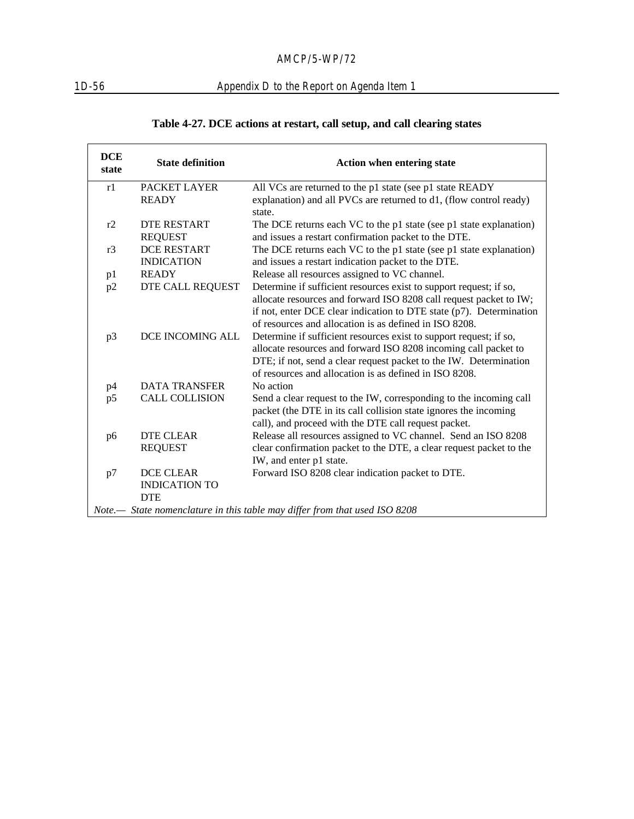# 1D-56 Appendix D to the Report on Agenda Item 1

# **Table 4-27. DCE actions at restart, call setup, and call clearing states**

| <b>DCE</b><br>state | <b>State definition</b> | <b>Action when entering state</b>                                          |
|---------------------|-------------------------|----------------------------------------------------------------------------|
| r1                  | PACKET LAYER            | All VCs are returned to the p1 state (see p1 state READY                   |
|                     | <b>READY</b>            | explanation) and all PVCs are returned to d1, (flow control ready)         |
|                     |                         | state.                                                                     |
| r2                  | <b>DTE RESTART</b>      | The DCE returns each VC to the p1 state (see p1 state explanation)         |
|                     | <b>REQUEST</b>          | and issues a restart confirmation packet to the DTE.                       |
| r3                  | <b>DCE RESTART</b>      | The DCE returns each VC to the p1 state (see p1 state explanation)         |
|                     | <b>INDICATION</b>       | and issues a restart indication packet to the DTE.                         |
| p1                  | <b>READY</b>            | Release all resources assigned to VC channel.                              |
| p2                  | DTE CALL REQUEST        | Determine if sufficient resources exist to support request; if so,         |
|                     |                         | allocate resources and forward ISO 8208 call request packet to IW;         |
|                     |                         | if not, enter DCE clear indication to DTE state $(p7)$ . Determination     |
|                     |                         | of resources and allocation is as defined in ISO 8208.                     |
| p3                  | DCE INCOMING ALL        | Determine if sufficient resources exist to support request; if so,         |
|                     |                         | allocate resources and forward ISO 8208 incoming call packet to            |
|                     |                         | DTE; if not, send a clear request packet to the IW. Determination          |
|                     |                         | of resources and allocation is as defined in ISO 8208.                     |
| p4                  | <b>DATA TRANSFER</b>    | No action                                                                  |
| p5                  | <b>CALL COLLISION</b>   | Send a clear request to the IW, corresponding to the incoming call         |
|                     |                         | packet (the DTE in its call collision state ignores the incoming           |
|                     |                         | call), and proceed with the DTE call request packet.                       |
| p6                  | <b>DTE CLEAR</b>        | Release all resources assigned to VC channel. Send an ISO 8208             |
|                     | <b>REQUEST</b>          | clear confirmation packet to the DTE, a clear request packet to the        |
|                     |                         | IW, and enter p1 state.                                                    |
| p7                  | <b>DCE CLEAR</b>        | Forward ISO 8208 clear indication packet to DTE.                           |
|                     | <b>INDICATION TO</b>    |                                                                            |
|                     | <b>DTE</b>              | Note.— State nomenclature in this table may differ from that used ISO 8208 |
|                     |                         |                                                                            |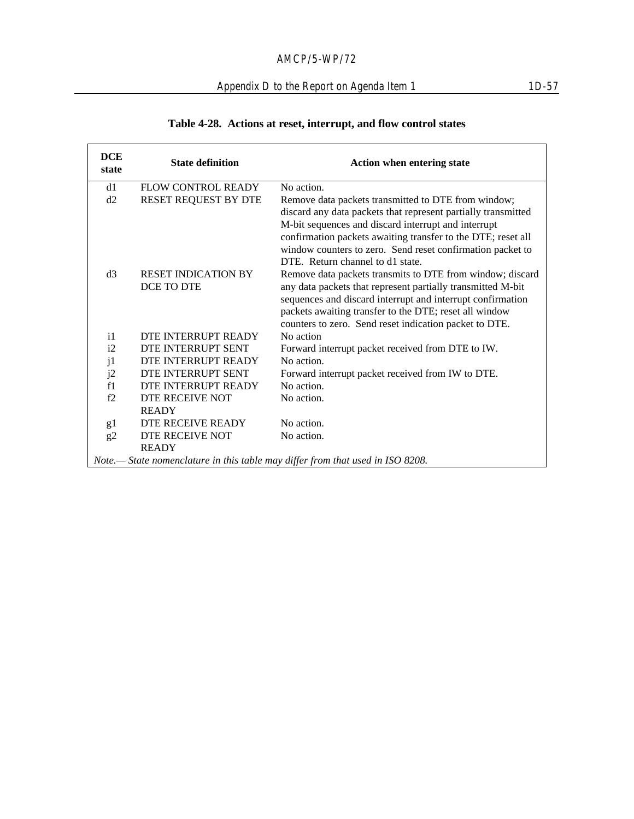## Appendix D to the Report on Agenda Item 1 1D-57

| Table 4-28. Actions at reset, interrupt, and flow control states |
|------------------------------------------------------------------|
|------------------------------------------------------------------|

| <b>DCE</b><br>state | <b>State definition</b>         | <b>Action when entering state</b>                                                                                                                                                                                                             |
|---------------------|---------------------------------|-----------------------------------------------------------------------------------------------------------------------------------------------------------------------------------------------------------------------------------------------|
| d1                  | FLOW CONTROL READY              | No action.                                                                                                                                                                                                                                    |
| d2                  | RESET REQUEST BY DTE            | Remove data packets transmitted to DTE from window;<br>discard any data packets that represent partially transmitted<br>M-bit sequences and discard interrupt and interrupt<br>confirmation packets awaiting transfer to the DTE; reset all   |
|                     |                                 | window counters to zero. Send reset confirmation packet to<br>DTE. Return channel to d1 state.                                                                                                                                                |
| d3                  | <b>RESET INDICATION BY</b>      | Remove data packets transmits to DTE from window; discard                                                                                                                                                                                     |
|                     | DCE TO DTE                      | any data packets that represent partially transmitted M-bit<br>sequences and discard interrupt and interrupt confirmation<br>packets awaiting transfer to the DTE; reset all window<br>counters to zero. Send reset indication packet to DTE. |
| $\mathbf{i}$        | DTE INTERRUPT READY             | No action                                                                                                                                                                                                                                     |
| i2                  | <b>DTE INTERRUPT SENT</b>       | Forward interrupt packet received from DTE to IW.                                                                                                                                                                                             |
| j1                  | DTE INTERRUPT READY             | No action.                                                                                                                                                                                                                                    |
| j2                  | DTE INTERRUPT SENT              | Forward interrupt packet received from IW to DTE.                                                                                                                                                                                             |
| f1                  | DTE INTERRUPT READY             | No action.                                                                                                                                                                                                                                    |
| f2                  | DTE RECEIVE NOT                 | No action.                                                                                                                                                                                                                                    |
|                     | <b>READY</b>                    |                                                                                                                                                                                                                                               |
| g1                  | DTE RECEIVE READY               | No action.                                                                                                                                                                                                                                    |
| g2                  | DTE RECEIVE NOT<br><b>READY</b> | No action.                                                                                                                                                                                                                                    |
|                     |                                 | Note.- State nomenclature in this table may differ from that used in ISO 8208.                                                                                                                                                                |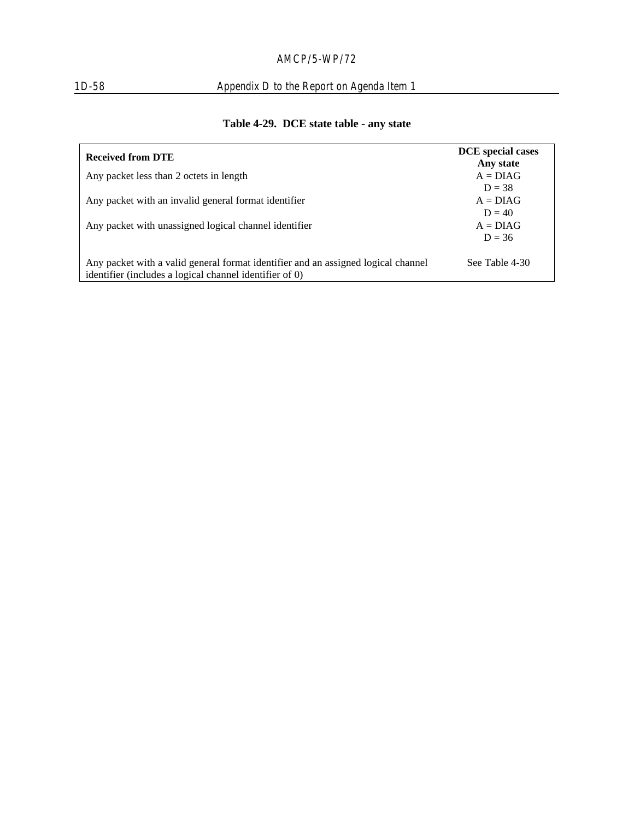# 1D-58 Appendix D to the Report on Agenda Item 1

| <b>Received from DTE</b>                                                                                                                     | <b>DCE</b> special cases<br>Any state |
|----------------------------------------------------------------------------------------------------------------------------------------------|---------------------------------------|
| Any packet less than 2 octets in length                                                                                                      | $A = DIAG$                            |
|                                                                                                                                              | $D = 38$                              |
| Any packet with an invalid general format identifier                                                                                         | $A = DIAG$                            |
|                                                                                                                                              | $D = 40$                              |
| Any packet with unassigned logical channel identifier                                                                                        | $A = DIAG$                            |
|                                                                                                                                              | $D = 36$                              |
| Any packet with a valid general format identifier and an assigned logical channel<br>identifier (includes a logical channel identifier of 0) | See Table 4-30                        |

# **Table 4-29. DCE state table - any state**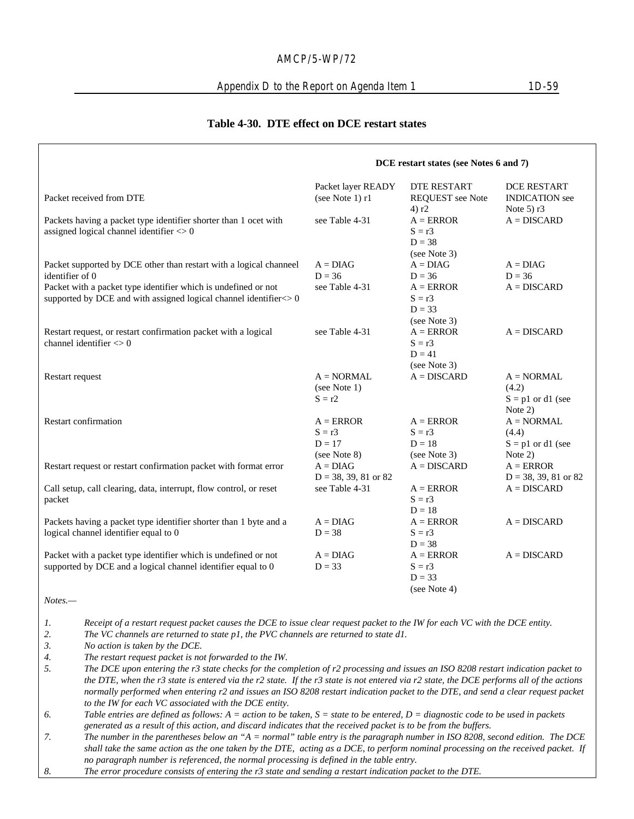#### Appendix D to the Report on Agenda Item 1 1D-59

#### **Table 4-30. DTE effect on DCE restart states**

|                                                                                                                                              | DCE restart states (see Notes 6 and 7)              |                                                     |                                                                 |
|----------------------------------------------------------------------------------------------------------------------------------------------|-----------------------------------------------------|-----------------------------------------------------|-----------------------------------------------------------------|
| Packet received from DTE                                                                                                                     | Packet layer READY<br>(see Note 1) r1               | <b>DTE RESTART</b><br>REQUEST see Note<br>4) r2     | <b>DCE RESTART</b><br><b>INDICATION</b> see<br>Note $5$ ) r $3$ |
| Packets having a packet type identifier shorter than 1 ocet with<br>assigned logical channel identifier $\leq 0$                             | see Table 4-31                                      | $A = ERROR$<br>$S = r3$<br>$D = 38$<br>(see Note 3) | $A = DISCARD$                                                   |
| Packet supported by DCE other than restart with a logical channeel<br>identifier of 0                                                        | $A = D I A G$<br>$D = 36$                           | $A = D I A G$<br>$D = 36$                           | $A = D I A G$<br>$D = 36$                                       |
| Packet with a packet type identifier which is undefined or not<br>supported by DCE and with assigned logical channel identifier <> 0         | see Table 4-31                                      | $A = ERROR$<br>$S = r3$<br>$D = 33$<br>(see Note 3) | $A = DISCARD$                                                   |
| Restart request, or restart confirmation packet with a logical<br>channel identifier $\langle 0 \rangle$                                     | see Table 4-31                                      | $A = ERROR$<br>$S = r3$<br>$D = 41$<br>(see Note 3) | $A = DISCARD$                                                   |
| Restart request                                                                                                                              | $A = NORMAL$<br>(see Note 1)<br>$S = r2$            | $A = DISCARD$                                       | $A = NORMAL$<br>(4.2)<br>$S = p1$ or d1 (see<br>Note $2)$       |
| Restart confirmation                                                                                                                         | $A = ERROR$<br>$S = r3$<br>$D = 17$<br>(see Note 8) | $A = ERROR$<br>$S = r3$<br>$D = 18$<br>(see Note 3) | $A = NORMAL$<br>(4.4)<br>$S = p1$ or d1 (see<br>Note 2)         |
| Restart request or restart confirmation packet with format error                                                                             | $A = D I A G$<br>$D = 38, 39, 81$ or 82             | $A = DISCARD$                                       | $A = ERROR$<br>$D = 38, 39, 81$ or 82                           |
| Call setup, call clearing, data, interrupt, flow control, or reset<br>packet                                                                 | see Table 4-31                                      | $A = ERROR$<br>$S = r3$<br>$D = 18$                 | $A = DISCARD$                                                   |
| Packets having a packet type identifier shorter than 1 byte and a<br>logical channel identifier equal to 0                                   | $A = D I A G$<br>$D = 38$                           | $A = ERROR$<br>$S = r3$<br>$D = 38$                 | $A = DISCARD$                                                   |
| Packet with a packet type identifier which is undefined or not<br>supported by DCE and a logical channel identifier equal to 0<br>$Notes. -$ | $A = D I A G$<br>$D = 33$                           | $A = ERROR$<br>$S = r3$<br>$D = 33$<br>(see Note 4) | $A = DISCARD$                                                   |

*1. Receipt of a restart request packet causes the DCE to issue clear request packet to the IW for each VC with the DCE entity.*

*2. The VC channels are returned to state p1, the PVC channels are returned to state d1.*

*3. No action is taken by the DCE.*

*4. The restart request packet is not forwarded to the IW.*

*5. The DCE upon entering the r3 state checks for the completion of r2 processing and issues an ISO 8208 restart indication packet to the DTE, when the r3 state is entered via the r2 state. If the r3 state is not entered via r2 state, the DCE performs all of the actions normally performed when entering r2 and issues an ISO 8208 restart indication packet to the DTE, and send a clear request packet to the IW for each VC associated with the DCE entity.*

*6. Table entries are defined as follows: A = action to be taken, S = state to be entered, D = diagnostic code to be used in packets generated as a result of this action, and discard indicates that the received packet is to be from the buffers.*

*7. The number in the parentheses below an "A = normal" table entry is the paragraph number in ISO 8208, second edition. The DCE shall take the same action as the one taken by the DTE, acting as a DCE, to perform nominal processing on the received packet. If no paragraph number is referenced, the normal processing is defined in the table entry.*

*8. The error procedure consists of entering the r3 state and sending a restart indication packet to the DTE.*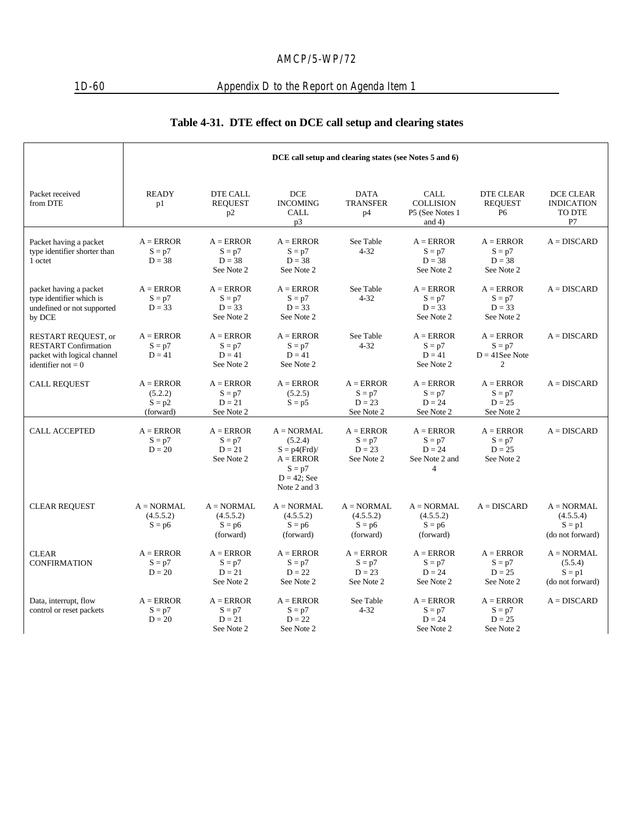# 1D-60 Appendix D to the Report on Agenda Item 1

# **Table 4-31. DTE effect on DCE call setup and clearing states**

|                                                                                                           | DCE call setup and clearing states (see Notes 5 and 6) |                                                    |                                                                                                       |                                                    |                                                                         |                                                                |                                                           |
|-----------------------------------------------------------------------------------------------------------|--------------------------------------------------------|----------------------------------------------------|-------------------------------------------------------------------------------------------------------|----------------------------------------------------|-------------------------------------------------------------------------|----------------------------------------------------------------|-----------------------------------------------------------|
| Packet received<br>from DTE                                                                               | <b>READY</b><br>p1                                     | <b>DTE CALL</b><br><b>REQUEST</b><br>p2            | <b>DCE</b><br><b>INCOMING</b><br><b>CALL</b><br>p3                                                    | <b>DATA</b><br><b>TRANSFER</b><br>p4               | <b>CALL</b><br><b>COLLISION</b><br>P5 (See Notes 1<br>and $4)$          | <b>DTE CLEAR</b><br><b>REOUEST</b><br>P <sub>6</sub>           | DCE CLEAR<br><b>INDICATION</b><br>TO DTE<br>P7            |
| Packet having a packet<br>type identifier shorter than<br>1 octet                                         | $A = ERROR$<br>$S = p7$<br>$D = 38$                    | $A = ERROR$<br>$S = p7$<br>$D = 38$<br>See Note 2  | $A = ERROR$<br>$S = p7$<br>$D = 38$<br>See Note 2                                                     | See Table<br>$4 - 32$                              | $A = ERROR$<br>$S = p7$<br>$D = 38$<br>See Note 2                       | $A = ERROR$<br>$S = p7$<br>$D = 38$<br>See Note 2              | $A = DISCARD$                                             |
| packet having a packet<br>type identifier which is<br>undefined or not supported<br>by DCE                | $A = ERROR$<br>$S = p7$<br>$D = 33$                    | $A = ERROR$<br>$S = p7$<br>$D = 33$<br>See Note 2  | $A = ERROR$<br>$S = p7$<br>$D = 33$<br>See Note 2                                                     | See Table<br>$4 - 32$                              | $A = ERROR$<br>$S = p7$<br>$D = 33$<br>See Note 2                       | $A = ERROR$<br>$S = p7$<br>$D = 33$<br>See Note 2              | $A = DISCARD$                                             |
| RESTART REQUEST, or<br><b>RESTART Confirmation</b><br>packet with logical channel<br>identifier not $= 0$ | $A = ERROR$<br>$S = p7$<br>$D = 41$                    | $A = ERROR$<br>$S = p7$<br>$D = 41$<br>See Note 2  | $A = ERROR$<br>$S = p7$<br>$D = 41$<br>See Note 2                                                     | See Table<br>$4 - 32$                              | $A = ERROR$<br>$S = p7$<br>$D = 41$<br>See Note 2                       | $A = ERROR$<br>$S = p7$<br>$D = 41$ See Note<br>$\overline{2}$ | $A = DISCARD$                                             |
| CALL REQUEST                                                                                              | $A = ERROR$<br>(5.2.2)<br>$S = p2$<br>(forward)        | $A = ERROR$<br>$S = p7$<br>$D = 21$<br>See Note 2  | $A = ERROR$<br>(5.2.5)<br>$S = p5$                                                                    | $A = ERROR$<br>$S = p7$<br>$D = 23$<br>See Note 2  | $A = ERROR$<br>$S = p7$<br>$D = 24$<br>See Note 2                       | $A = ERROR$<br>$S = p7$<br>$D = 25$<br>See Note 2              | $A = DISCARD$                                             |
| <b>CALL ACCEPTED</b>                                                                                      | $A = ERROR$<br>$S = p7$<br>$D = 20$                    | $A = ERROR$<br>$S = p7$<br>$D = 21$<br>See Note 2  | $A = NORMAL$<br>(5.2.4)<br>$S = p4(Frd)$<br>$A = ERROR$<br>$S = p7$<br>$D = 42$ ; See<br>Note 2 and 3 | $A = ERROR$<br>$S = p7$<br>$D = 23$<br>See Note 2  | $A = ERROR$<br>$S = p7$<br>$D = 24$<br>See Note 2 and<br>$\overline{4}$ | $A = ERROR$<br>$S = p7$<br>$D = 25$<br>See Note 2              | $A = DISCARD$                                             |
| <b>CLEAR REQUEST</b>                                                                                      | $A = NORMAL$<br>(4.5.5.2)<br>$S = p6$                  | $A = NORMAL$<br>(4.5.5.2)<br>$S = p6$<br>(forward) | $A = NORMAL$<br>(4.5.5.2)<br>$S = p6$<br>(forward)                                                    | $A = NORMAL$<br>(4.5.5.2)<br>$S = p6$<br>(forward) | $A = NORMAL$<br>(4.5.5.2)<br>$S = p6$<br>(forward)                      | $A = DISCARD$                                                  | $A = NORMAL$<br>(4.5.5.4)<br>$S = p1$<br>(do not forward) |
| <b>CLEAR</b><br><b>CONFIRMATION</b>                                                                       | $A = ERROR$<br>$S = p7$<br>$D = 20$                    | $A = ERROR$<br>$S = p7$<br>$D = 21$<br>See Note 2  | $A = ERROR$<br>$S = p7$<br>$D = 22$<br>See Note 2                                                     | $A = ERROR$<br>$S = p7$<br>$D = 23$<br>See Note 2  | $A = ERROR$<br>$S = p7$<br>$D = 24$<br>See Note 2                       | $A = ERROR$<br>$S = p7$<br>$D = 25$<br>See Note 2              | $A = NORMAL$<br>(5.5.4)<br>$S = p1$<br>(do not forward)   |
| Data, interrupt, flow<br>control or reset packets                                                         | $A = ERROR$<br>$S = p7$<br>$D = 20$                    | $A = ERROR$<br>$S = p7$<br>$D = 21$<br>See Note 2  | $A = ERROR$<br>$S = p7$<br>$D = 22$<br>See Note 2                                                     | See Table<br>$4 - 32$                              | $A = ERROR$<br>$S = p7$<br>$D = 24$<br>See Note 2                       | $A = ERROR$<br>$S = p7$<br>$D = 25$<br>See Note 2              | $A = DISCARD$                                             |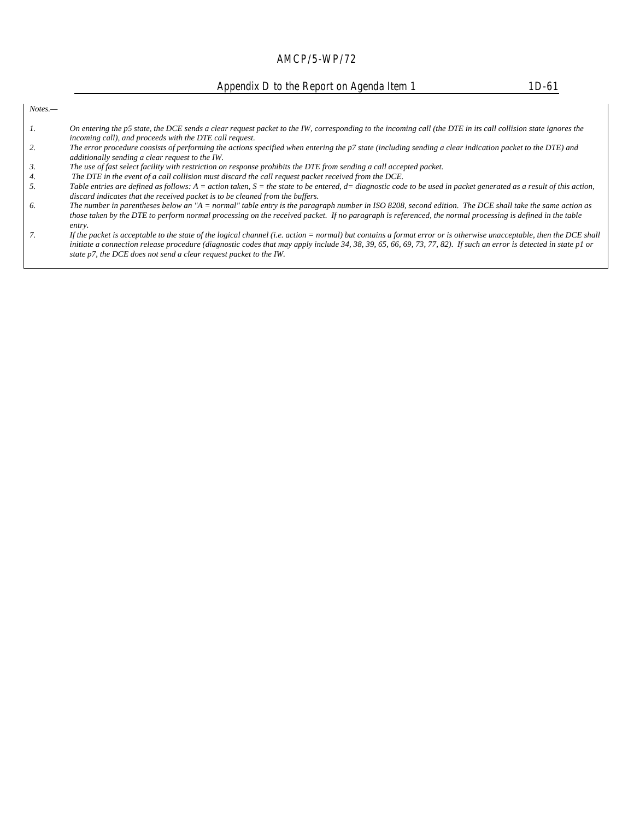Appendix D to the Report on Agenda Item 1 1D-61

*Notes.—*

- *1. On entering the p5 state, the DCE sends a clear request packet to the IW, corresponding to the incoming call (the DTE in its call collision state ignores the incoming call), and proceeds with the DTE call request.*
- *2. The error procedure consists of performing the actions specified when entering the p7 state (including sending a clear indication packet to the DTE) and additionally sending a clear request to the IW.*
- *3. The use of fast select facility with restriction on response prohibits the DTE from sending a call accepted packet.*
- 
- *4.* The DTE in the event of a call collision must discard the call request packet received from the DCE.<br>*5.* Table entries are defined as follows: A = action taken, S = the state to be entered, d= diagnostic cod *5. Table entries are defined as follows: A = action taken, S = the state to be entered, d= diagnostic code to be used in packet generated as a result of this action, discard indicates that the received packet is to be cleaned from the buffers.*
- *6. The number in parentheses below an "A = normal" table entry is the paragraph number in ISO 8208, second edition. The DCE shall take the same action as those taken by the DTE to perform normal processing on the received packet. If no paragraph is referenced, the normal processing is defined in the table entry.*
- *7. If the packet is acceptable to the state of the logical channel (i.e. action = normal) but contains a format error or is otherwise unacceptable, then the DCE shall initiate a connection release procedure (diagnostic codes that may apply include 34, 38, 39, 65, 66, 69, 73, 77, 82). If such an error is detected in state p1 or state p7, the DCE does not send a clear request packet to the IW.*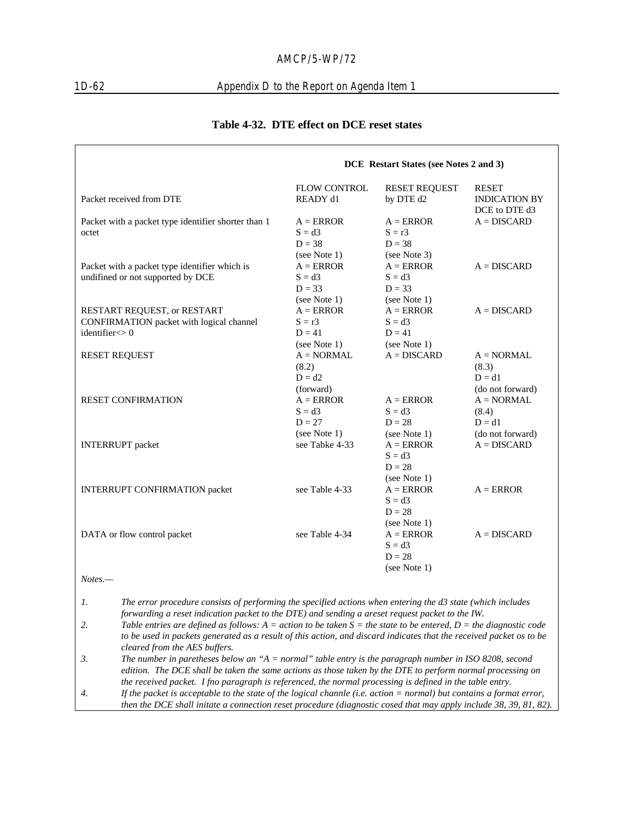## 1D-62 Appendix D to the Report on Agenda Item 1

|                                                                                                                                                                                                                                                                 | <b>DCE</b> Restart States (see Notes 2 and 3) |                                         |                                                       |
|-----------------------------------------------------------------------------------------------------------------------------------------------------------------------------------------------------------------------------------------------------------------|-----------------------------------------------|-----------------------------------------|-------------------------------------------------------|
| Packet received from DTE                                                                                                                                                                                                                                        | FLOW CONTROL<br>READY d1                      | <b>RESET REQUEST</b><br>by DTE d2       | <b>RESET</b><br><b>INDICATION BY</b><br>DCE to DTE d3 |
| Packet with a packet type identifier shorter than 1<br>octet                                                                                                                                                                                                    | $A = ERROR$<br>$S = d3$                       | $A = ERROR$<br>$S = r3$                 | $A = DISCARD$                                         |
|                                                                                                                                                                                                                                                                 | $D = 38$                                      | $D = 38$                                |                                                       |
| Packet with a packet type identifier which is<br>undifined or not supported by DCE                                                                                                                                                                              | (see Note 1)<br>$A = ERROR$<br>$S = d3$       | (see Note 3)<br>$A = ERROR$<br>$S = d3$ | $A = DISCARD$                                         |
|                                                                                                                                                                                                                                                                 | $D = 33$<br>(see Note 1)                      | $D = 33$<br>(see Note 1)                |                                                       |
| RESTART REQUEST, or RESTART<br>CONFIRMATION packet with logical channel                                                                                                                                                                                         | $A = ERROR$<br>$S = r3$                       | $A = ERROR$<br>$S = d3$                 | $A = DISCARD$                                         |
| identifier <> 0                                                                                                                                                                                                                                                 | $D = 41$<br>(see Note 1)                      | $D = 41$<br>(see Note 1)                |                                                       |
| <b>RESET REQUEST</b>                                                                                                                                                                                                                                            | $A = NORMAL$<br>(8.2)                         | $A = DISCARD$                           | $A = NORMAL$<br>(8.3)                                 |
|                                                                                                                                                                                                                                                                 | $D = d2$<br>(forward)                         |                                         | $D = d1$<br>(do not forward)                          |
| <b>RESET CONFIRMATION</b>                                                                                                                                                                                                                                       | $A = ERROR$<br>$S = d3$                       | $A = ERROR$<br>$S = d3$                 | $A = NORMAL$<br>(8.4)                                 |
|                                                                                                                                                                                                                                                                 | $D = 27$                                      | $D = 28$                                | $D = d1$                                              |
| <b>INTERRUPT</b> packet                                                                                                                                                                                                                                         | (see Note 1)<br>see Tabke 4-33                | (see Note 1)<br>$A = ERROR$<br>$S = d3$ | (do not forward)<br>$A = DISCARD$                     |
|                                                                                                                                                                                                                                                                 |                                               | $D = 28$                                |                                                       |
| <b>INTERRUPT CONFIRMATION packet</b>                                                                                                                                                                                                                            | see Table 4-33                                | (see Note 1)<br>$A = ERROR$<br>$S = d3$ | $A = ERROR$                                           |
|                                                                                                                                                                                                                                                                 |                                               | $D = 28$                                |                                                       |
| DATA or flow control packet                                                                                                                                                                                                                                     | see Table 4-34                                | (see Note 1)<br>$A = ERROR$<br>$S = d3$ | $A = DISCARD$                                         |
|                                                                                                                                                                                                                                                                 |                                               | $D = 28$                                |                                                       |
| $Notes. -$                                                                                                                                                                                                                                                      |                                               | (see Note 1)                            |                                                       |
|                                                                                                                                                                                                                                                                 |                                               |                                         |                                                       |
| 1.<br>The error procedure consists of performing the specified actions when entering the d3 state (which includes<br>forwarding a reset indication packet to the DTE) and sending a areset request packet to the IW.                                            |                                               |                                         |                                                       |
| 2.<br>Table entries are defined as follows: $A = action$ to be taken $S = the$ state to be entered, $D = the$ diagnostic code<br>to be used in packets generated as a result of this action, and discard indicates that the received packet os to be            |                                               |                                         |                                                       |
| cleared from the AES buffers.<br>The number in paretheses below an " $A = normal$ " table entry is the paragraph number in ISO 8208, second<br>3.<br>edition. The DCE shall be taken the same actions as those taken by the DTE to perform normal processing on |                                               |                                         |                                                       |
| the received packet. I fno paragraph is referenced, the normal processing is defined in the table entry.                                                                                                                                                        |                                               |                                         |                                                       |
| If the packet is accountable to the state of the logical channel (i.e. action = normal) but contains a format error                                                                                                                                             |                                               |                                         |                                                       |

#### **Table 4-32. DTE effect on DCE reset states**

*4. If the packet is acceptable to the state of the logical channle (i.e. action = normal) but contains a format error, then the DCE shall initate a connection reset procedure (diagnostic cosed that may apply include 38, 39, 81, 82).*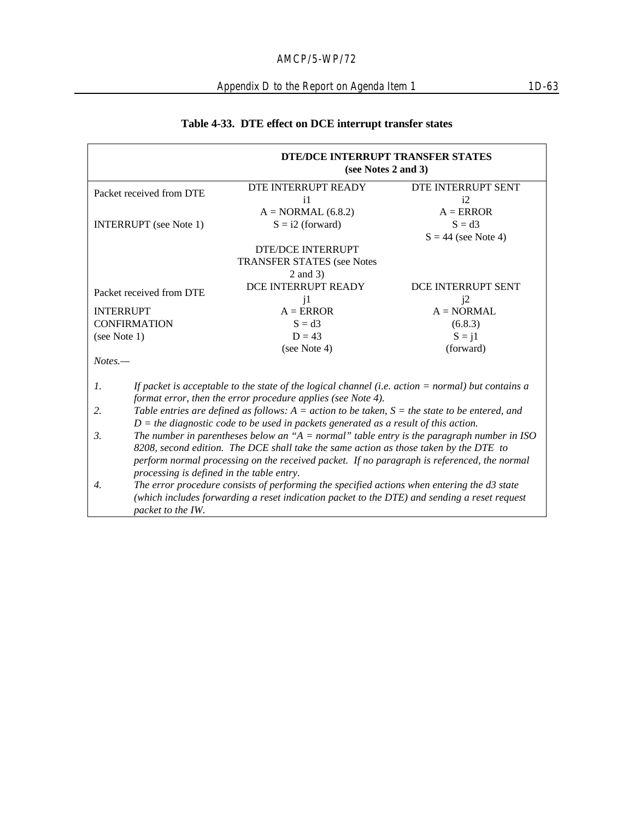# **Table 4-33. DTE effect on DCE interrupt transfer states**

|                                                                                       | DTE/DCE INTERRUPT TRANSFER STATES<br>(see Notes 2 and 3)                                                                                                            |                       |  |  |
|---------------------------------------------------------------------------------------|---------------------------------------------------------------------------------------------------------------------------------------------------------------------|-----------------------|--|--|
| Packet received from DTE                                                              | DTE INTERRUPT READY                                                                                                                                                 | DTE INTERRUPT SENT    |  |  |
|                                                                                       | $\mathbf{i}$                                                                                                                                                        | i2                    |  |  |
|                                                                                       | $A = NORMAL(6.8.2)$                                                                                                                                                 | $A = ERROR$           |  |  |
| <b>INTERRUPT</b> (see Note 1)                                                         | $S = i2$ (forward)                                                                                                                                                  | $S = d3$              |  |  |
|                                                                                       |                                                                                                                                                                     | $S = 44$ (see Note 4) |  |  |
|                                                                                       | <b>DTE/DCE INTERRUPT</b>                                                                                                                                            |                       |  |  |
|                                                                                       | <b>TRANSFER STATES (see Notes</b>                                                                                                                                   |                       |  |  |
|                                                                                       | 2 and 3)                                                                                                                                                            |                       |  |  |
| Packet received from DTE                                                              | DCE INTERRUPT READY                                                                                                                                                 | DCE INTERRUPT SENT    |  |  |
|                                                                                       | $\mathbf{i}$                                                                                                                                                        | i2                    |  |  |
| <b>INTERRUPT</b>                                                                      | $A = ERROR$                                                                                                                                                         | $A = NORMAL$          |  |  |
| <b>CONFIRMATION</b>                                                                   | $S = d3$                                                                                                                                                            | (6.8.3)               |  |  |
| (see Note 1)                                                                          | $D = 43$                                                                                                                                                            | $S = i1$              |  |  |
|                                                                                       | (see Note 4)                                                                                                                                                        | (forward)             |  |  |
| $Notes. -$                                                                            |                                                                                                                                                                     |                       |  |  |
| 1.                                                                                    | If packet is acceptable to the state of the logical channel (i.e. action $=$ normal) but contains a<br>format error, then the error procedure applies (see Note 4). |                       |  |  |
| 2.                                                                                    | Table entries are defined as follows: $A = action$ to be taken, $S =$ the state to be entered, and                                                                  |                       |  |  |
|                                                                                       | $D =$ the diagnostic code to be used in packets generated as a result of this action.                                                                               |                       |  |  |
| 3.                                                                                    | The number in parentheses below an " $A = normal$ " table entry is the paragraph number in ISO                                                                      |                       |  |  |
| 8208, second edition. The DCE shall take the same action as those taken by the DTE to |                                                                                                                                                                     |                       |  |  |
|                                                                                       | perform normal processing on the received packet. If no paragraph is referenced, the normal                                                                         |                       |  |  |
| processing is defined in the table entry.                                             |                                                                                                                                                                     |                       |  |  |
| 4.                                                                                    | The error procedure consists of performing the specified actions when entering the d3 state                                                                         |                       |  |  |
|                                                                                       | (which includes forwarding a reset indication packet to the DTE) and sending a reset request                                                                        |                       |  |  |
| packet to the IW.                                                                     |                                                                                                                                                                     |                       |  |  |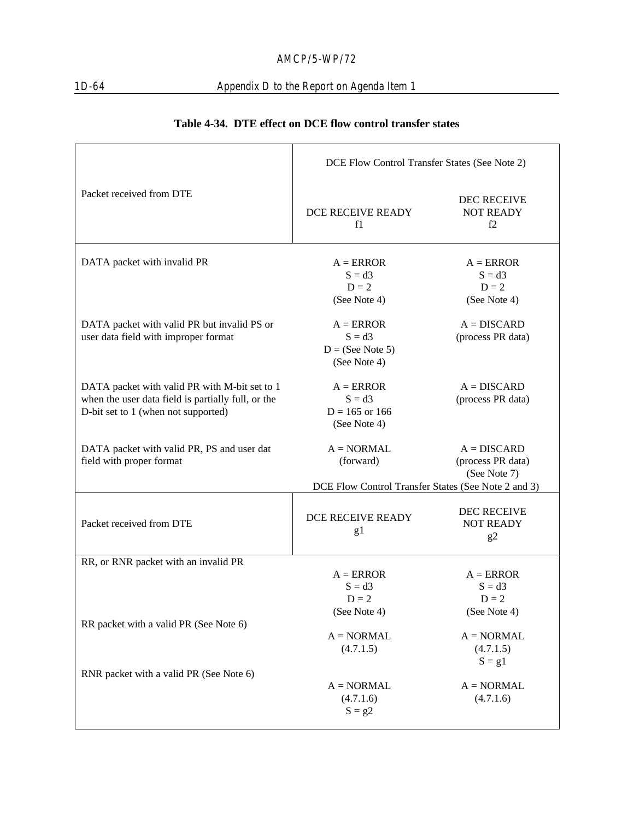# 1D-64 Appendix D to the Report on Agenda Item 1

|                                                                                                                                            | DCE Flow Control Transfer States (See Note 2)                                    |                                                       |
|--------------------------------------------------------------------------------------------------------------------------------------------|----------------------------------------------------------------------------------|-------------------------------------------------------|
| Packet received from DTE                                                                                                                   | DCE RECEIVE READY<br>f1                                                          | DEC RECEIVE<br><b>NOT READY</b><br>f2                 |
| DATA packet with invalid PR                                                                                                                | $A = ERROR$<br>$S = d3$<br>$D = 2$<br>(See Note 4)                               | $A = ERROR$<br>$S = d3$<br>$D = 2$<br>(See Note 4)    |
| DATA packet with valid PR but invalid PS or<br>user data field with improper format                                                        | $A = ERROR$<br>$S = d3$<br>$D = (See Note 5)$<br>(See Note 4)                    | $A = DISCARD$<br>(process PR data)                    |
| DATA packet with valid PR with M-bit set to 1<br>when the user data field is partially full, or the<br>D-bit set to 1 (when not supported) | $A = ERROR$<br>$S = d3$<br>$D = 165$ or 166<br>(See Note 4)                      | $A = DISCARD$<br>(process PR data)                    |
| DATA packet with valid PR, PS and user dat<br>field with proper format                                                                     | $A = NORMAL$<br>(forward)<br>DCE Flow Control Transfer States (See Note 2 and 3) | $A = DISCARD$<br>(process PR data)<br>(See Note 7)    |
| Packet received from DTE                                                                                                                   | DCE RECEIVE READY<br>g1                                                          | <b>DEC RECEIVE</b><br><b>NOT READY</b><br>g2          |
| RR, or RNR packet with an invalid PR                                                                                                       |                                                                                  |                                                       |
|                                                                                                                                            | $A = ERROR$<br>$S = d3$<br>$D = 2$                                               | $A = ERROR$<br>$S = d3$<br>$D = 2$                    |
| RR packet with a valid PR (See Note 6)                                                                                                     | (See Note 4)<br>$A = NORMAL$<br>(4.7.1.5)                                        | (See Note 4)<br>$A = NORMAL$<br>(4.7.1.5)<br>$S = g1$ |
| RNR packet with a valid PR (See Note 6)                                                                                                    | $A = NORMAL$<br>(4.7.1.6)<br>$S = g2$                                            | $A = NORMAL$<br>(4.7.1.6)                             |

## **Table 4-34. DTE effect on DCE flow control transfer states**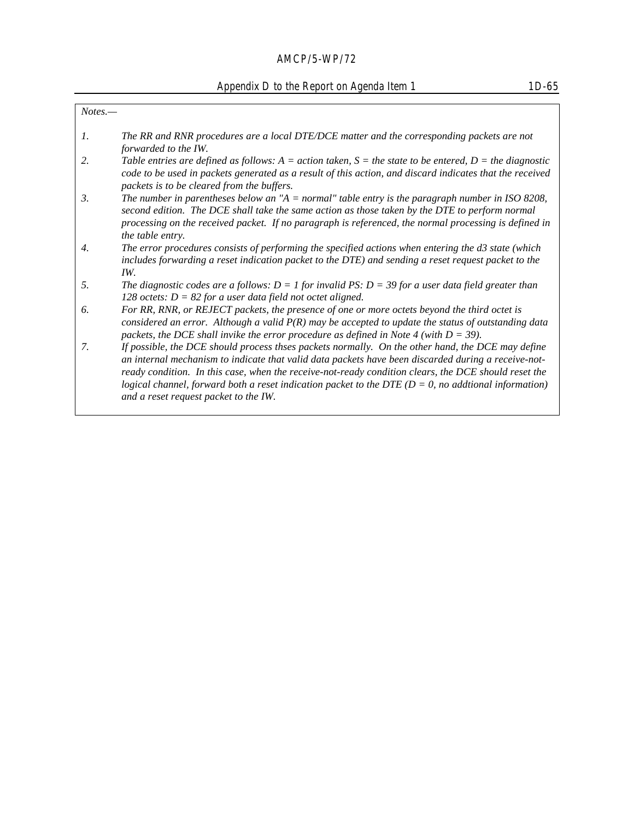# Appendix D to the Report on Agenda Item 1 1D-65

| $Notes. -$      |                                                                                                                                                                                                                                                                                                                                                                                                                               |
|-----------------|-------------------------------------------------------------------------------------------------------------------------------------------------------------------------------------------------------------------------------------------------------------------------------------------------------------------------------------------------------------------------------------------------------------------------------|
| $\mathcal{I}$ . | The RR and RNR procedures are a local DTE/DCE matter and the corresponding packets are not<br>forwarded to the IW.                                                                                                                                                                                                                                                                                                            |
| 2.              | Table entries are defined as follows: A = action taken, S = the state to be entered, D = the diagnostic<br>code to be used in packets generated as a result of this action, and discard indicates that the received<br>packets is to be cleared from the buffers.                                                                                                                                                             |
| 3.              | The number in parentheses below an "A = normal" table entry is the paragraph number in ISO 8208,<br>second edition. The DCE shall take the same action as those taken by the DTE to perform normal<br>processing on the received packet. If no paragraph is referenced, the normal processing is defined in<br>the table entry.                                                                                               |
| 4.              | The error procedures consists of performing the specified actions when entering the d3 state (which<br>includes forwarding a reset indication packet to the DTE) and sending a reset request packet to the<br>IW.                                                                                                                                                                                                             |
| 5.              | The diagnostic codes are a follows: $D = 1$ for invalid PS: $D = 39$ for a user data field greater than<br>128 octets: $D = 82$ for a user data field not octet aligned.                                                                                                                                                                                                                                                      |
| 6.              | For RR, RNR, or REJECT packets, the presence of one or more octets beyond the third octet is<br>considered an error. Although a valid $P(R)$ may be accepted to update the status of outstanding data<br>packets, the DCE shall invike the error procedure as defined in Note 4 (with $D = 39$ ).                                                                                                                             |
| 7.              | If possible, the DCE should process thses packets normally. On the other hand, the DCE may define<br>an internal mechanism to indicate that valid data packets have been discarded during a receive-not-<br>ready condition. In this case, when the receive-not-ready condition clears, the DCE should reset the<br>logical channel, forward both a reset indication packet to the DTE ( $D = 0$ , no additional information) |
|                 | and a reset request packet to the IW.                                                                                                                                                                                                                                                                                                                                                                                         |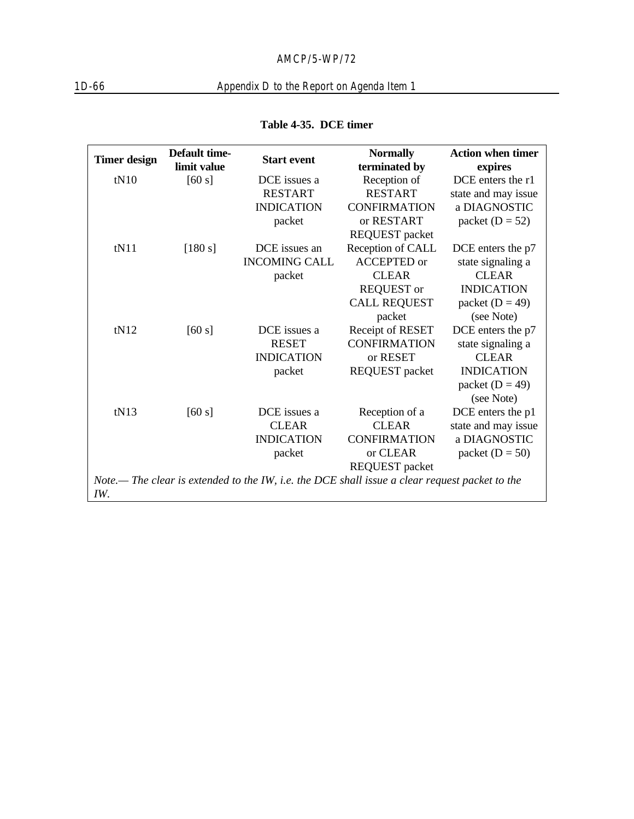# 1D-66 Appendix D to the Report on Agenda Item 1

|                     | <b>Default time-</b> |                                                                                                | <b>Normally</b>       | <b>Action when timer</b> |
|---------------------|----------------------|------------------------------------------------------------------------------------------------|-----------------------|--------------------------|
| <b>Timer design</b> | limit value          | <b>Start event</b>                                                                             | terminated by         | expires                  |
| tN10                | [60 s]               | DCE issues a                                                                                   | Reception of          | DCE enters the r1        |
|                     |                      | <b>RESTART</b>                                                                                 | <b>RESTART</b>        | state and may issue      |
|                     |                      | <b>INDICATION</b>                                                                              | <b>CONFIRMATION</b>   | a DIAGNOSTIC             |
|                     |                      | packet                                                                                         | or RESTART            | packet $(D = 52)$        |
|                     |                      |                                                                                                | <b>REQUEST</b> packet |                          |
| tN11                | $[180 s]$            | DCE issues an                                                                                  | Reception of CALL     | DCE enters the p7        |
|                     |                      | <b>INCOMING CALL</b>                                                                           | <b>ACCEPTED</b> or    | state signaling a        |
|                     |                      | packet                                                                                         | <b>CLEAR</b>          | <b>CLEAR</b>             |
|                     |                      |                                                                                                | <b>REQUEST</b> or     | <b>INDICATION</b>        |
|                     |                      |                                                                                                | <b>CALL REQUEST</b>   | packet $(D = 49)$        |
|                     |                      |                                                                                                | packet                | (see Note)               |
| tN12                | [60 s]               | DCE issues a                                                                                   | Receipt of RESET      | DCE enters the p7        |
|                     |                      | <b>RESET</b>                                                                                   | <b>CONFIRMATION</b>   | state signaling a        |
|                     |                      | <b>INDICATION</b>                                                                              | or RESET              | <b>CLEAR</b>             |
|                     |                      | packet                                                                                         | <b>REQUEST</b> packet | <b>INDICATION</b>        |
|                     |                      |                                                                                                |                       | packet $(D = 49)$        |
|                     |                      |                                                                                                |                       | (see Note)               |
| tN13                | [60 s]               | DCE issues a                                                                                   | Reception of a        | DCE enters the p1        |
|                     |                      | <b>CLEAR</b>                                                                                   | <b>CLEAR</b>          | state and may issue      |
|                     |                      | <b>INDICATION</b>                                                                              | <b>CONFIRMATION</b>   | a DIAGNOSTIC             |
|                     |                      | packet                                                                                         | or CLEAR              | packet $(D = 50)$        |
|                     |                      |                                                                                                | <b>REQUEST</b> packet |                          |
|                     |                      | Note.— The clear is extended to the IW, i.e. the DCE shall issue a clear request packet to the |                       |                          |
| IW.                 |                      |                                                                                                |                       |                          |

## **Table 4-35. DCE timer**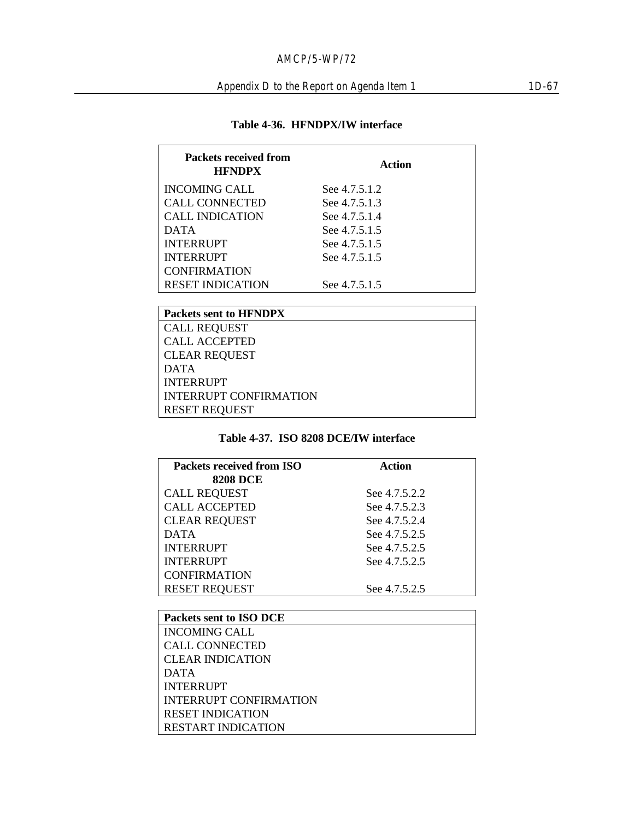| <b>Packets received from</b><br><b>HFNDPX</b> | Action        |  |
|-----------------------------------------------|---------------|--|
| <b>INCOMING CALL</b>                          | See 4.7.5.1.2 |  |
| CALL CONNECTED                                | See 4.7.5.1.3 |  |
| <b>CALL INDICATION</b>                        | See 4.7.5.1.4 |  |
| <b>DATA</b>                                   | See 4.7.5.1.5 |  |
| <b>INTERRUPT</b>                              | See 4.7.5.1.5 |  |
| <b>INTERRUPT</b>                              | See 4.7.5.1.5 |  |
| <b>CONFIRMATION</b>                           |               |  |
| <b>RESET INDICATION</b>                       | See 4.7.5.1.5 |  |
|                                               |               |  |

| <b>Packets sent to HFNDPX</b> |
|-------------------------------|
| <b>CALL REQUEST</b>           |
| <b>CALL ACCEPTED</b>          |
| <b>CLEAR REQUEST</b>          |
| <b>DATA</b>                   |
| <b>INTERRUPT</b>              |
| <b>INTERRUPT CONFIRMATION</b> |
| <b>RESET REQUEST</b>          |

## **Table 4-37. ISO 8208 DCE/IW interface**

| Packets received from ISO | Action        |  |
|---------------------------|---------------|--|
| <b>8208 DCE</b>           |               |  |
| <b>CALL REQUEST</b>       | See 4.7.5.2.2 |  |
| <b>CALL ACCEPTED</b>      | See 4.7.5.2.3 |  |
| <b>CLEAR REQUEST</b>      | See 4.7.5.2.4 |  |
| <b>DATA</b>               | See 4.7.5.2.5 |  |
| <b>INTERRUPT</b>          | See 4.7.5.2.5 |  |
| <b>INTERRUPT</b>          | See 4.7.5.2.5 |  |
| <b>CONFIRMATION</b>       |               |  |
| <b>RESET REQUEST</b>      | See 4.7.5.2.5 |  |
|                           |               |  |

| Packets sent to ISO DCE       |
|-------------------------------|
| <b>INCOMING CALL</b>          |
| <b>CALL CONNECTED</b>         |
| <b>CLEAR INDICATION</b>       |
| <b>DATA</b>                   |
| <b>INTERRUPT</b>              |
| <b>INTERRUPT CONFIRMATION</b> |
| <b>RESET INDICATION</b>       |
| <b>RESTART INDICATION</b>     |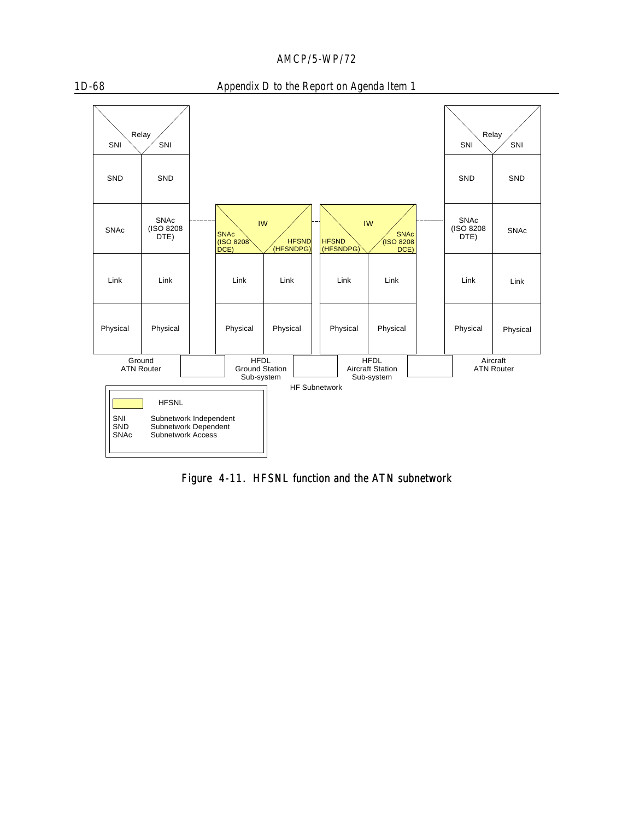

#### 1D-68 Appendix D to the Report on Agenda Item 1



Figure 4-11. HFSNL function and the ATN subnetwork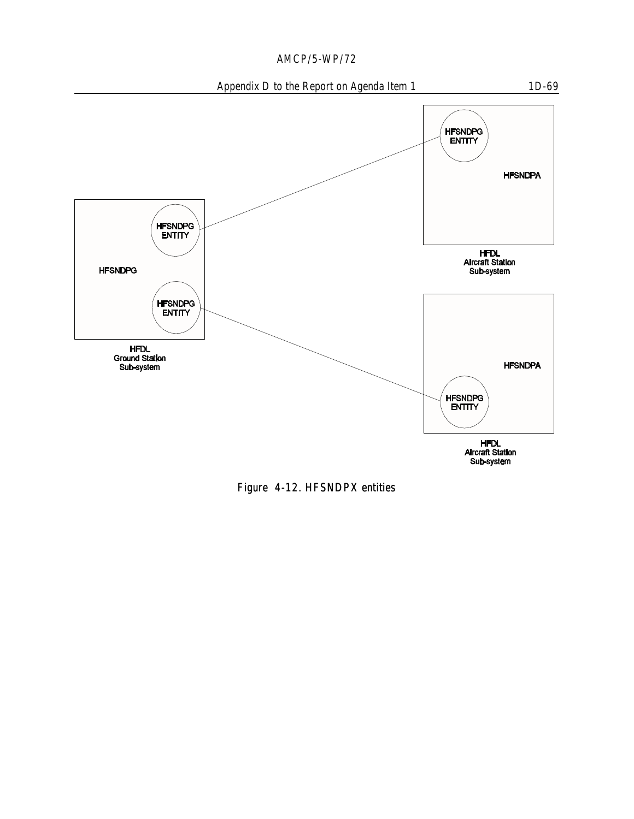





Figure 4-12. HFSNDPX entities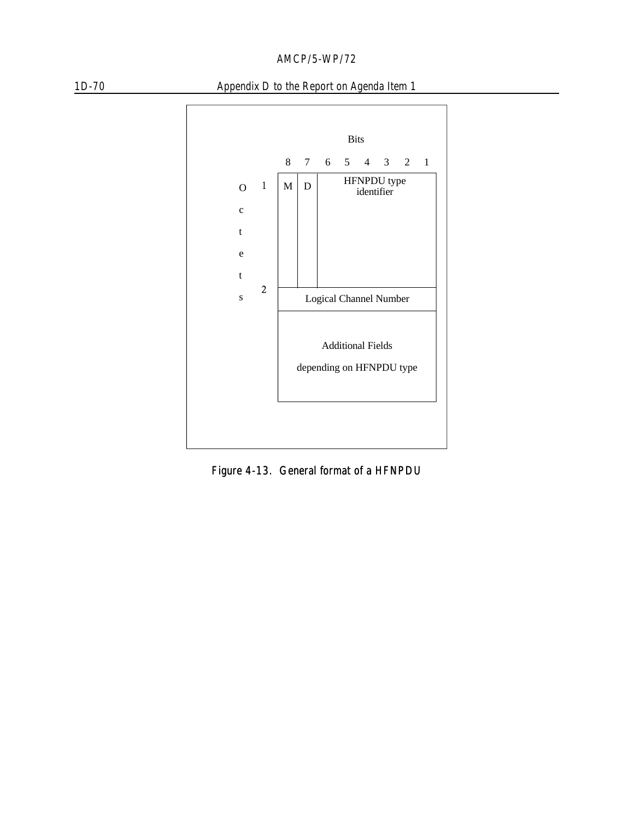



1D-70 Appendix D to the Report on Agenda Item 1

Figure 4-13. General format of a HFNPDU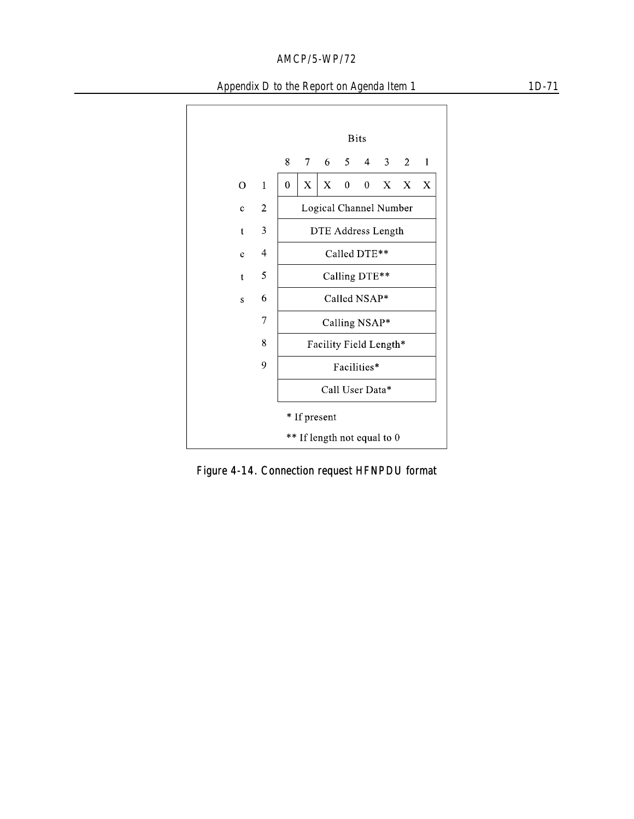

Figure 4-14. Connection request HFNPDU format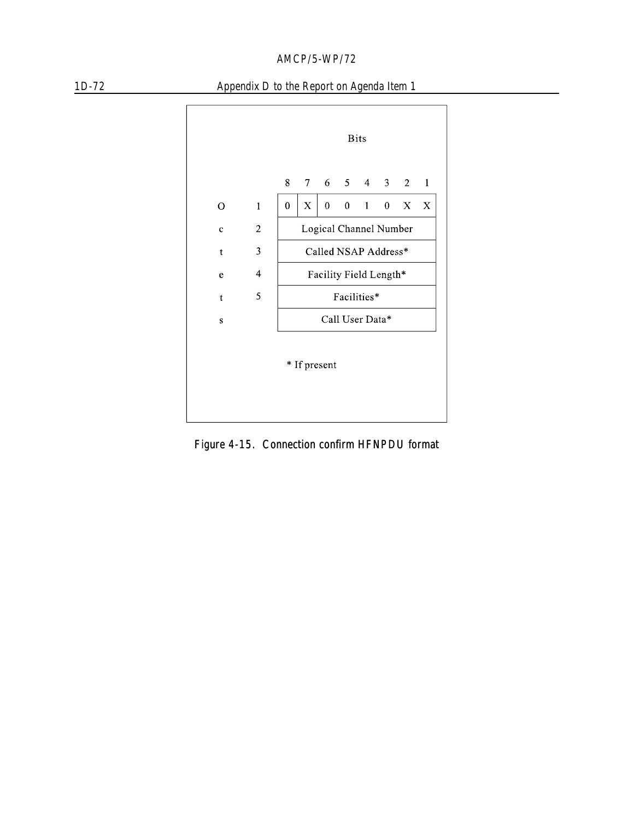



Figure 4-15. Connection confirm HFNPDU format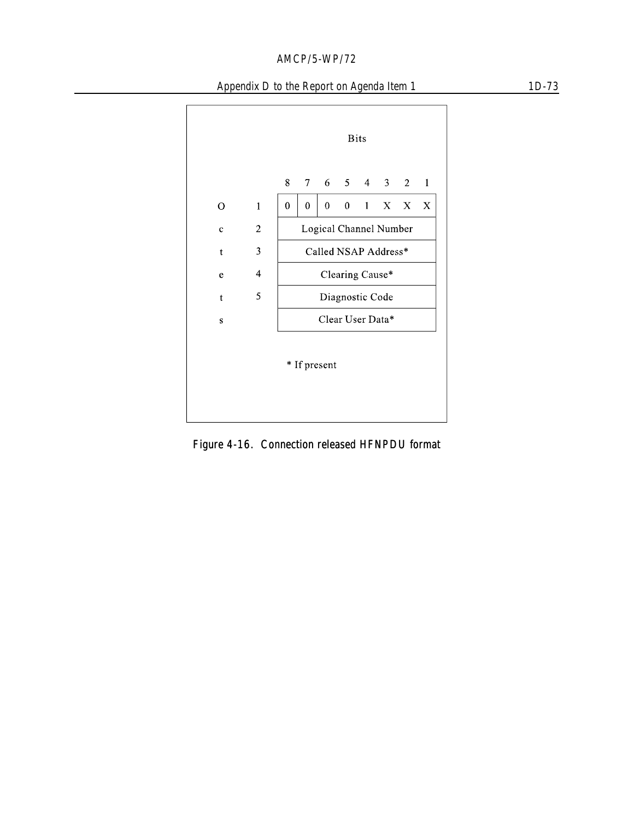

Figure 4-16. Connection released HFNPDU format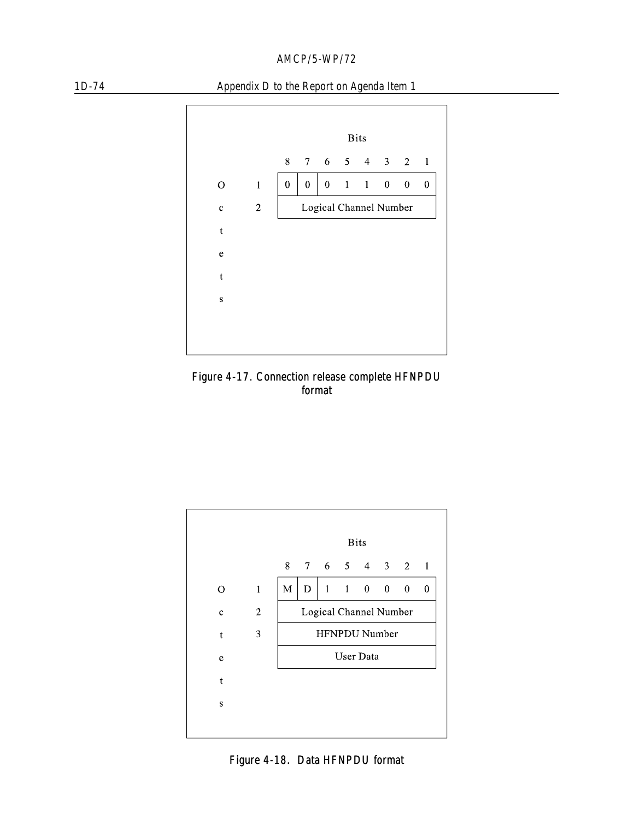



Figure 4-17. Connection release complete HFNPDU format



Figure 4-18. Data HFNPDU format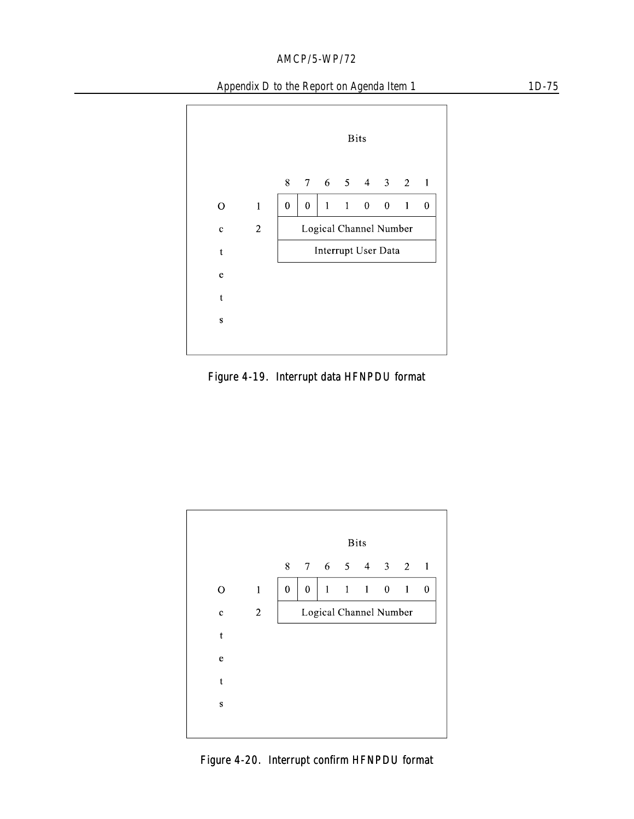### Appendix D to the Report on Agenda Item 1 1D-75



Figure 4-19. Interrupt data HFNPDU format



Figure 4-20. Interrupt confirm HFNPDU format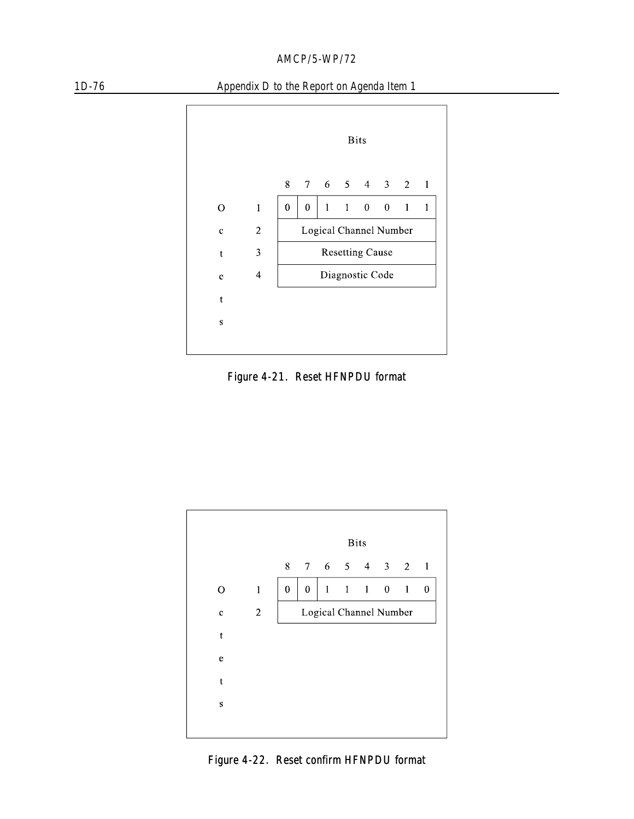



Figure 4-21. Reset HFNPDU format



Figure 4-22. Reset confirm HFNPDU format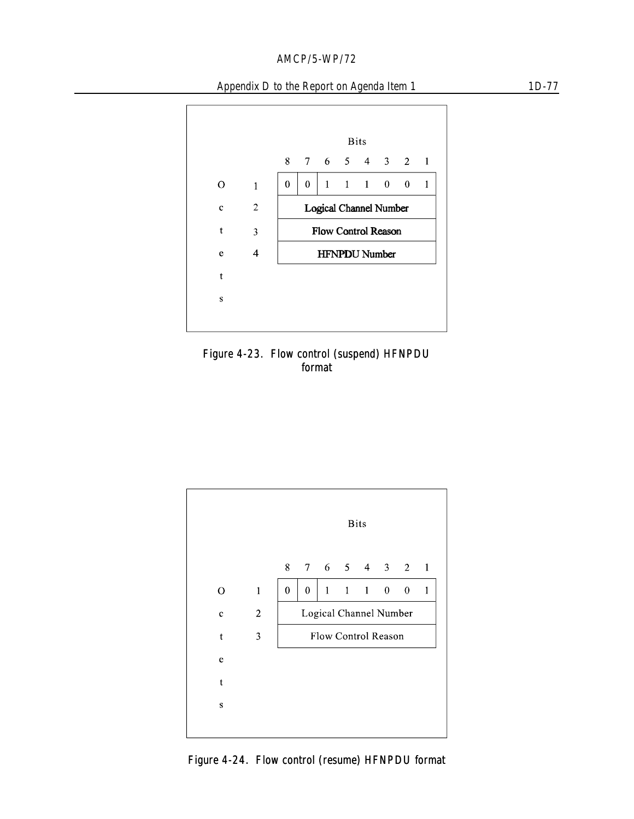### Appendix D to the Report on Agenda Item 1 1D-77



Figure 4-23. Flow control (suspend) HFNPDU format



Figure 4-24. Flow control (resume) HFNPDU format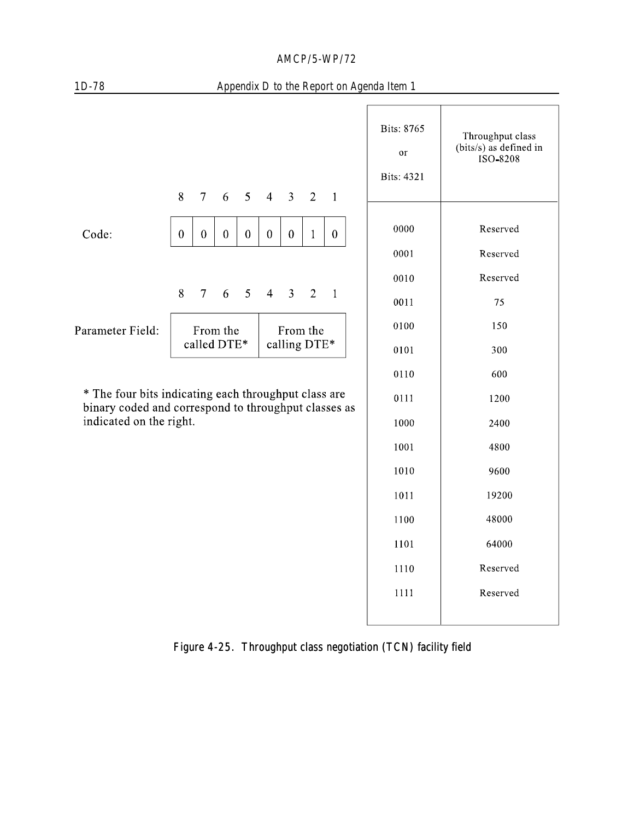| $1D-78$                                                                                                      |                         |                  |              |                  |                          |                |                |                  | Appendix D to the Report on Agenda Item 1 |                                                        |
|--------------------------------------------------------------------------------------------------------------|-------------------------|------------------|--------------|------------------|--------------------------|----------------|----------------|------------------|-------------------------------------------|--------------------------------------------------------|
|                                                                                                              | 8                       | $7\overline{ }$  | 6            | 5                | $\overline{4}$           | $\mathbf{3}$   | 2              | $\blacksquare$   | Bits: 8765<br>or<br><b>Bits: 4321</b>     | Throughput class<br>(bits/s) as defined in<br>ISO-8208 |
| Code:                                                                                                        | $\boldsymbol{0}$        | $\boldsymbol{0}$ | $\mathbf{0}$ | $\boldsymbol{0}$ | $\boldsymbol{0}$         | $\mathbf{0}$   | $\mathbf{1}$   | $\boldsymbol{0}$ | 0000                                      | Reserved                                               |
|                                                                                                              |                         |                  |              |                  |                          |                |                |                  | 0001                                      | Reserved                                               |
|                                                                                                              |                         |                  |              |                  |                          |                |                |                  | 0010                                      | Reserved                                               |
|                                                                                                              | 8                       | $\overline{7}$   | 6            | 5                | $\overline{4}$           | $\overline{3}$ | $\overline{2}$ | $\mathbf{1}$     | 0011                                      | 75                                                     |
| Parameter Field:                                                                                             | From the<br>called DTE* |                  |              |                  | From the<br>calling DTE* |                |                |                  | 0100                                      | 150                                                    |
|                                                                                                              |                         |                  |              |                  |                          |                |                |                  | 0101                                      | 300                                                    |
|                                                                                                              |                         |                  |              |                  |                          |                |                |                  | 0110                                      | 600                                                    |
| * The four bits indicating each throughput class are<br>binary coded and correspond to throughput classes as |                         |                  |              |                  |                          | 0111           | 1200           |                  |                                           |                                                        |
| indicated on the right.                                                                                      |                         |                  |              |                  |                          |                |                |                  | 1000                                      | 2400                                                   |
|                                                                                                              |                         |                  |              |                  |                          |                |                |                  | 1001                                      | 4800                                                   |
|                                                                                                              |                         |                  |              |                  |                          |                |                |                  | 1010                                      | 9600                                                   |
|                                                                                                              |                         |                  |              |                  |                          |                |                |                  | 1011                                      | 19200                                                  |
|                                                                                                              |                         |                  |              |                  |                          |                |                |                  | 1100                                      | 48000                                                  |
|                                                                                                              |                         |                  |              |                  |                          |                |                |                  | 1101                                      | 64000                                                  |
|                                                                                                              |                         |                  |              |                  |                          |                |                |                  | 1110                                      | Reserved                                               |
|                                                                                                              |                         |                  |              |                  |                          |                |                |                  | 1111                                      | Reserved                                               |
|                                                                                                              |                         |                  |              |                  |                          |                |                |                  |                                           |                                                        |

Figure 4-25. Throughput class negotiation (TCN) facility field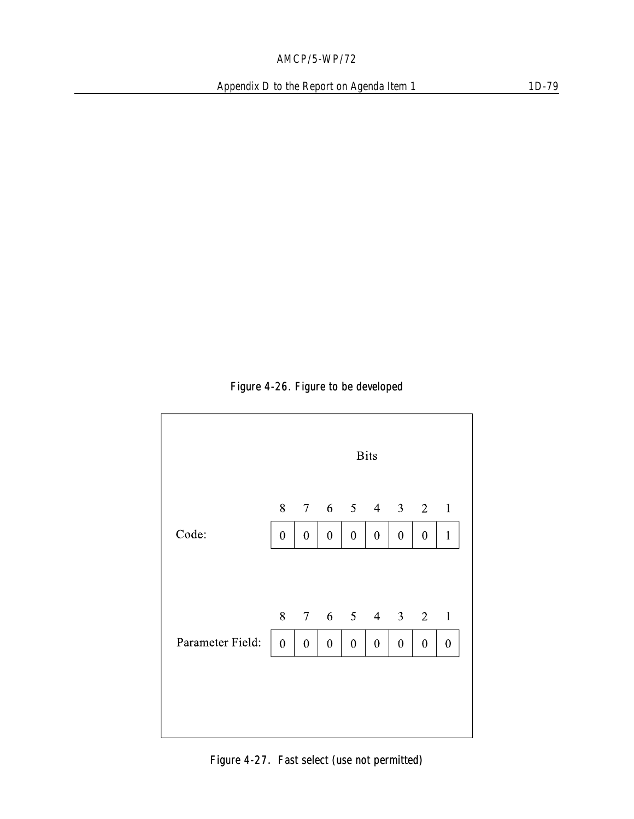### Figure 4-26. Figure to be developed

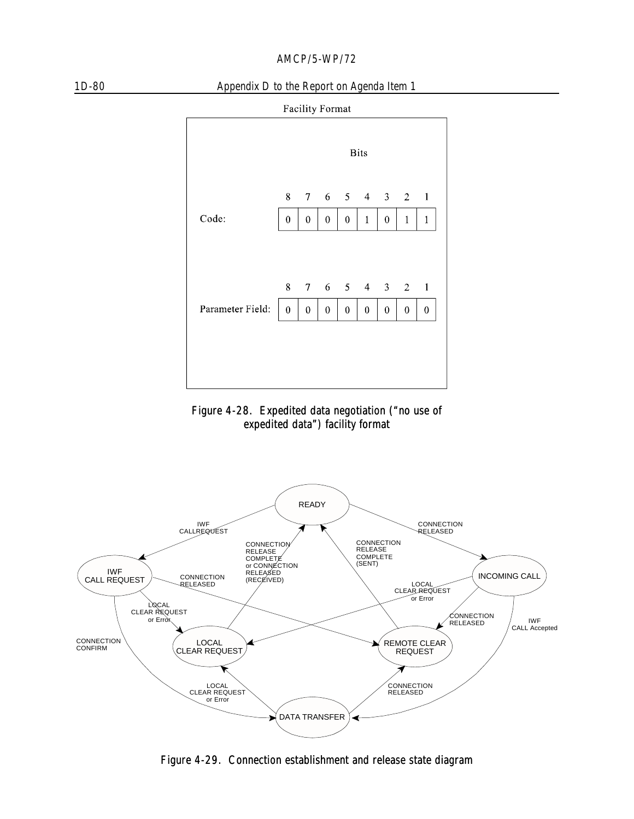

### 1D-80 Appendix D to the Report on Agenda Item 1







Figure 4-29. Connection establishment and release state diagram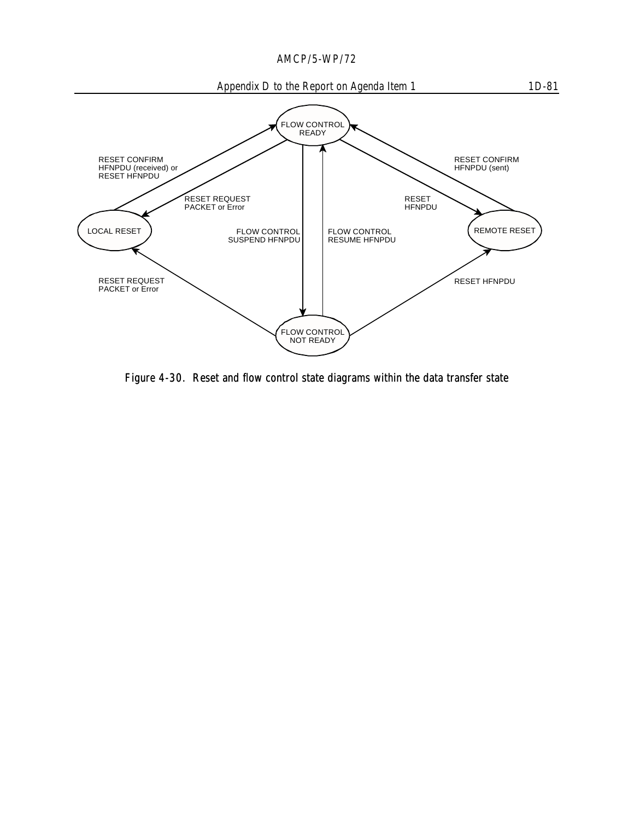

Figure 4-30. Reset and flow control state diagrams within the data transfer state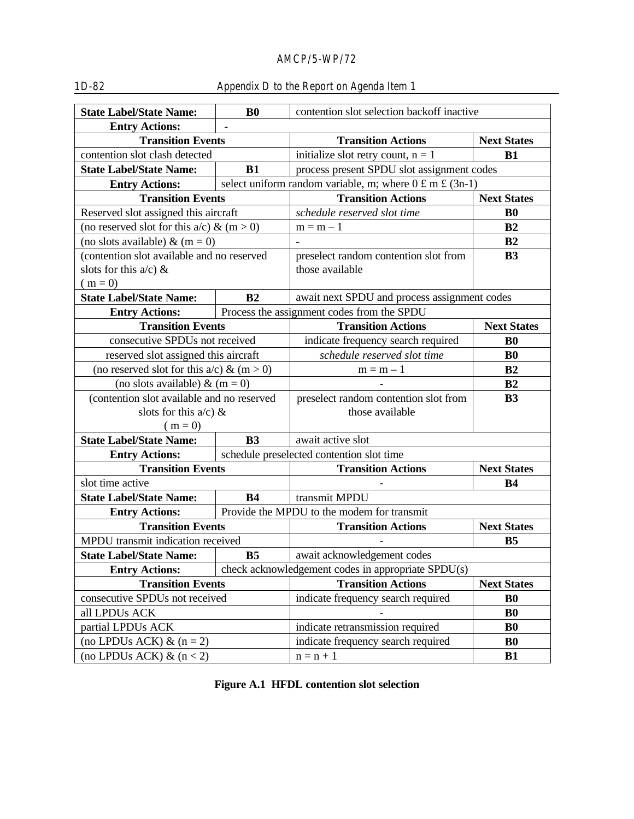| <b>State Label/State Name:</b>                                | B <sub>0</sub> | contention slot selection backoff inactive                                              |                       |  |  |  |
|---------------------------------------------------------------|----------------|-----------------------------------------------------------------------------------------|-----------------------|--|--|--|
| <b>Entry Actions:</b>                                         |                |                                                                                         |                       |  |  |  |
| <b>Transition Events</b>                                      |                | <b>Transition Actions</b>                                                               | <b>Next States</b>    |  |  |  |
| contention slot clash detected                                |                | initialize slot retry count, $n = 1$                                                    | B1                    |  |  |  |
| <b>State Label/State Name:</b>                                | B1             | process present SPDU slot assignment codes                                              |                       |  |  |  |
| <b>Entry Actions:</b>                                         |                | select uniform random variable, m; where $0 \text{ } \pounds \text{ } m \pounds (3n-1)$ |                       |  |  |  |
| <b>Transition Events</b>                                      |                | <b>Transition Actions</b>                                                               | <b>Next States</b>    |  |  |  |
| Reserved slot assigned this aircraft                          |                | schedule reserved slot time                                                             | B <sub>0</sub>        |  |  |  |
| (no reserved slot for this $a/c$ ) & (m > 0)                  |                | $m = m - 1$                                                                             | B <sub>2</sub>        |  |  |  |
| (no slots available) & $(m = 0)$                              |                |                                                                                         | B2                    |  |  |  |
| (contention slot available and no reserved                    |                | preselect random contention slot from                                                   | B <sub>3</sub>        |  |  |  |
| slots for this $a/c$ ) &                                      |                | those available                                                                         |                       |  |  |  |
| $(m = 0)$                                                     |                |                                                                                         |                       |  |  |  |
| <b>State Label/State Name:</b>                                | B <sub>2</sub> | await next SPDU and process assignment codes                                            |                       |  |  |  |
| <b>Entry Actions:</b>                                         |                | Process the assignment codes from the SPDU                                              |                       |  |  |  |
| <b>Transition Events</b>                                      |                | <b>Transition Actions</b>                                                               | <b>Next States</b>    |  |  |  |
| consecutive SPDUs not received                                |                | indicate frequency search required                                                      | B <sub>0</sub>        |  |  |  |
| reserved slot assigned this aircraft                          |                | schedule reserved slot time                                                             | B <sub>0</sub>        |  |  |  |
| (no reserved slot for this $a/c$ ) & (m > 0)                  |                | $m = m - 1$                                                                             | B <sub>2</sub>        |  |  |  |
| (no slots available) & $(m = 0)$                              |                |                                                                                         | B2                    |  |  |  |
| (contention slot available and no reserved                    |                | preselect random contention slot from                                                   | <b>B3</b>             |  |  |  |
| slots for this $a/c$ ) &                                      |                | those available                                                                         |                       |  |  |  |
| $(m = 0)$                                                     |                |                                                                                         |                       |  |  |  |
| <b>State Label/State Name:</b>                                | B <sub>3</sub> | await active slot                                                                       |                       |  |  |  |
| <b>Entry Actions:</b>                                         |                | schedule preselected contention slot time                                               |                       |  |  |  |
| <b>Transition Events</b>                                      |                | <b>Transition Actions</b>                                                               | <b>Next States</b>    |  |  |  |
| slot time active                                              |                |                                                                                         | <b>B4</b>             |  |  |  |
| <b>State Label/State Name:</b>                                | <b>B4</b>      | transmit MPDU                                                                           |                       |  |  |  |
| <b>Entry Actions:</b>                                         |                | Provide the MPDU to the modem for transmit                                              |                       |  |  |  |
| <b>Transition Events</b><br>MPDU transmit indication received |                | <b>Transition Actions</b>                                                               | <b>Next States</b>    |  |  |  |
| <b>State Label/State Name:</b>                                | B <sub>5</sub> |                                                                                         | <b>B5</b>             |  |  |  |
|                                                               |                | await acknowledgement codes<br>check acknowledgement codes in appropriate SPDU(s)       |                       |  |  |  |
| <b>Entry Actions:</b><br><b>Transition Events</b>             |                | <b>Transition Actions</b>                                                               | <b>Next States</b>    |  |  |  |
| consecutive SPDUs not received                                |                | indicate frequency search required                                                      | <b>B</b> <sub>0</sub> |  |  |  |
| all LPDUs ACK                                                 |                |                                                                                         | B <sub>0</sub>        |  |  |  |
| partial LPDUs ACK                                             |                | indicate retransmission required                                                        | <b>B0</b>             |  |  |  |
| (no LPDUs ACK) $\&$ (n = 2)                                   |                | indicate frequency search required                                                      | <b>BO</b>             |  |  |  |
| (no LPDUs ACK) $\&$ (n < 2)                                   |                | $n = n + 1$                                                                             | <b>B1</b>             |  |  |  |
|                                                               |                |                                                                                         |                       |  |  |  |

# 1D-82 Appendix D to the Report on Agenda Item 1

**Figure A.1 HFDL contention slot selection**